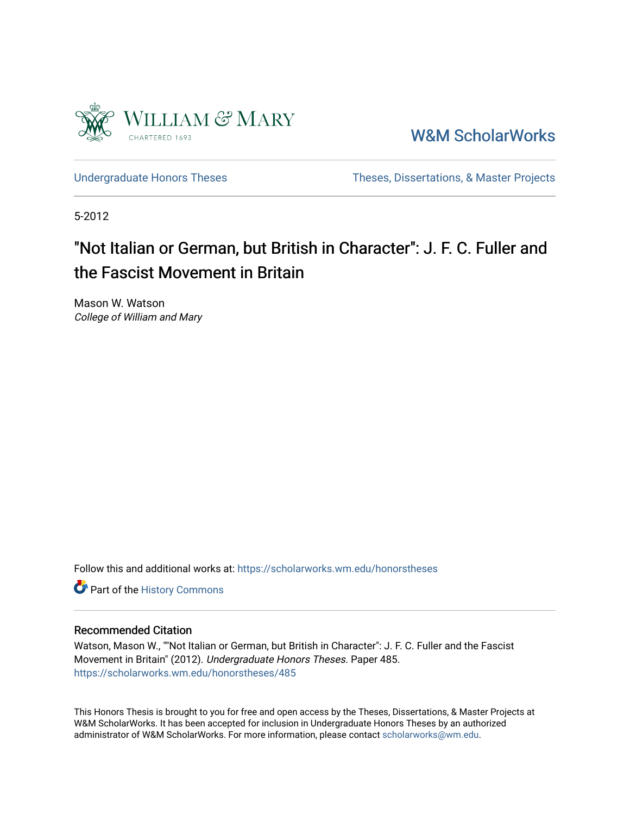

[W&M ScholarWorks](https://scholarworks.wm.edu/) 

[Undergraduate Honors Theses](https://scholarworks.wm.edu/honorstheses) Theses Theses, Dissertations, & Master Projects

5-2012

# "Not Italian or German, but British in Character": J. F. C. Fuller and the Fascist Movement in Britain

Mason W. Watson College of William and Mary

Follow this and additional works at: [https://scholarworks.wm.edu/honorstheses](https://scholarworks.wm.edu/honorstheses?utm_source=scholarworks.wm.edu%2Fhonorstheses%2F485&utm_medium=PDF&utm_campaign=PDFCoverPages) 

Part of the [History Commons](http://network.bepress.com/hgg/discipline/489?utm_source=scholarworks.wm.edu%2Fhonorstheses%2F485&utm_medium=PDF&utm_campaign=PDFCoverPages) 

### Recommended Citation

Watson, Mason W., ""Not Italian or German, but British in Character": J. F. C. Fuller and the Fascist Movement in Britain" (2012). Undergraduate Honors Theses. Paper 485. [https://scholarworks.wm.edu/honorstheses/485](https://scholarworks.wm.edu/honorstheses/485?utm_source=scholarworks.wm.edu%2Fhonorstheses%2F485&utm_medium=PDF&utm_campaign=PDFCoverPages) 

This Honors Thesis is brought to you for free and open access by the Theses, Dissertations, & Master Projects at W&M ScholarWorks. It has been accepted for inclusion in Undergraduate Honors Theses by an authorized administrator of W&M ScholarWorks. For more information, please contact [scholarworks@wm.edu.](mailto:scholarworks@wm.edu)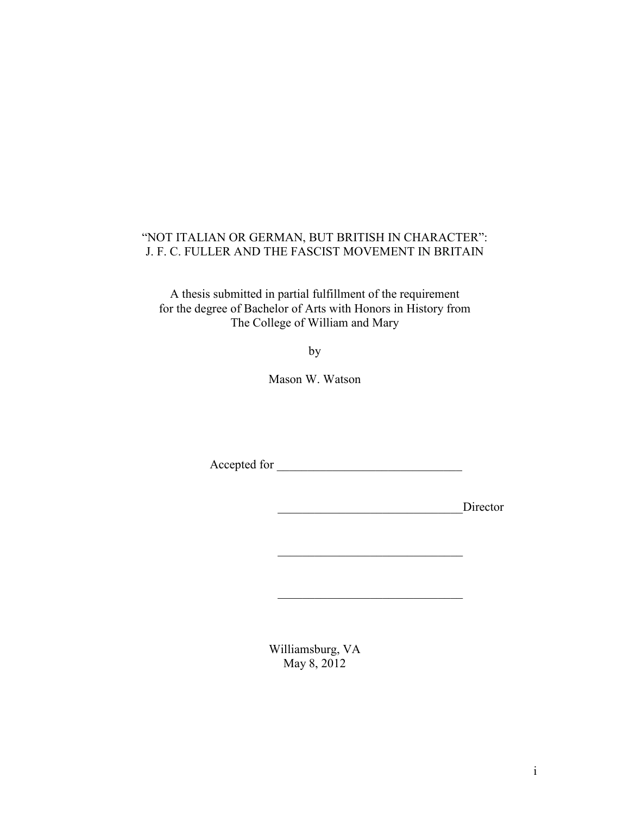### "NOT ITALIAN OR GERMAN, BUT BRITISH IN CHARACTER": J. F. C. FULLER AND THE FASCIST MOVEMENT IN BRITAIN

A thesis submitted in partial fulfillment of the requirement for the degree of Bachelor of Arts with Honors in History from The College of William and Mary

by

Mason W. Watson

Accepted for \_\_\_\_\_\_\_\_\_\_\_\_\_\_\_\_\_\_\_\_\_\_\_\_\_\_\_\_\_\_

\_\_\_\_\_\_\_\_\_\_\_\_\_\_\_\_\_\_\_\_\_\_\_\_\_\_\_\_\_\_

\_\_\_\_\_\_\_\_\_\_\_\_\_\_\_\_\_\_\_\_\_\_\_\_\_\_\_\_\_\_

\_\_\_\_\_\_\_\_\_\_\_\_\_\_\_\_\_\_\_\_\_\_\_\_\_\_\_\_\_\_Director

Williamsburg, VA May 8, 2012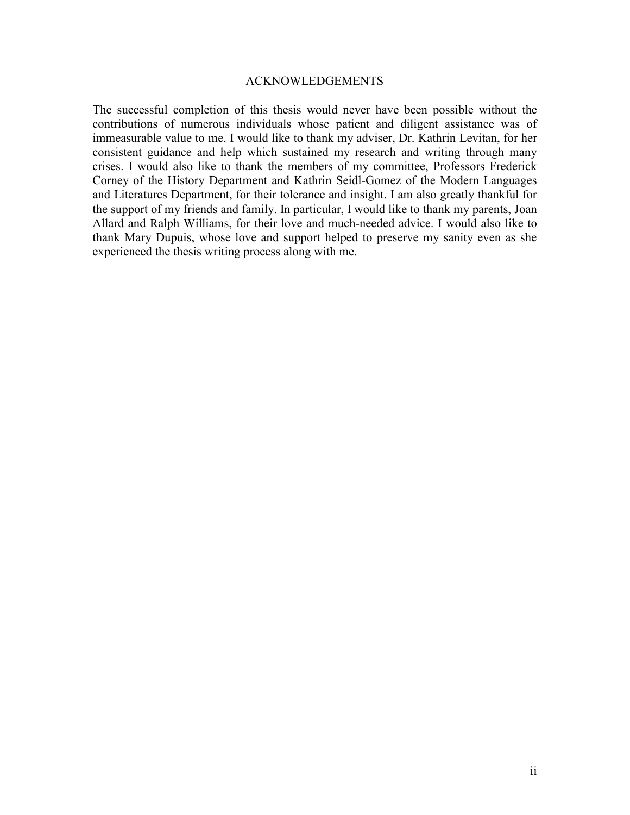### ACKNOWLEDGEMENTS

The successful completion of this thesis would never have been possible without the contributions of numerous individuals whose patient and diligent assistance was of immeasurable value to me. I would like to thank my adviser, Dr. Kathrin Levitan, for her consistent guidance and help which sustained my research and writing through many crises. I would also like to thank the members of my committee, Professors Frederick Corney of the History Department and Kathrin Seidl-Gomez of the Modern Languages and Literatures Department, for their tolerance and insight. I am also greatly thankful for the support of my friends and family. In particular, I would like to thank my parents, Joan Allard and Ralph Williams, for their love and much-needed advice. I would also like to thank Mary Dupuis, whose love and support helped to preserve my sanity even as she experienced the thesis writing process along with me.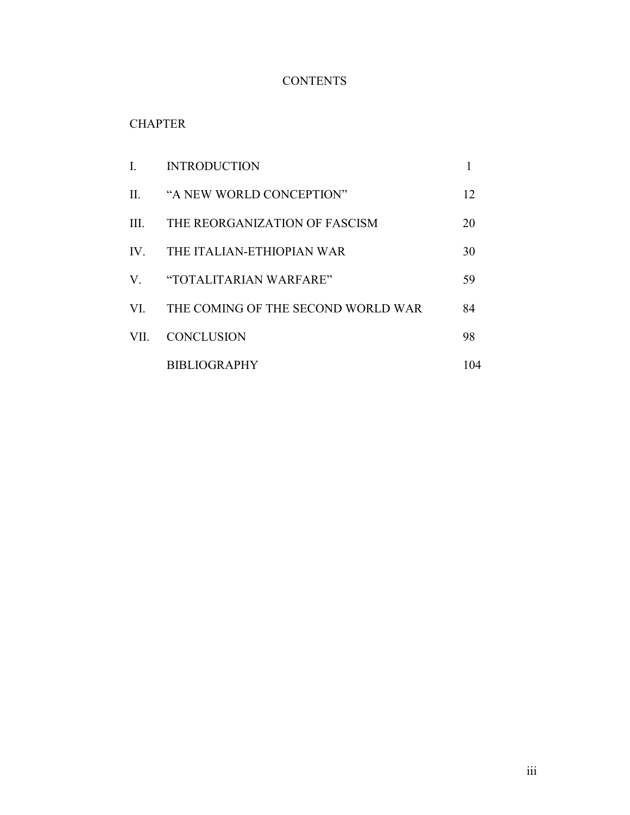## **CONTENTS**

## **CHAPTER**

|                         | <b>INTRODUCTION</b>                |     |
|-------------------------|------------------------------------|-----|
| $\Pi$ .                 | "A NEW WORLD CONCEPTION"           | 12  |
| $\mathbf{H}$            | THE REORGANIZATION OF FASCISM      | 20  |
| $\mathbf{I} \mathbf{V}$ | THE ITALIAN-ETHIOPIAN WAR          | 30  |
|                         | V "TOTALITARIAN WARFARE"           | 59  |
| VI —                    | THE COMING OF THE SECOND WORLD WAR | 84  |
| VII -                   | <b>CONCLUSION</b>                  | 98  |
|                         | <b>BIBLIOGRAPHY</b>                | 104 |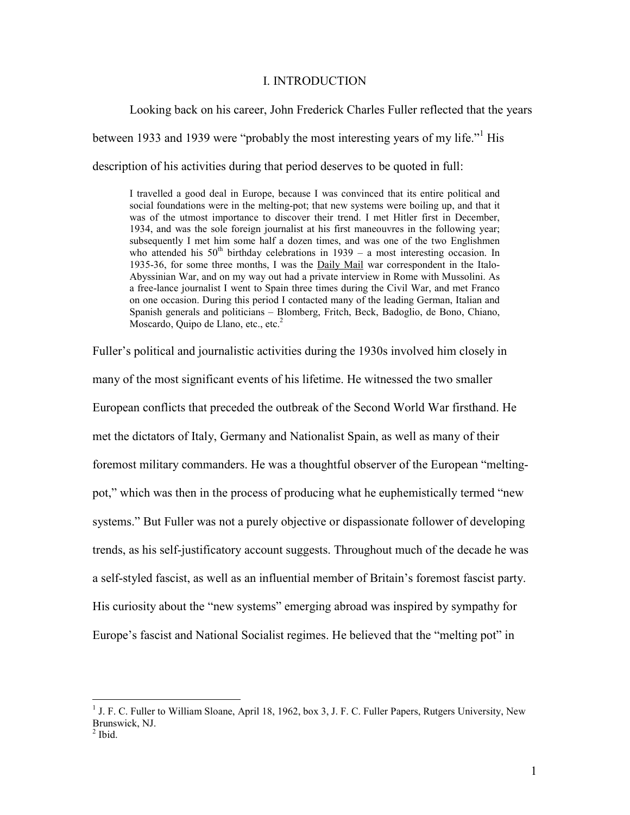#### I. INTRODUCTION

Looking back on his career, John Frederick Charles Fuller reflected that the years

between 1933 and 1939 were "probably the most interesting years of my life."<sup>1</sup> His

description of his activities during that period deserves to be quoted in full:

I travelled a good deal in Europe, because I was convinced that its entire political and social foundations were in the melting-pot; that new systems were boiling up, and that it was of the utmost importance to discover their trend. I met Hitler first in December, 1934, and was the sole foreign journalist at his first maneouvres in the following year; subsequently I met him some half a dozen times, and was one of the two Englishmen who attended his  $50<sup>th</sup>$  birthday celebrations in 1939 – a most interesting occasion. In 1935-36, for some three months, I was the Daily Mail war correspondent in the Italo-Abyssinian War, and on my way out had a private interview in Rome with Mussolini. As a free-lance journalist I went to Spain three times during the Civil War, and met Franco on one occasion. During this period I contacted many of the leading German, Italian and Spanish generals and politicians – Blomberg, Fritch, Beck, Badoglio, de Bono, Chiano, Moscardo, Quipo de Llano, etc., etc. $<sup>2</sup>$ </sup>

Fuller's political and journalistic activities during the 1930s involved him closely in many of the most significant events of his lifetime. He witnessed the two smaller European conflicts that preceded the outbreak of the Second World War firsthand. He met the dictators of Italy, Germany and Nationalist Spain, as well as many of their foremost military commanders. He was a thoughtful observer of the European "meltingpot," which was then in the process of producing what he euphemistically termed "new systems." But Fuller was not a purely objective or dispassionate follower of developing trends, as his self-justificatory account suggests. Throughout much of the decade he was a self-styled fascist, as well as an influential member of Britain's foremost fascist party. His curiosity about the "new systems" emerging abroad was inspired by sympathy for Europe's fascist and National Socialist regimes. He believed that the "melting pot" in

<sup>&</sup>lt;sup>1</sup> J. F. C. Fuller to William Sloane, April 18, 1962, box 3, J. F. C. Fuller Papers, Rutgers University, New Brunswick, NJ.

 $<sup>2</sup>$  Ibid.</sup>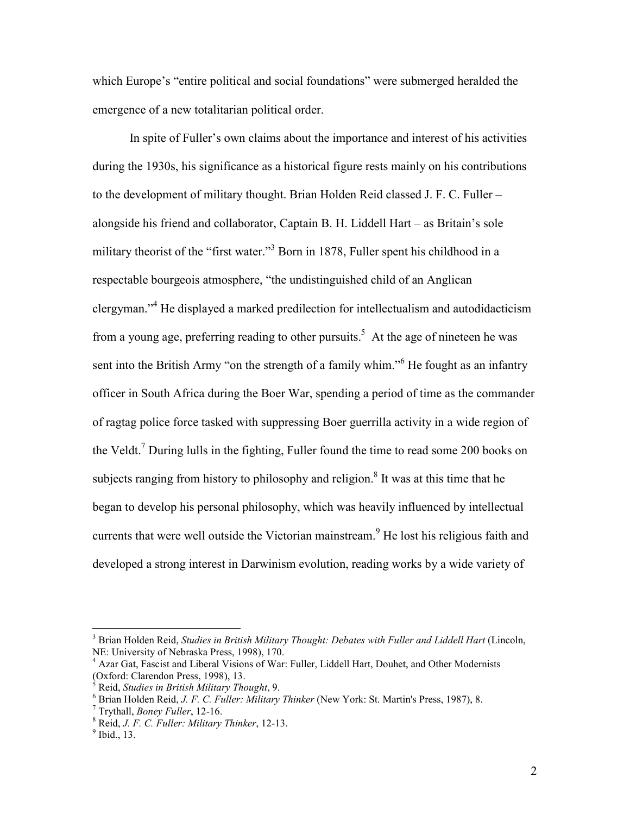which Europe's "entire political and social foundations" were submerged heralded the emergence of a new totalitarian political order.

 In spite of Fuller's own claims about the importance and interest of his activities during the 1930s, his significance as a historical figure rests mainly on his contributions to the development of military thought. Brian Holden Reid classed J. F. C. Fuller – alongside his friend and collaborator, Captain B. H. Liddell Hart – as Britain's sole military theorist of the "first water."<sup>3</sup> Born in 1878, Fuller spent his childhood in a respectable bourgeois atmosphere, "the undistinguished child of an Anglican clergyman."<sup>4</sup> He displayed a marked predilection for intellectualism and autodidacticism from a young age, preferring reading to other pursuits.<sup>5</sup> At the age of nineteen he was sent into the British Army "on the strength of a family whim."<sup>6</sup> He fought as an infantry officer in South Africa during the Boer War, spending a period of time as the commander of ragtag police force tasked with suppressing Boer guerrilla activity in a wide region of the Veldt.<sup>7</sup> During lulls in the fighting, Fuller found the time to read some 200 books on subjects ranging from history to philosophy and religion.<sup>8</sup> It was at this time that he began to develop his personal philosophy, which was heavily influenced by intellectual currents that were well outside the Victorian mainstream.<sup>9</sup> He lost his religious faith and developed a strong interest in Darwinism evolution, reading works by a wide variety of

<sup>3</sup> Brian Holden Reid, *Studies in British Military Thought: Debates with Fuller and Liddell Hart* (Lincoln, NE: University of Nebraska Press, 1998), 170.

<sup>&</sup>lt;sup>4</sup> Azar Gat, Fascist and Liberal Visions of War: Fuller, Liddell Hart, Douhet, and Other Modernists (Oxford: Clarendon Press, 1998), 13.

<sup>5</sup> Reid, *Studies in British Military Thought*, 9.

<sup>6</sup> Brian Holden Reid, *J. F. C. Fuller: Military Thinker* (New York: St. Martin's Press, 1987), 8.

<sup>7</sup> Trythall, *Boney Fuller*, 12-16.

<sup>8</sup> Reid, *J. F. C. Fuller: Military Thinker*, 12-13.

 $<sup>9</sup>$  Ibid., 13.</sup>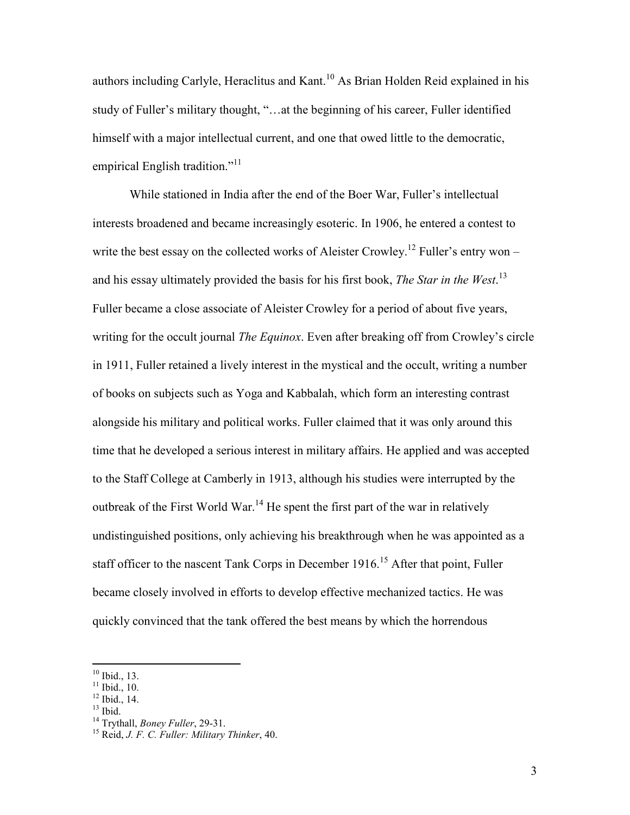authors including Carlyle, Heraclitus and Kant.<sup>10</sup> As Brian Holden Reid explained in his study of Fuller's military thought, "…at the beginning of his career, Fuller identified himself with a major intellectual current, and one that owed little to the democratic, empirical English tradition."<sup>11</sup>

While stationed in India after the end of the Boer War, Fuller's intellectual interests broadened and became increasingly esoteric. In 1906, he entered a contest to write the best essay on the collected works of Aleister Crowley.<sup>12</sup> Fuller's entry won – and his essay ultimately provided the basis for his first book, *The Star in the West*. 13 Fuller became a close associate of Aleister Crowley for a period of about five years, writing for the occult journal *The Equinox*. Even after breaking off from Crowley's circle in 1911, Fuller retained a lively interest in the mystical and the occult, writing a number of books on subjects such as Yoga and Kabbalah, which form an interesting contrast alongside his military and political works. Fuller claimed that it was only around this time that he developed a serious interest in military affairs. He applied and was accepted to the Staff College at Camberly in 1913, although his studies were interrupted by the outbreak of the First World War.<sup>14</sup> He spent the first part of the war in relatively undistinguished positions, only achieving his breakthrough when he was appointed as a staff officer to the nascent Tank Corps in December 1916.<sup>15</sup> After that point, Fuller became closely involved in efforts to develop effective mechanized tactics. He was quickly convinced that the tank offered the best means by which the horrendous

 $10$  Ibid., 13.

 $11$  Ibid., 10.

 $12$  Ibid., 14.

 $13$  Ibid.

<sup>14</sup> Trythall, *Boney Fuller*, 29-31.

<sup>15</sup> Reid, *J. F. C. Fuller: Military Thinker*, 40.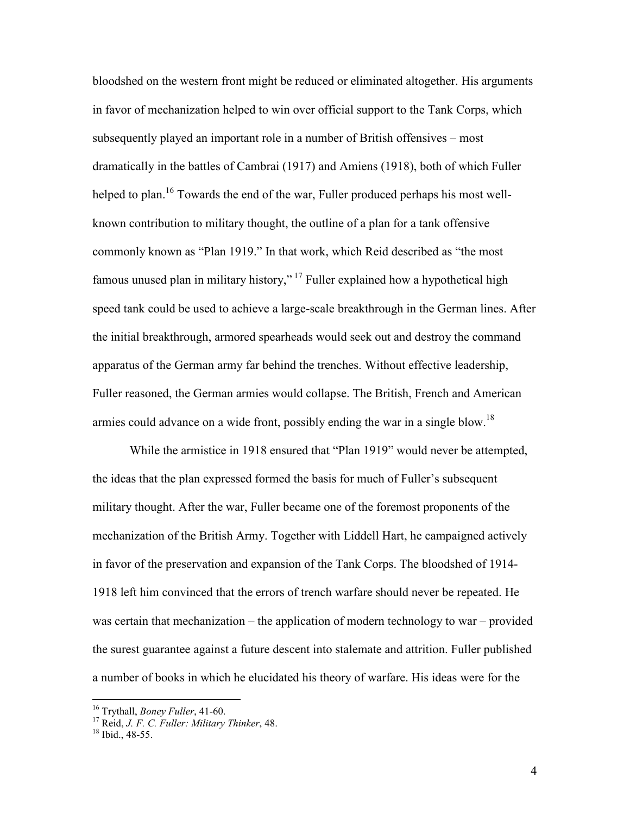bloodshed on the western front might be reduced or eliminated altogether. His arguments in favor of mechanization helped to win over official support to the Tank Corps, which subsequently played an important role in a number of British offensives – most dramatically in the battles of Cambrai (1917) and Amiens (1918), both of which Fuller helped to plan.<sup>16</sup> Towards the end of the war, Fuller produced perhaps his most wellknown contribution to military thought, the outline of a plan for a tank offensive commonly known as "Plan 1919." In that work, which Reid described as "the most famous unused plan in military history,"<sup>17</sup> Fuller explained how a hypothetical high speed tank could be used to achieve a large-scale breakthrough in the German lines. After the initial breakthrough, armored spearheads would seek out and destroy the command apparatus of the German army far behind the trenches. Without effective leadership, Fuller reasoned, the German armies would collapse. The British, French and American armies could advance on a wide front, possibly ending the war in a single blow.<sup>18</sup>

While the armistice in 1918 ensured that "Plan 1919" would never be attempted, the ideas that the plan expressed formed the basis for much of Fuller's subsequent military thought. After the war, Fuller became one of the foremost proponents of the mechanization of the British Army. Together with Liddell Hart, he campaigned actively in favor of the preservation and expansion of the Tank Corps. The bloodshed of 1914- 1918 left him convinced that the errors of trench warfare should never be repeated. He was certain that mechanization – the application of modern technology to war – provided the surest guarantee against a future descent into stalemate and attrition. Fuller published a number of books in which he elucidated his theory of warfare. His ideas were for the

<sup>16</sup> Trythall, *Boney Fuller*, 41-60.

<sup>17</sup> Reid, *J. F. C. Fuller: Military Thinker*, 48.

<sup>&</sup>lt;sup>18</sup> Ibid., 48-55.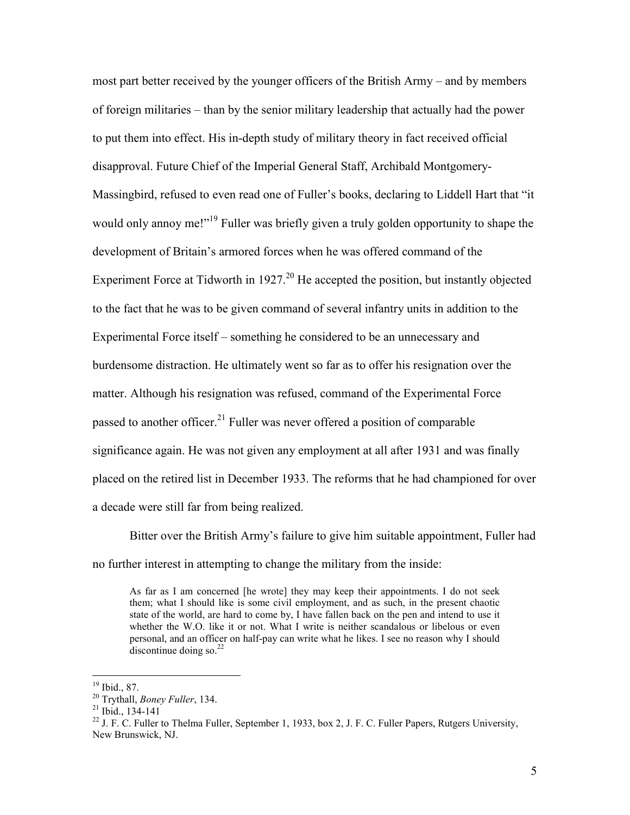most part better received by the younger officers of the British Army – and by members of foreign militaries – than by the senior military leadership that actually had the power to put them into effect. His in-depth study of military theory in fact received official disapproval. Future Chief of the Imperial General Staff, Archibald Montgomery-Massingbird, refused to even read one of Fuller's books, declaring to Liddell Hart that "it would only annoy me!"<sup>19</sup> Fuller was briefly given a truly golden opportunity to shape the development of Britain's armored forces when he was offered command of the Experiment Force at Tidworth in  $1927<sup>20</sup>$  He accepted the position, but instantly objected to the fact that he was to be given command of several infantry units in addition to the Experimental Force itself – something he considered to be an unnecessary and burdensome distraction. He ultimately went so far as to offer his resignation over the matter. Although his resignation was refused, command of the Experimental Force passed to another officer.<sup>21</sup> Fuller was never offered a position of comparable significance again. He was not given any employment at all after 1931 and was finally placed on the retired list in December 1933. The reforms that he had championed for over a decade were still far from being realized.

Bitter over the British Army's failure to give him suitable appointment, Fuller had no further interest in attempting to change the military from the inside:

As far as I am concerned [he wrote] they may keep their appointments. I do not seek them; what I should like is some civil employment, and as such, in the present chaotic state of the world, are hard to come by, I have fallen back on the pen and intend to use it whether the W.O. like it or not. What I write is neither scandalous or libelous or even personal, and an officer on half-pay can write what he likes. I see no reason why I should discontinue doing so. $^{22}$ 

 $19$  Ibid., 87.

<sup>20</sup> Trythall, *Boney Fuller*, 134.

 $21$  Ibid., 134-141

<sup>&</sup>lt;sup>22</sup> J. F. C. Fuller to Thelma Fuller, September 1, 1933, box 2, J. F. C. Fuller Papers, Rutgers University, New Brunswick, NJ.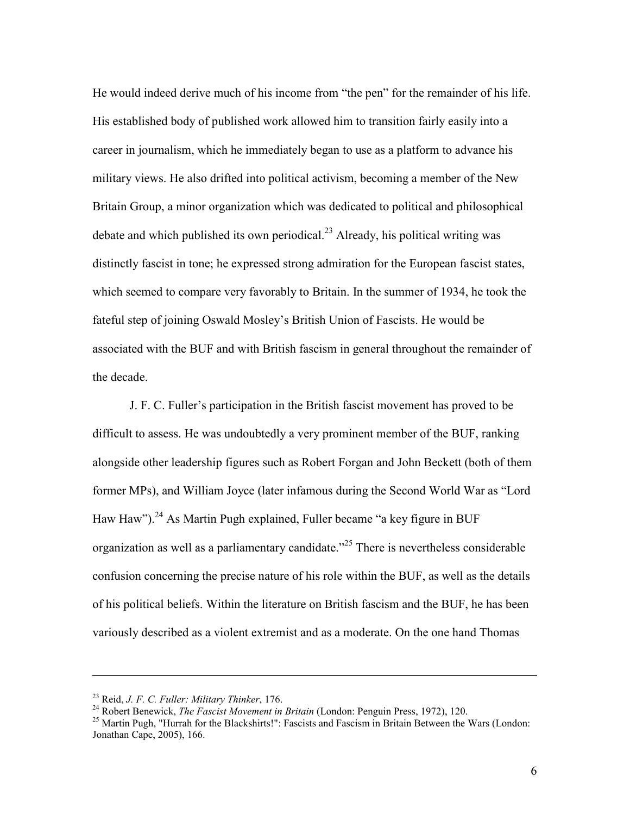He would indeed derive much of his income from "the pen" for the remainder of his life. His established body of published work allowed him to transition fairly easily into a career in journalism, which he immediately began to use as a platform to advance his military views. He also drifted into political activism, becoming a member of the New Britain Group, a minor organization which was dedicated to political and philosophical debate and which published its own periodical.<sup>23</sup> Already, his political writing was distinctly fascist in tone; he expressed strong admiration for the European fascist states, which seemed to compare very favorably to Britain. In the summer of 1934, he took the fateful step of joining Oswald Mosley's British Union of Fascists. He would be associated with the BUF and with British fascism in general throughout the remainder of the decade.

 J. F. C. Fuller's participation in the British fascist movement has proved to be difficult to assess. He was undoubtedly a very prominent member of the BUF, ranking alongside other leadership figures such as Robert Forgan and John Beckett (both of them former MPs), and William Joyce (later infamous during the Second World War as "Lord Haw Haw").<sup>24</sup> As Martin Pugh explained, Fuller became "a key figure in BUF organization as well as a parliamentary candidate.<sup>325</sup> There is nevertheless considerable confusion concerning the precise nature of his role within the BUF, as well as the details of his political beliefs. Within the literature on British fascism and the BUF, he has been variously described as a violent extremist and as a moderate. On the one hand Thomas

<sup>23</sup> Reid, *J. F. C. Fuller: Military Thinker*, 176.

<sup>24</sup> Robert Benewick, *The Fascist Movement in Britain* (London: Penguin Press, 1972), 120.

 $^{25}$  Martin Pugh, "Hurrah for the Blackshirts!": Fascists and Fascism in Britain Between the Wars (London: Jonathan Cape, 2005), 166.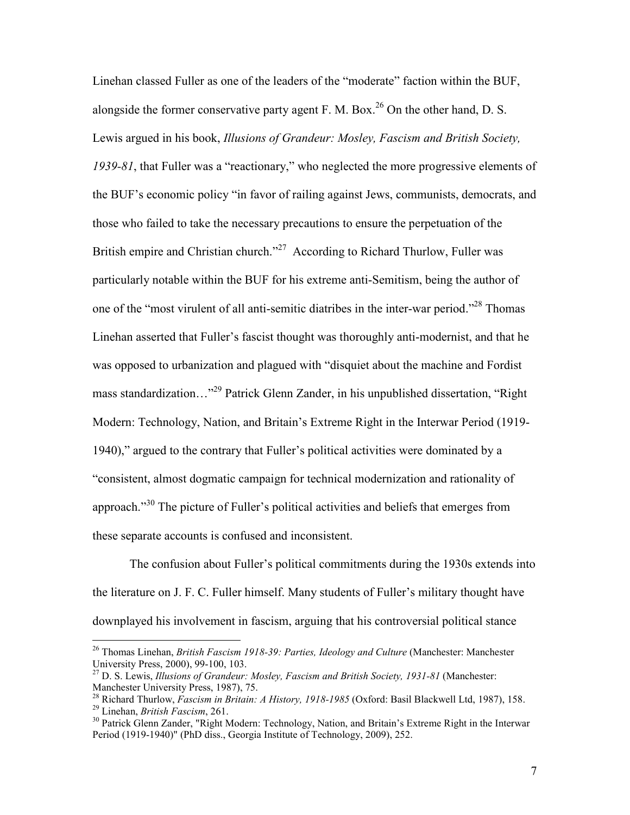Linehan classed Fuller as one of the leaders of the "moderate" faction within the BUF, alongside the former conservative party agent F. M. Box.<sup>26</sup> On the other hand, D. S. Lewis argued in his book, *Illusions of Grandeur: Mosley, Fascism and British Society, 1939-81*, that Fuller was a "reactionary," who neglected the more progressive elements of the BUF's economic policy "in favor of railing against Jews, communists, democrats, and those who failed to take the necessary precautions to ensure the perpetuation of the British empire and Christian church."<sup>27</sup> According to Richard Thurlow, Fuller was particularly notable within the BUF for his extreme anti-Semitism, being the author of one of the "most virulent of all anti-semitic diatribes in the inter-war period."<sup>28</sup> Thomas Linehan asserted that Fuller's fascist thought was thoroughly anti-modernist, and that he was opposed to urbanization and plagued with "disquiet about the machine and Fordist mass standardization…"<sup>29</sup> Patrick Glenn Zander, in his unpublished dissertation, "Right Modern: Technology, Nation, and Britain's Extreme Right in the Interwar Period (1919- 1940)," argued to the contrary that Fuller's political activities were dominated by a "consistent, almost dogmatic campaign for technical modernization and rationality of approach."<sup>30</sup> The picture of Fuller's political activities and beliefs that emerges from these separate accounts is confused and inconsistent.

 The confusion about Fuller's political commitments during the 1930s extends into the literature on J. F. C. Fuller himself. Many students of Fuller's military thought have downplayed his involvement in fascism, arguing that his controversial political stance

<sup>26</sup> Thomas Linehan, *British Fascism 1918-39: Parties, Ideology and Culture* (Manchester: Manchester University Press, 2000), 99-100, 103.

<sup>27</sup> D. S. Lewis, *Illusions of Grandeur: Mosley, Fascism and British Society, 1931-81* (Manchester: Manchester University Press, 1987), 75.

<sup>28</sup> Richard Thurlow, *Fascism in Britain: A History, 1918-1985* (Oxford: Basil Blackwell Ltd, 1987), 158.

<sup>29</sup> Linehan, *British Fascism*, 261.

<sup>&</sup>lt;sup>30</sup> Patrick Glenn Zander, "Right Modern: Technology, Nation, and Britain's Extreme Right in the Interwar Period (1919-1940)" (PhD diss., Georgia Institute of Technology, 2009), 252.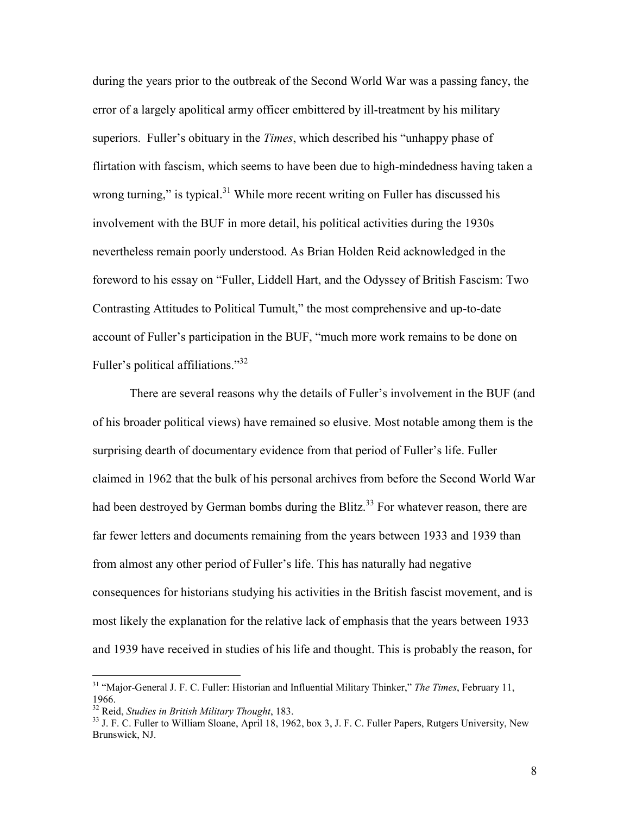during the years prior to the outbreak of the Second World War was a passing fancy, the error of a largely apolitical army officer embittered by ill-treatment by his military superiors. Fuller's obituary in the *Times*, which described his "unhappy phase of flirtation with fascism, which seems to have been due to high-mindedness having taken a wrong turning," is typical.<sup>31</sup> While more recent writing on Fuller has discussed his involvement with the BUF in more detail, his political activities during the 1930s nevertheless remain poorly understood. As Brian Holden Reid acknowledged in the foreword to his essay on "Fuller, Liddell Hart, and the Odyssey of British Fascism: Two Contrasting Attitudes to Political Tumult," the most comprehensive and up-to-date account of Fuller's participation in the BUF, "much more work remains to be done on Fuller's political affiliations."<sup>32</sup>

 There are several reasons why the details of Fuller's involvement in the BUF (and of his broader political views) have remained so elusive. Most notable among them is the surprising dearth of documentary evidence from that period of Fuller's life. Fuller claimed in 1962 that the bulk of his personal archives from before the Second World War had been destroyed by German bombs during the Blitz.<sup>33</sup> For whatever reason, there are far fewer letters and documents remaining from the years between 1933 and 1939 than from almost any other period of Fuller's life. This has naturally had negative consequences for historians studying his activities in the British fascist movement, and is most likely the explanation for the relative lack of emphasis that the years between 1933 and 1939 have received in studies of his life and thought. This is probably the reason, for

<sup>31</sup> "Major-General J. F. C. Fuller: Historian and Influential Military Thinker," *The Times*, February 11, 1966.

<sup>32</sup> Reid, *Studies in British Military Thought*, 183.

<sup>&</sup>lt;sup>33</sup> J. F. C. Fuller to William Sloane, April 18, 1962, box 3, J. F. C. Fuller Papers, Rutgers University, New Brunswick, NJ.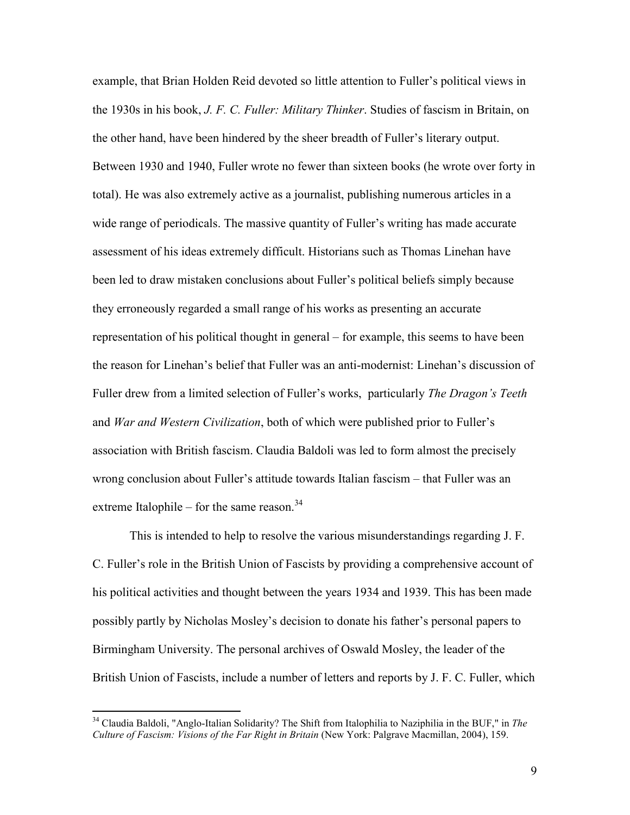example, that Brian Holden Reid devoted so little attention to Fuller's political views in the 1930s in his book, *J. F. C. Fuller: Military Thinker*. Studies of fascism in Britain, on the other hand, have been hindered by the sheer breadth of Fuller's literary output. Between 1930 and 1940, Fuller wrote no fewer than sixteen books (he wrote over forty in total). He was also extremely active as a journalist, publishing numerous articles in a wide range of periodicals. The massive quantity of Fuller's writing has made accurate assessment of his ideas extremely difficult. Historians such as Thomas Linehan have been led to draw mistaken conclusions about Fuller's political beliefs simply because they erroneously regarded a small range of his works as presenting an accurate representation of his political thought in general – for example, this seems to have been the reason for Linehan's belief that Fuller was an anti-modernist: Linehan's discussion of Fuller drew from a limited selection of Fuller's works, particularly *The Dragon's Teeth* and *War and Western Civilization*, both of which were published prior to Fuller's association with British fascism. Claudia Baldoli was led to form almost the precisely wrong conclusion about Fuller's attitude towards Italian fascism – that Fuller was an extreme Italophile – for the same reason. $34$ 

 This is intended to help to resolve the various misunderstandings regarding J. F. C. Fuller's role in the British Union of Fascists by providing a comprehensive account of his political activities and thought between the years 1934 and 1939. This has been made possibly partly by Nicholas Mosley's decision to donate his father's personal papers to Birmingham University. The personal archives of Oswald Mosley, the leader of the British Union of Fascists, include a number of letters and reports by J. F. C. Fuller, which

<sup>34</sup> Claudia Baldoli, "Anglo-Italian Solidarity? The Shift from Italophilia to Naziphilia in the BUF," in *The Culture of Fascism: Visions of the Far Right in Britain* (New York: Palgrave Macmillan, 2004), 159.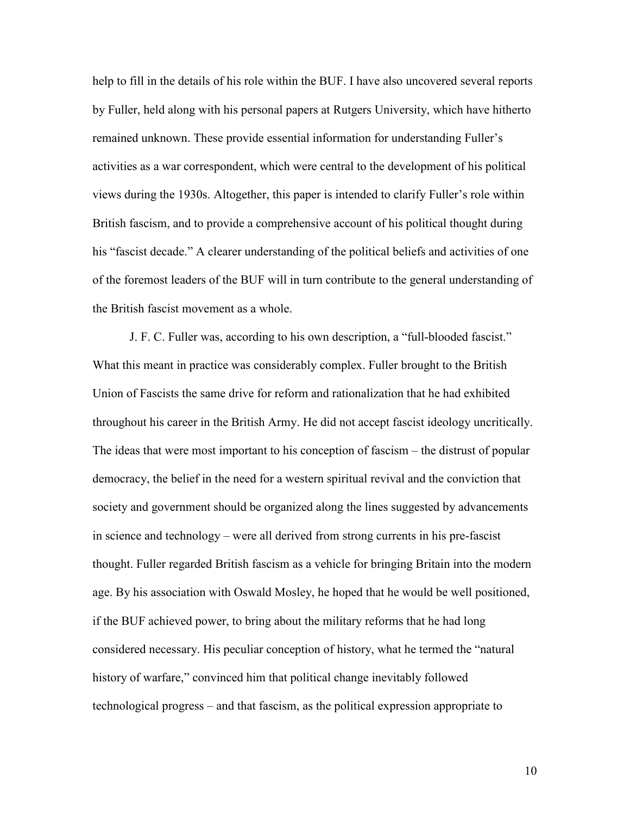help to fill in the details of his role within the BUF. I have also uncovered several reports by Fuller, held along with his personal papers at Rutgers University, which have hitherto remained unknown. These provide essential information for understanding Fuller's activities as a war correspondent, which were central to the development of his political views during the 1930s. Altogether, this paper is intended to clarify Fuller's role within British fascism, and to provide a comprehensive account of his political thought during his "fascist decade." A clearer understanding of the political beliefs and activities of one of the foremost leaders of the BUF will in turn contribute to the general understanding of the British fascist movement as a whole.

 J. F. C. Fuller was, according to his own description, a "full-blooded fascist." What this meant in practice was considerably complex. Fuller brought to the British Union of Fascists the same drive for reform and rationalization that he had exhibited throughout his career in the British Army. He did not accept fascist ideology uncritically. The ideas that were most important to his conception of fascism – the distrust of popular democracy, the belief in the need for a western spiritual revival and the conviction that society and government should be organized along the lines suggested by advancements in science and technology – were all derived from strong currents in his pre-fascist thought. Fuller regarded British fascism as a vehicle for bringing Britain into the modern age. By his association with Oswald Mosley, he hoped that he would be well positioned, if the BUF achieved power, to bring about the military reforms that he had long considered necessary. His peculiar conception of history, what he termed the "natural history of warfare," convinced him that political change inevitably followed technological progress – and that fascism, as the political expression appropriate to

10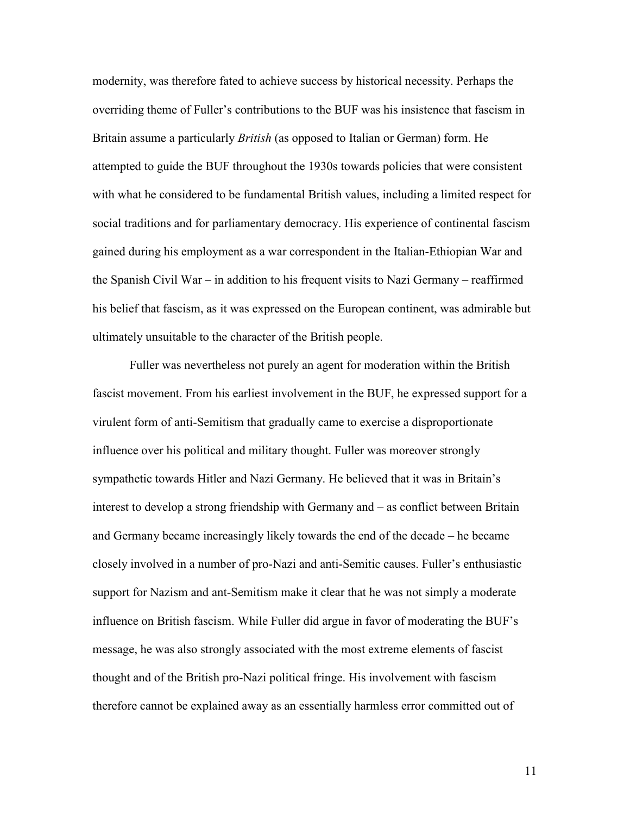modernity, was therefore fated to achieve success by historical necessity. Perhaps the overriding theme of Fuller's contributions to the BUF was his insistence that fascism in Britain assume a particularly *British* (as opposed to Italian or German) form. He attempted to guide the BUF throughout the 1930s towards policies that were consistent with what he considered to be fundamental British values, including a limited respect for social traditions and for parliamentary democracy. His experience of continental fascism gained during his employment as a war correspondent in the Italian-Ethiopian War and the Spanish Civil War – in addition to his frequent visits to Nazi Germany – reaffirmed his belief that fascism, as it was expressed on the European continent, was admirable but ultimately unsuitable to the character of the British people.

Fuller was nevertheless not purely an agent for moderation within the British fascist movement. From his earliest involvement in the BUF, he expressed support for a virulent form of anti-Semitism that gradually came to exercise a disproportionate influence over his political and military thought. Fuller was moreover strongly sympathetic towards Hitler and Nazi Germany. He believed that it was in Britain's interest to develop a strong friendship with Germany and – as conflict between Britain and Germany became increasingly likely towards the end of the decade – he became closely involved in a number of pro-Nazi and anti-Semitic causes. Fuller's enthusiastic support for Nazism and ant-Semitism make it clear that he was not simply a moderate influence on British fascism. While Fuller did argue in favor of moderating the BUF's message, he was also strongly associated with the most extreme elements of fascist thought and of the British pro-Nazi political fringe. His involvement with fascism therefore cannot be explained away as an essentially harmless error committed out of

11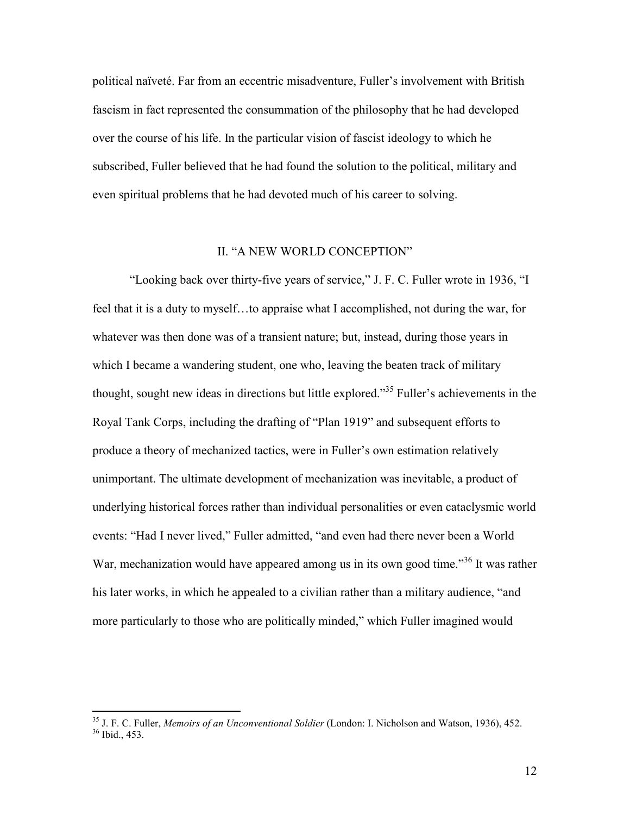political naïveté. Far from an eccentric misadventure, Fuller's involvement with British fascism in fact represented the consummation of the philosophy that he had developed over the course of his life. In the particular vision of fascist ideology to which he subscribed, Fuller believed that he had found the solution to the political, military and even spiritual problems that he had devoted much of his career to solving.

### II. "A NEW WORLD CONCEPTION"

 "Looking back over thirty-five years of service," J. F. C. Fuller wrote in 1936, "I feel that it is a duty to myself…to appraise what I accomplished, not during the war, for whatever was then done was of a transient nature; but, instead, during those years in which I became a wandering student, one who, leaving the beaten track of military thought, sought new ideas in directions but little explored."<sup>35</sup> Fuller's achievements in the Royal Tank Corps, including the drafting of "Plan 1919" and subsequent efforts to produce a theory of mechanized tactics, were in Fuller's own estimation relatively unimportant. The ultimate development of mechanization was inevitable, a product of underlying historical forces rather than individual personalities or even cataclysmic world events: "Had I never lived," Fuller admitted, "and even had there never been a World War, mechanization would have appeared among us in its own good time.<sup>356</sup> It was rather his later works, in which he appealed to a civilian rather than a military audience, "and more particularly to those who are politically minded," which Fuller imagined would

<sup>35</sup> J. F. C. Fuller, *Memoirs of an Unconventional Soldier* (London: I. Nicholson and Watson, 1936), 452.  $36$  Ibid., 453.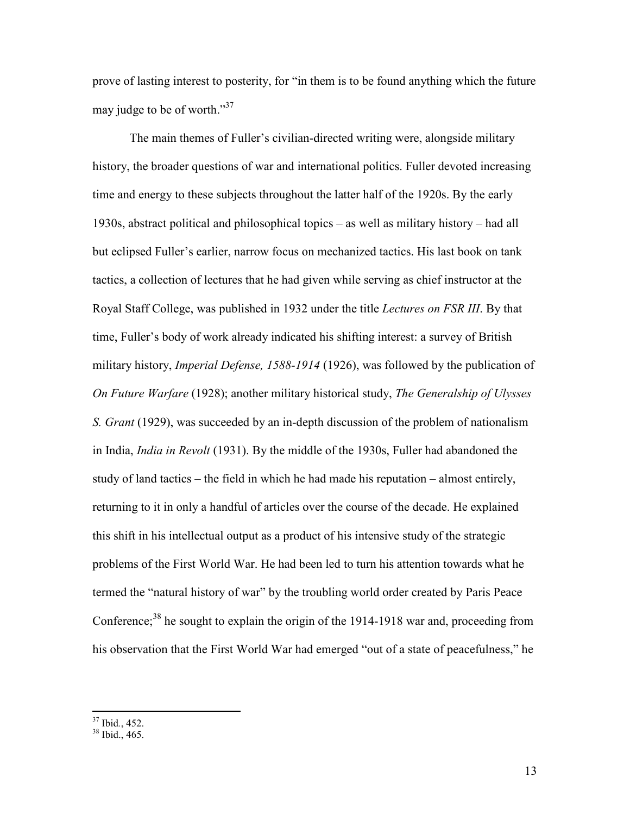prove of lasting interest to posterity, for "in them is to be found anything which the future may judge to be of worth."<sup>37</sup>

The main themes of Fuller's civilian-directed writing were, alongside military history, the broader questions of war and international politics. Fuller devoted increasing time and energy to these subjects throughout the latter half of the 1920s. By the early 1930s, abstract political and philosophical topics – as well as military history – had all but eclipsed Fuller's earlier, narrow focus on mechanized tactics. His last book on tank tactics, a collection of lectures that he had given while serving as chief instructor at the Royal Staff College, was published in 1932 under the title *Lectures on FSR III*. By that time, Fuller's body of work already indicated his shifting interest: a survey of British military history, *Imperial Defense, 1588-1914* (1926), was followed by the publication of *On Future Warfare* (1928); another military historical study, *The Generalship of Ulysses S. Grant* (1929), was succeeded by an in-depth discussion of the problem of nationalism in India, *India in Revolt* (1931). By the middle of the 1930s, Fuller had abandoned the study of land tactics – the field in which he had made his reputation – almost entirely, returning to it in only a handful of articles over the course of the decade. He explained this shift in his intellectual output as a product of his intensive study of the strategic problems of the First World War. He had been led to turn his attention towards what he termed the "natural history of war" by the troubling world order created by Paris Peace Conference; $^{38}$  he sought to explain the origin of the 1914-1918 war and, proceeding from his observation that the First World War had emerged "out of a state of peacefulness," he

<sup>37</sup> Ibid*.*, 452.

<sup>38</sup> Ibid., 465.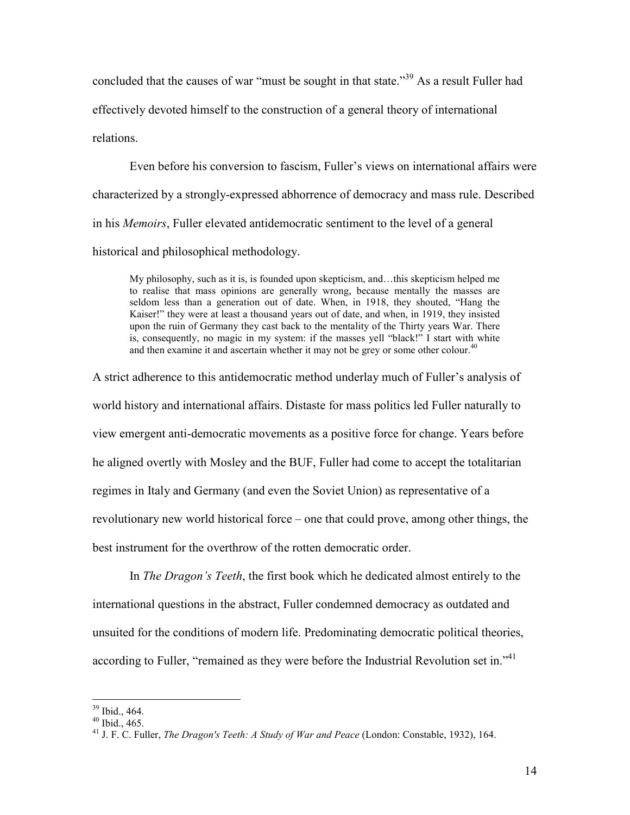concluded that the causes of war "must be sought in that state."<sup>39</sup> As a result Fuller had effectively devoted himself to the construction of a general theory of international relations.

Even before his conversion to fascism, Fuller's views on international affairs were characterized by a strongly-expressed abhorrence of democracy and mass rule. Described in his *Memoirs*, Fuller elevated antidemocratic sentiment to the level of a general historical and philosophical methodology.

My philosophy, such as it is, is founded upon skepticism, and…this skepticism helped me to realise that mass opinions are generally wrong, because mentally the masses are seldom less than a generation out of date. When, in 1918, they shouted, "Hang the Kaiser!" they were at least a thousand years out of date, and when, in 1919, they insisted upon the ruin of Germany they cast back to the mentality of the Thirty years War. There is, consequently, no magic in my system: if the masses yell "black!" I start with white and then examine it and ascertain whether it may not be grey or some other colour. $40$ 

A strict adherence to this antidemocratic method underlay much of Fuller's analysis of world history and international affairs. Distaste for mass politics led Fuller naturally to view emergent anti-democratic movements as a positive force for change. Years before he aligned overtly with Mosley and the BUF, Fuller had come to accept the totalitarian regimes in Italy and Germany (and even the Soviet Union) as representative of a revolutionary new world historical force – one that could prove, among other things, the best instrument for the overthrow of the rotten democratic order.

In *The Dragon's Teeth*, the first book which he dedicated almost entirely to the international questions in the abstract, Fuller condemned democracy as outdated and unsuited for the conditions of modern life. Predominating democratic political theories, according to Fuller, "remained as they were before the Industrial Revolution set in."<sup>41</sup>

<sup>39</sup> Ibid., 464.

 $40$  Ibid.,  $465$ .

<sup>41</sup> J. F. C. Fuller, *The Dragon's Teeth: A Study of War and Peace* (London: Constable, 1932), 164.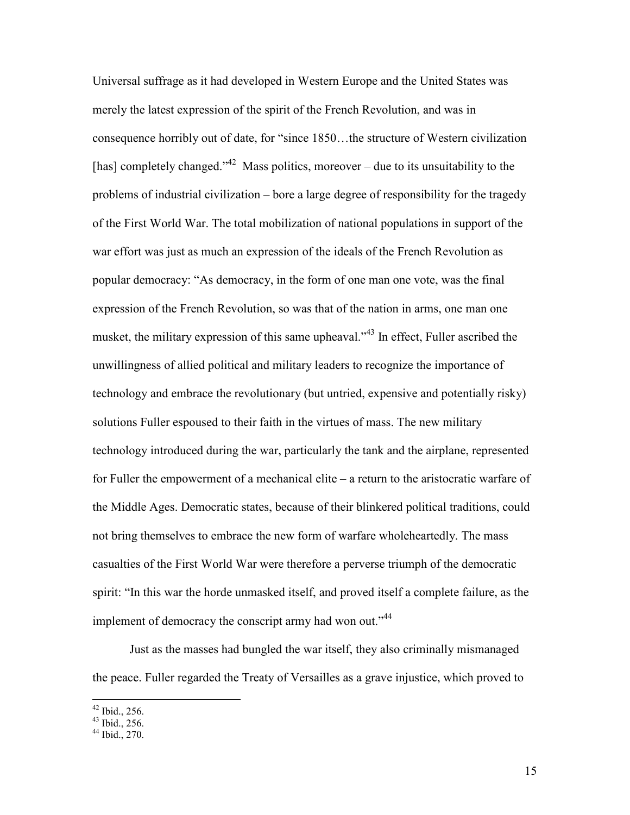Universal suffrage as it had developed in Western Europe and the United States was merely the latest expression of the spirit of the French Revolution, and was in consequence horribly out of date, for "since 1850…the structure of Western civilization [has] completely changed.<sup> $342$ </sup> Mass politics, moreover – due to its unsuitability to the problems of industrial civilization – bore a large degree of responsibility for the tragedy of the First World War. The total mobilization of national populations in support of the war effort was just as much an expression of the ideals of the French Revolution as popular democracy: "As democracy, in the form of one man one vote, was the final expression of the French Revolution, so was that of the nation in arms, one man one musket, the military expression of this same upheaval."<sup>43</sup> In effect, Fuller ascribed the unwillingness of allied political and military leaders to recognize the importance of technology and embrace the revolutionary (but untried, expensive and potentially risky) solutions Fuller espoused to their faith in the virtues of mass. The new military technology introduced during the war, particularly the tank and the airplane, represented for Fuller the empowerment of a mechanical elite – a return to the aristocratic warfare of the Middle Ages. Democratic states, because of their blinkered political traditions, could not bring themselves to embrace the new form of warfare wholeheartedly. The mass casualties of the First World War were therefore a perverse triumph of the democratic spirit: "In this war the horde unmasked itself, and proved itself a complete failure, as the implement of democracy the conscript army had won out."<sup>44</sup>

Just as the masses had bungled the war itself, they also criminally mismanaged the peace. Fuller regarded the Treaty of Versailles as a grave injustice, which proved to

 $42$  Ibid., 256.

 $43$  Ibid., 256.

 $44$  Ibid., 270.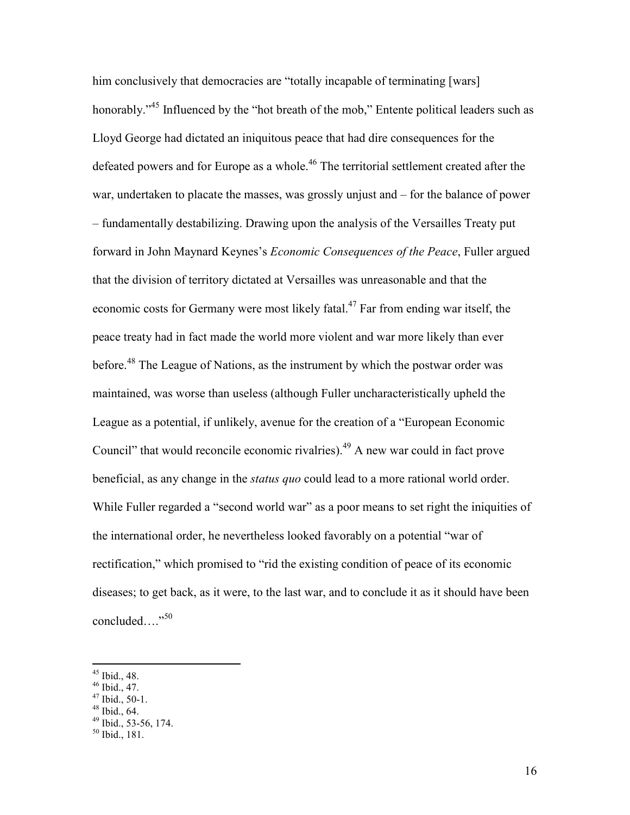him conclusively that democracies are "totally incapable of terminating [wars] honorably."<sup>45</sup> Influenced by the "hot breath of the mob," Entente political leaders such as Lloyd George had dictated an iniquitous peace that had dire consequences for the defeated powers and for Europe as a whole.<sup>46</sup> The territorial settlement created after the war, undertaken to placate the masses, was grossly unjust and – for the balance of power – fundamentally destabilizing. Drawing upon the analysis of the Versailles Treaty put forward in John Maynard Keynes's *Economic Consequences of the Peace*, Fuller argued that the division of territory dictated at Versailles was unreasonable and that the economic costs for Germany were most likely fatal.<sup>47</sup> Far from ending war itself, the peace treaty had in fact made the world more violent and war more likely than ever before.<sup>48</sup> The League of Nations, as the instrument by which the postwar order was maintained, was worse than useless (although Fuller uncharacteristically upheld the League as a potential, if unlikely, avenue for the creation of a "European Economic Council" that would reconcile economic rivalries).<sup>49</sup> A new war could in fact prove beneficial, as any change in the *status quo* could lead to a more rational world order. While Fuller regarded a "second world war" as a poor means to set right the iniquities of the international order, he nevertheless looked favorably on a potential "war of rectification," which promised to "rid the existing condition of peace of its economic diseases; to get back, as it were, to the last war, and to conclude it as it should have been concluded…."<sup>50</sup>

 $45$  Ibid., 48.

 $46$  Ibid., 47.

 $47$  Ibid., 50-1.

 $48$  Ibid., 64.

 $49$  Ibid., 53-56, 174.

 $50$  Ibid., 181.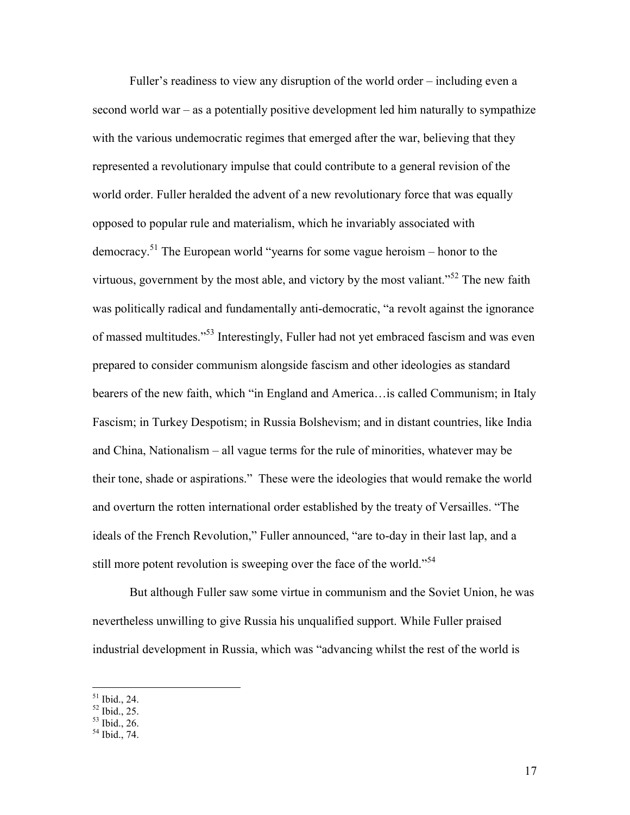Fuller's readiness to view any disruption of the world order – including even a second world war – as a potentially positive development led him naturally to sympathize with the various undemocratic regimes that emerged after the war, believing that they represented a revolutionary impulse that could contribute to a general revision of the world order. Fuller heralded the advent of a new revolutionary force that was equally opposed to popular rule and materialism, which he invariably associated with democracy.<sup>51</sup> The European world "yearns for some vague heroism – honor to the virtuous, government by the most able, and victory by the most valiant."<sup>52</sup> The new faith was politically radical and fundamentally anti-democratic, "a revolt against the ignorance of massed multitudes."<sup>53</sup> Interestingly, Fuller had not yet embraced fascism and was even prepared to consider communism alongside fascism and other ideologies as standard bearers of the new faith, which "in England and America…is called Communism; in Italy Fascism; in Turkey Despotism; in Russia Bolshevism; and in distant countries, like India and China, Nationalism – all vague terms for the rule of minorities, whatever may be their tone, shade or aspirations." These were the ideologies that would remake the world and overturn the rotten international order established by the treaty of Versailles. "The ideals of the French Revolution," Fuller announced, "are to-day in their last lap, and a still more potent revolution is sweeping over the face of the world."<sup>54</sup>

But although Fuller saw some virtue in communism and the Soviet Union, he was nevertheless unwilling to give Russia his unqualified support. While Fuller praised industrial development in Russia, which was "advancing whilst the rest of the world is

 $51$  Ibid., 24.

<sup>52</sup> Ibid., 25.

 $53$  Ibid., 26.

 $54$  Ibid., 74.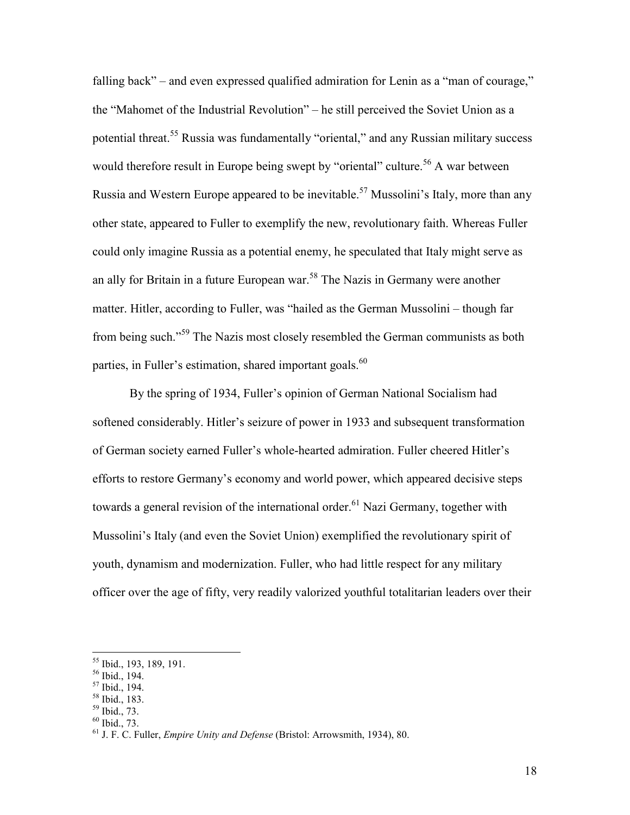falling back" – and even expressed qualified admiration for Lenin as a "man of courage," the "Mahomet of the Industrial Revolution" – he still perceived the Soviet Union as a potential threat.<sup>55</sup> Russia was fundamentally "oriental," and any Russian military success would therefore result in Europe being swept by "oriental" culture.<sup>56</sup> A war between Russia and Western Europe appeared to be inevitable.<sup>57</sup> Mussolini's Italy, more than any other state, appeared to Fuller to exemplify the new, revolutionary faith. Whereas Fuller could only imagine Russia as a potential enemy, he speculated that Italy might serve as an ally for Britain in a future European war.<sup>58</sup> The Nazis in Germany were another matter. Hitler, according to Fuller, was "hailed as the German Mussolini – though far from being such."<sup>59</sup> The Nazis most closely resembled the German communists as both parties, in Fuller's estimation, shared important goals.<sup>60</sup>

By the spring of 1934, Fuller's opinion of German National Socialism had softened considerably. Hitler's seizure of power in 1933 and subsequent transformation of German society earned Fuller's whole-hearted admiration. Fuller cheered Hitler's efforts to restore Germany's economy and world power, which appeared decisive steps towards a general revision of the international order.<sup>61</sup> Nazi Germany, together with Mussolini's Italy (and even the Soviet Union) exemplified the revolutionary spirit of youth, dynamism and modernization. Fuller, who had little respect for any military officer over the age of fifty, very readily valorized youthful totalitarian leaders over their

<sup>55</sup> Ibid., 193, 189, 191.

<sup>56</sup> Ibid., 194.

<sup>57</sup> Ibid., 194.

<sup>58</sup> Ibid., 183. <sup>59</sup> Ibid., 73.

 $60$  Ibid., 73.

<sup>61</sup> J. F. C. Fuller, *Empire Unity and Defense* (Bristol: Arrowsmith, 1934), 80.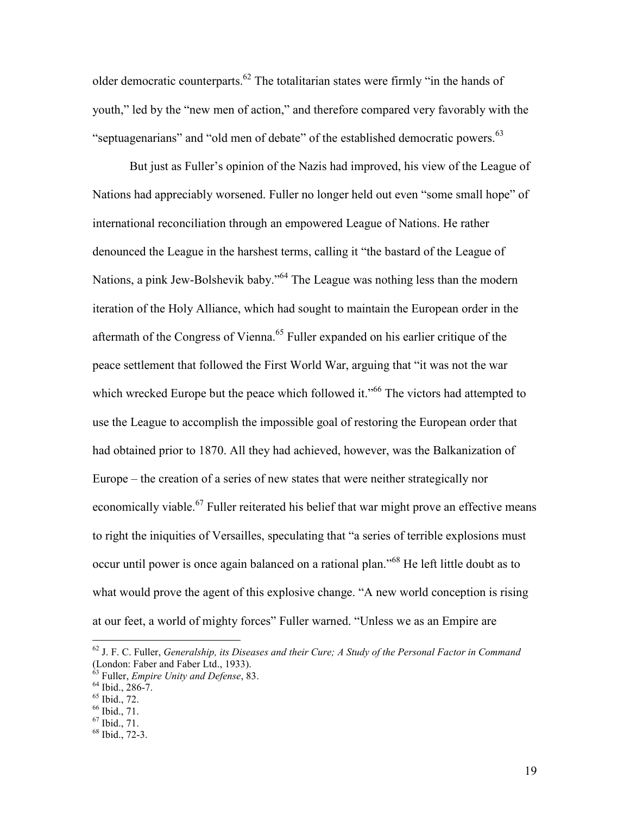older democratic counterparts.<sup>62</sup> The totalitarian states were firmly "in the hands of youth," led by the "new men of action," and therefore compared very favorably with the "septuagenarians" and "old men of debate" of the established democratic powers.<sup>63</sup>

But just as Fuller's opinion of the Nazis had improved, his view of the League of Nations had appreciably worsened. Fuller no longer held out even "some small hope" of international reconciliation through an empowered League of Nations. He rather denounced the League in the harshest terms, calling it "the bastard of the League of Nations, a pink Jew-Bolshevik baby."<sup>64</sup> The League was nothing less than the modern iteration of the Holy Alliance, which had sought to maintain the European order in the aftermath of the Congress of Vienna.<sup>65</sup> Fuller expanded on his earlier critique of the peace settlement that followed the First World War, arguing that "it was not the war which wrecked Europe but the peace which followed it."<sup>66</sup> The victors had attempted to use the League to accomplish the impossible goal of restoring the European order that had obtained prior to 1870. All they had achieved, however, was the Balkanization of Europe – the creation of a series of new states that were neither strategically nor economically viable.<sup>67</sup> Fuller reiterated his belief that war might prove an effective means to right the iniquities of Versailles, speculating that "a series of terrible explosions must occur until power is once again balanced on a rational plan."<sup>68</sup> He left little doubt as to what would prove the agent of this explosive change. "A new world conception is rising at our feet, a world of mighty forces" Fuller warned. "Unless we as an Empire are

<sup>62</sup> J. F. C. Fuller, *Generalship, its Diseases and their Cure; A Study of the Personal Factor in Command* (London: Faber and Faber Ltd., 1933).

<sup>63</sup> Fuller, *Empire Unity and Defense*, 83.

 $64$  Ibid., 286-7.

 $65$  Ibid., 72.

 $66$  Ibid., 71.

 $67$  Ibid.,  $71$ .

 $68$  Ibid., 72-3.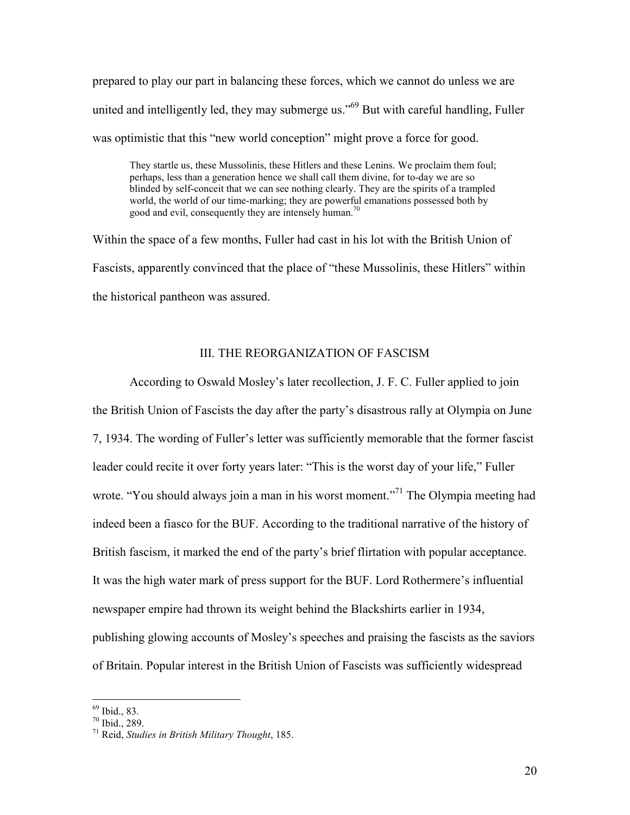prepared to play our part in balancing these forces, which we cannot do unless we are united and intelligently led, they may submerge us."<sup>69</sup> But with careful handling, Fuller was optimistic that this "new world conception" might prove a force for good.

They startle us, these Mussolinis, these Hitlers and these Lenins. We proclaim them foul; perhaps, less than a generation hence we shall call them divine, for to-day we are so blinded by self-conceit that we can see nothing clearly. They are the spirits of a trampled world, the world of our time-marking; they are powerful emanations possessed both by good and evil, consequently they are intensely human.<sup>70</sup>

Within the space of a few months, Fuller had cast in his lot with the British Union of Fascists, apparently convinced that the place of "these Mussolinis, these Hitlers" within the historical pantheon was assured.

### III. THE REORGANIZATION OF FASCISM

According to Oswald Mosley's later recollection, J. F. C. Fuller applied to join the British Union of Fascists the day after the party's disastrous rally at Olympia on June 7, 1934. The wording of Fuller's letter was sufficiently memorable that the former fascist leader could recite it over forty years later: "This is the worst day of your life," Fuller wrote. "You should always join a man in his worst moment."<sup>71</sup> The Olympia meeting had indeed been a fiasco for the BUF. According to the traditional narrative of the history of British fascism, it marked the end of the party's brief flirtation with popular acceptance. It was the high water mark of press support for the BUF. Lord Rothermere's influential newspaper empire had thrown its weight behind the Blackshirts earlier in 1934, publishing glowing accounts of Mosley's speeches and praising the fascists as the saviors of Britain. Popular interest in the British Union of Fascists was sufficiently widespread

<sup>69</sup> Ibid., 83.

 $70$  Ibid., 289.

<sup>71</sup> Reid, *Studies in British Military Thought*, 185.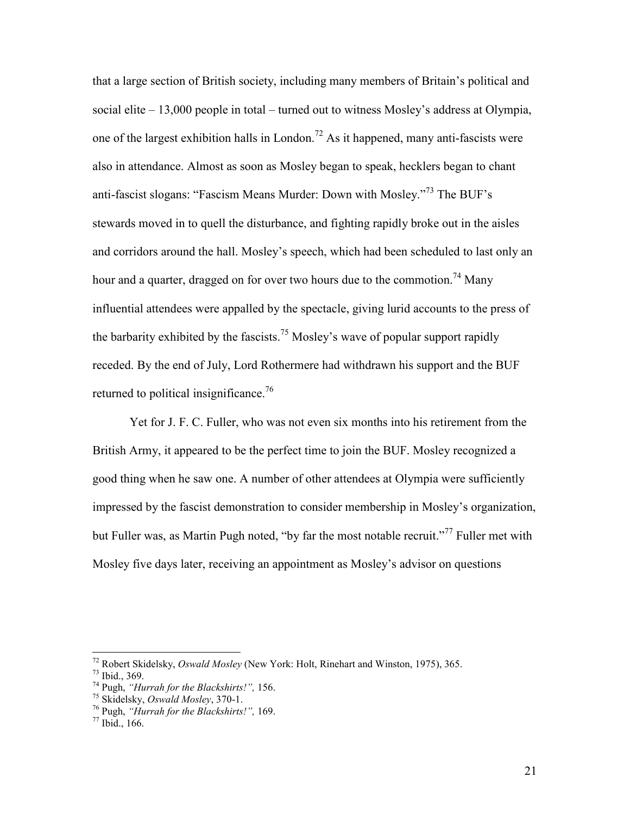that a large section of British society, including many members of Britain's political and social elite – 13,000 people in total – turned out to witness Mosley's address at Olympia, one of the largest exhibition halls in London.<sup>72</sup> As it happened, many anti-fascists were also in attendance. Almost as soon as Mosley began to speak, hecklers began to chant anti-fascist slogans: "Fascism Means Murder: Down with Mosley."<sup>73</sup> The BUF's stewards moved in to quell the disturbance, and fighting rapidly broke out in the aisles and corridors around the hall. Mosley's speech, which had been scheduled to last only an hour and a quarter, dragged on for over two hours due to the commotion.<sup>74</sup> Many influential attendees were appalled by the spectacle, giving lurid accounts to the press of the barbarity exhibited by the fascists.<sup>75</sup> Mosley's wave of popular support rapidly receded. By the end of July, Lord Rothermere had withdrawn his support and the BUF returned to political insignificance.<sup>76</sup>

Yet for J. F. C. Fuller, who was not even six months into his retirement from the British Army, it appeared to be the perfect time to join the BUF. Mosley recognized a good thing when he saw one. A number of other attendees at Olympia were sufficiently impressed by the fascist demonstration to consider membership in Mosley's organization, but Fuller was, as Martin Pugh noted, "by far the most notable recruit."<sup>77</sup> Fuller met with Mosley five days later, receiving an appointment as Mosley's advisor on questions

<sup>72</sup> Robert Skidelsky, *Oswald Mosley* (New York: Holt, Rinehart and Winston, 1975), 365.

<sup>73</sup> Ibid., 369.

<sup>74</sup> Pugh, *"Hurrah for the Blackshirts!",* 156.

<sup>75</sup> Skidelsky, *Oswald Mosley*, 370-1.

<sup>76</sup> Pugh, *"Hurrah for the Blackshirts!",* 169.

 $77$  Ibid., 166.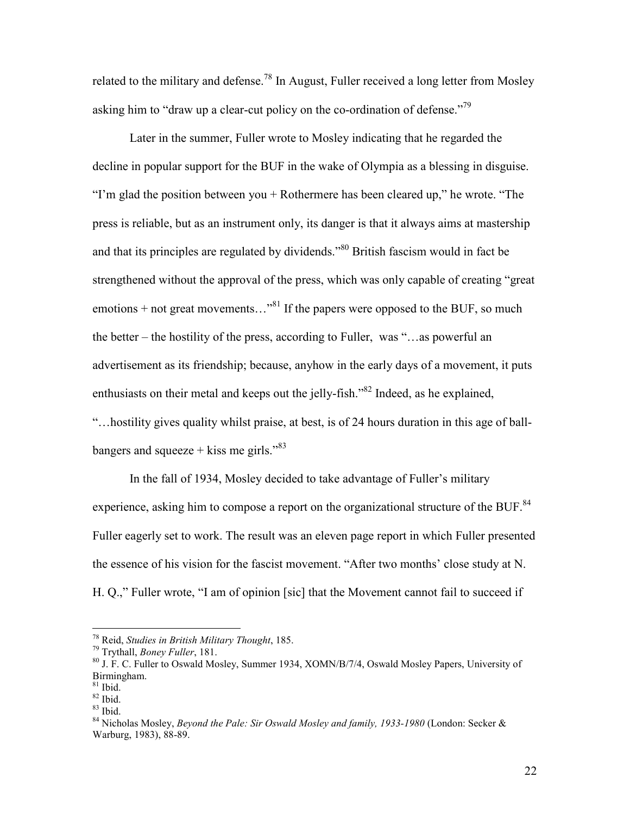related to the military and defense.<sup>78</sup> In August, Fuller received a long letter from Mosley asking him to "draw up a clear-cut policy on the co-ordination of defense."<sup>79</sup>

Later in the summer, Fuller wrote to Mosley indicating that he regarded the decline in popular support for the BUF in the wake of Olympia as a blessing in disguise. "I'm glad the position between you + Rothermere has been cleared up," he wrote. "The press is reliable, but as an instrument only, its danger is that it always aims at mastership and that its principles are regulated by dividends."<sup>80</sup> British fascism would in fact be strengthened without the approval of the press, which was only capable of creating "great emotions + not great movements..."<sup>81</sup> If the papers were opposed to the BUF, so much the better – the hostility of the press, according to Fuller, was "…as powerful an advertisement as its friendship; because, anyhow in the early days of a movement, it puts enthusiasts on their metal and keeps out the jelly-fish.<sup>382</sup> Indeed, as he explained, "…hostility gives quality whilst praise, at best, is of 24 hours duration in this age of ballbangers and squeeze  $+$  kiss me girls."<sup>83</sup>

In the fall of 1934, Mosley decided to take advantage of Fuller's military experience, asking him to compose a report on the organizational structure of the BUF.<sup>84</sup> Fuller eagerly set to work. The result was an eleven page report in which Fuller presented the essence of his vision for the fascist movement. "After two months' close study at N. H. Q.," Fuller wrote, "I am of opinion [sic] that the Movement cannot fail to succeed if

<sup>78</sup> Reid, *Studies in British Military Thought*, 185.

<sup>79</sup> Trythall, *Boney Fuller*, 181.

<sup>80</sup> J. F. C. Fuller to Oswald Mosley, Summer 1934, XOMN/B/7/4, Oswald Mosley Papers, University of Birmingham.

 $81$  Ibid.

<sup>82</sup> Ibid.

<sup>83</sup> Ibid.

<sup>84</sup> Nicholas Mosley, *Beyond the Pale: Sir Oswald Mosley and family, 1933-1980* (London: Secker & Warburg, 1983), 88-89.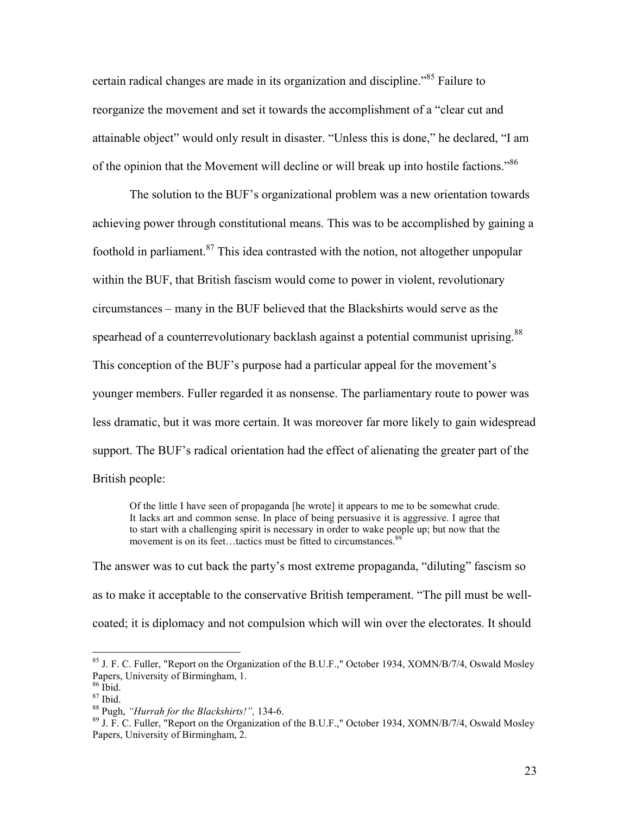certain radical changes are made in its organization and discipline.<sup>85</sup> Failure to reorganize the movement and set it towards the accomplishment of a "clear cut and attainable object" would only result in disaster. "Unless this is done," he declared, "I am of the opinion that the Movement will decline or will break up into hostile factions."<sup>86</sup>

The solution to the BUF's organizational problem was a new orientation towards achieving power through constitutional means. This was to be accomplished by gaining a foothold in parliament. $87$  This idea contrasted with the notion, not altogether unpopular within the BUF, that British fascism would come to power in violent, revolutionary circumstances – many in the BUF believed that the Blackshirts would serve as the spearhead of a counterrevolutionary backlash against a potential communist uprising.<sup>88</sup> This conception of the BUF's purpose had a particular appeal for the movement's younger members. Fuller regarded it as nonsense. The parliamentary route to power was less dramatic, but it was more certain. It was moreover far more likely to gain widespread support. The BUF's radical orientation had the effect of alienating the greater part of the British people:

Of the little I have seen of propaganda [he wrote] it appears to me to be somewhat crude. It lacks art and common sense. In place of being persuasive it is aggressive. I agree that to start with a challenging spirit is necessary in order to wake people up; but now that the movement is on its feet...tactics must be fitted to circumstances.<sup>8</sup>

The answer was to cut back the party's most extreme propaganda, "diluting" fascism so as to make it acceptable to the conservative British temperament. "The pill must be wellcoated; it is diplomacy and not compulsion which will win over the electorates. It should

 $85$  J. F. C. Fuller, "Report on the Organization of the B.U.F.," October 1934, XOMN/B/7/4, Oswald Mosley Papers, University of Birmingham, 1.

<sup>86</sup> Ibid.

 $87$  Ibid.

<sup>88</sup> Pugh, *"Hurrah for the Blackshirts!",* 134-6.

 $89$  J. F. C. Fuller, "Report on the Organization of the B.U.F.," October 1934, XOMN/B/7/4, Oswald Mosley Papers, University of Birmingham, 2.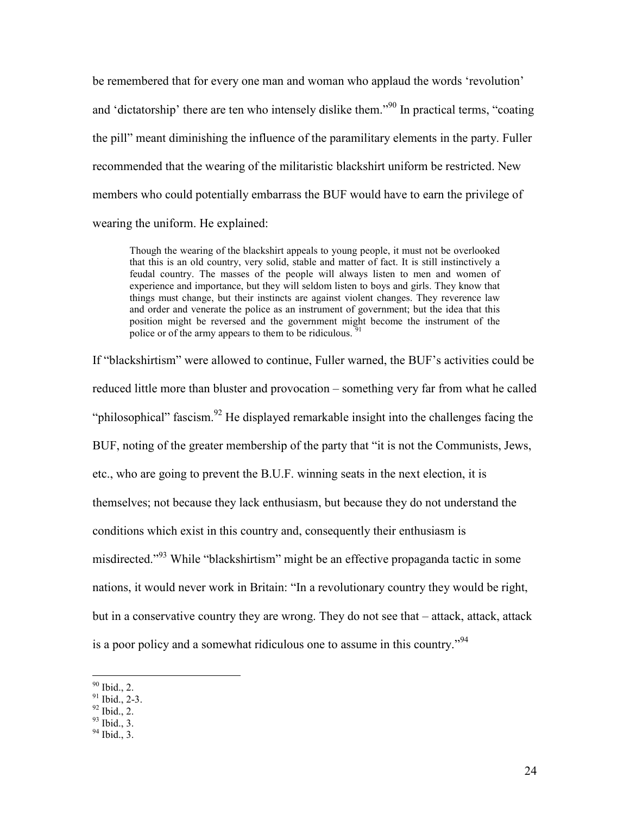be remembered that for every one man and woman who applaud the words 'revolution' and 'dictatorship' there are ten who intensely dislike them."<sup>90</sup> In practical terms, "coating the pill" meant diminishing the influence of the paramilitary elements in the party. Fuller recommended that the wearing of the militaristic blackshirt uniform be restricted. New members who could potentially embarrass the BUF would have to earn the privilege of wearing the uniform. He explained:

Though the wearing of the blackshirt appeals to young people, it must not be overlooked that this is an old country, very solid, stable and matter of fact. It is still instinctively a feudal country. The masses of the people will always listen to men and women of experience and importance, but they will seldom listen to boys and girls. They know that things must change, but their instincts are against violent changes. They reverence law and order and venerate the police as an instrument of government; but the idea that this position might be reversed and the government might become the instrument of the police or of the army appears to them to be ridiculous.  $\frac{5}{3}$ 

If "blackshirtism" were allowed to continue, Fuller warned, the BUF's activities could be reduced little more than bluster and provocation – something very far from what he called "philosophical" fascism.<sup>92</sup> He displayed remarkable insight into the challenges facing the BUF, noting of the greater membership of the party that "it is not the Communists, Jews, etc., who are going to prevent the B.U.F. winning seats in the next election, it is themselves; not because they lack enthusiasm, but because they do not understand the conditions which exist in this country and, consequently their enthusiasm is misdirected."<sup>93</sup> While "blackshirtism" might be an effective propaganda tactic in some nations, it would never work in Britain: "In a revolutionary country they would be right, but in a conservative country they are wrong. They do not see that – attack, attack, attack is a poor policy and a somewhat ridiculous one to assume in this country."<sup>94</sup>

 $90$  Ibid., 2.

 $91$  Ibid., 2-3.

 $92$  Ibid., 2.

 $93$  Ibid., 3.

 $94$  Ibid., 3.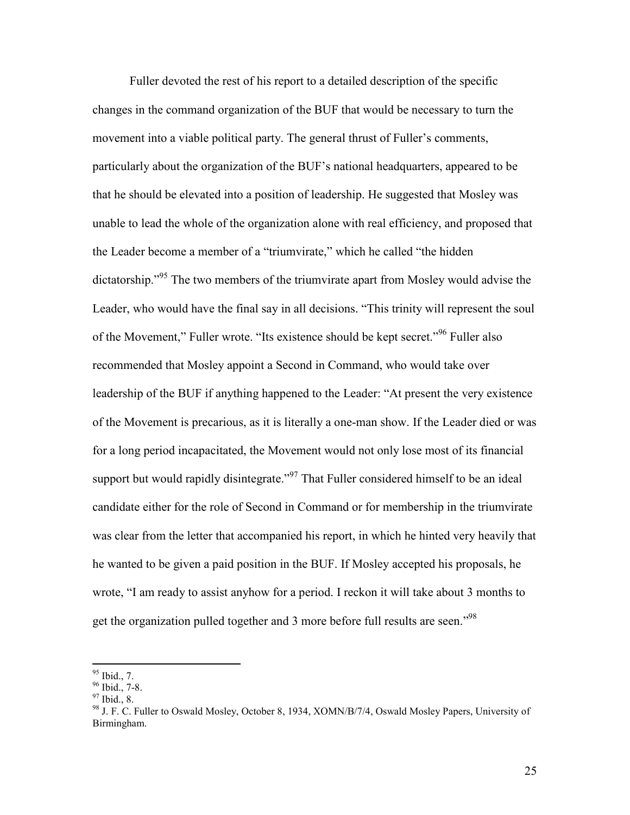Fuller devoted the rest of his report to a detailed description of the specific changes in the command organization of the BUF that would be necessary to turn the movement into a viable political party. The general thrust of Fuller's comments, particularly about the organization of the BUF's national headquarters, appeared to be that he should be elevated into a position of leadership. He suggested that Mosley was unable to lead the whole of the organization alone with real efficiency, and proposed that the Leader become a member of a "triumvirate," which he called "the hidden dictatorship.<sup>"95</sup> The two members of the triumvirate apart from Mosley would advise the Leader, who would have the final say in all decisions. "This trinity will represent the soul of the Movement," Fuller wrote. "Its existence should be kept secret."<sup>96</sup> Fuller also recommended that Mosley appoint a Second in Command, who would take over leadership of the BUF if anything happened to the Leader: "At present the very existence of the Movement is precarious, as it is literally a one-man show. If the Leader died or was for a long period incapacitated, the Movement would not only lose most of its financial support but would rapidly disintegrate."<sup>97</sup> That Fuller considered himself to be an ideal candidate either for the role of Second in Command or for membership in the triumvirate was clear from the letter that accompanied his report, in which he hinted very heavily that he wanted to be given a paid position in the BUF. If Mosley accepted his proposals, he wrote, "I am ready to assist anyhow for a period. I reckon it will take about 3 months to get the organization pulled together and 3 more before full results are seen."<sup>98</sup>

 $95$  Ibid., 7.

<sup>&</sup>lt;sup>96</sup> Ibid., 7-8.

 $97$  Ibid., 8.

<sup>98</sup> J. F. C. Fuller to Oswald Mosley, October 8, 1934, XOMN/B/7/4, Oswald Mosley Papers, University of Birmingham.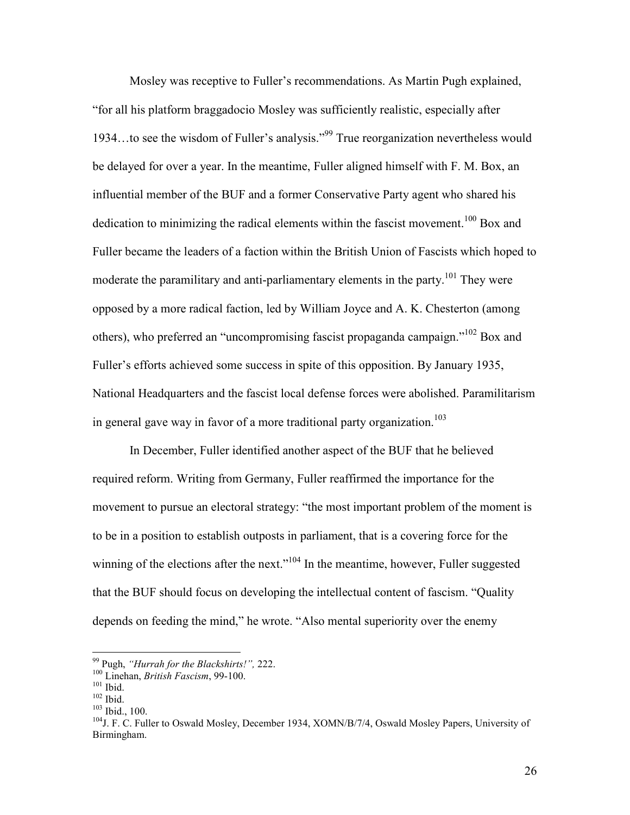Mosley was receptive to Fuller's recommendations. As Martin Pugh explained, "for all his platform braggadocio Mosley was sufficiently realistic, especially after 1934…to see the wisdom of Fuller's analysis."<sup>99</sup> True reorganization nevertheless would be delayed for over a year. In the meantime, Fuller aligned himself with F. M. Box, an influential member of the BUF and a former Conservative Party agent who shared his dedication to minimizing the radical elements within the fascist movement.<sup>100</sup> Box and Fuller became the leaders of a faction within the British Union of Fascists which hoped to moderate the paramilitary and anti-parliamentary elements in the party.<sup>101</sup> They were opposed by a more radical faction, led by William Joyce and A. K. Chesterton (among others), who preferred an "uncompromising fascist propaganda campaign."<sup>102</sup> Box and Fuller's efforts achieved some success in spite of this opposition. By January 1935, National Headquarters and the fascist local defense forces were abolished. Paramilitarism in general gave way in favor of a more traditional party organization.<sup>103</sup>

 In December, Fuller identified another aspect of the BUF that he believed required reform. Writing from Germany, Fuller reaffirmed the importance for the movement to pursue an electoral strategy: "the most important problem of the moment is to be in a position to establish outposts in parliament, that is a covering force for the winning of the elections after the next."<sup>104</sup> In the meantime, however, Fuller suggested that the BUF should focus on developing the intellectual content of fascism. "Quality depends on feeding the mind," he wrote. "Also mental superiority over the enemy

<sup>99</sup> Pugh, *"Hurrah for the Blackshirts!",* 222.

<sup>100</sup> Linehan, *British Fascism*, 99-100.

<sup>&</sup>lt;sup>101</sup> Ibid.

 $102$  Ibid.

<sup>103</sup> Ibid., 100.

<sup>&</sup>lt;sup>104</sup>J. F. C. Fuller to Oswald Mosley, December 1934, XOMN/B/7/4, Oswald Mosley Papers, University of Birmingham.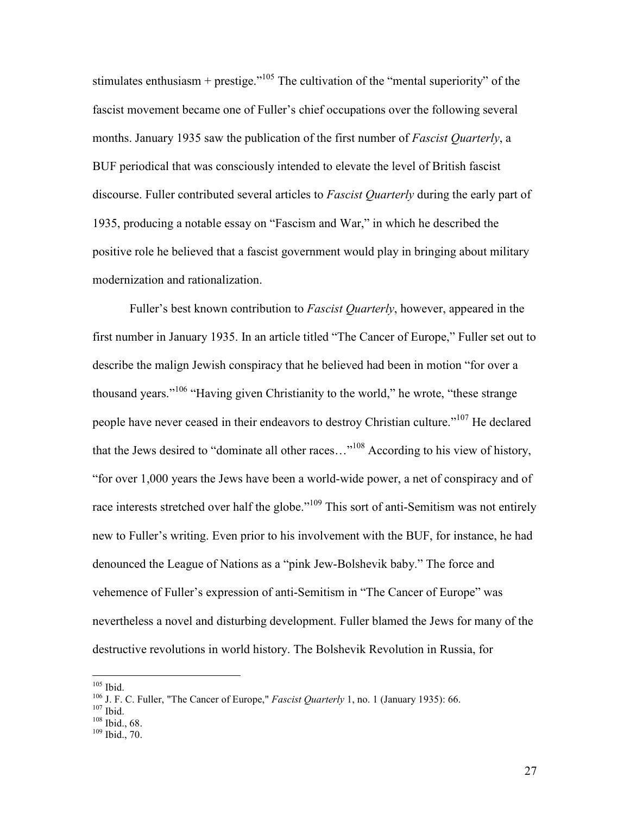stimulates enthusiasm + prestige."<sup>105</sup> The cultivation of the "mental superiority" of the fascist movement became one of Fuller's chief occupations over the following several months. January 1935 saw the publication of the first number of *Fascist Quarterly*, a BUF periodical that was consciously intended to elevate the level of British fascist discourse. Fuller contributed several articles to *Fascist Quarterly* during the early part of 1935, producing a notable essay on "Fascism and War," in which he described the positive role he believed that a fascist government would play in bringing about military modernization and rationalization.

Fuller's best known contribution to *Fascist Quarterly*, however, appeared in the first number in January 1935. In an article titled "The Cancer of Europe," Fuller set out to describe the malign Jewish conspiracy that he believed had been in motion "for over a thousand years."<sup>106</sup> "Having given Christianity to the world," he wrote, "these strange people have never ceased in their endeavors to destroy Christian culture."<sup>107</sup> He declared that the Jews desired to "dominate all other races..."<sup>108</sup> According to his view of history, "for over 1,000 years the Jews have been a world-wide power, a net of conspiracy and of race interests stretched over half the globe."<sup>109</sup> This sort of anti-Semitism was not entirely new to Fuller's writing. Even prior to his involvement with the BUF, for instance, he had denounced the League of Nations as a "pink Jew-Bolshevik baby." The force and vehemence of Fuller's expression of anti-Semitism in "The Cancer of Europe" was nevertheless a novel and disturbing development. Fuller blamed the Jews for many of the destructive revolutions in world history. The Bolshevik Revolution in Russia, for

 $\overline{a}$  $105$  Ibid.

<sup>106</sup> J. F. C. Fuller, "The Cancer of Europe," *Fascist Quarterly* 1, no. 1 (January 1935): 66.

 $107$  Ibid.

 $108$  Ibid., 68.

<sup>109</sup> Ibid., 70.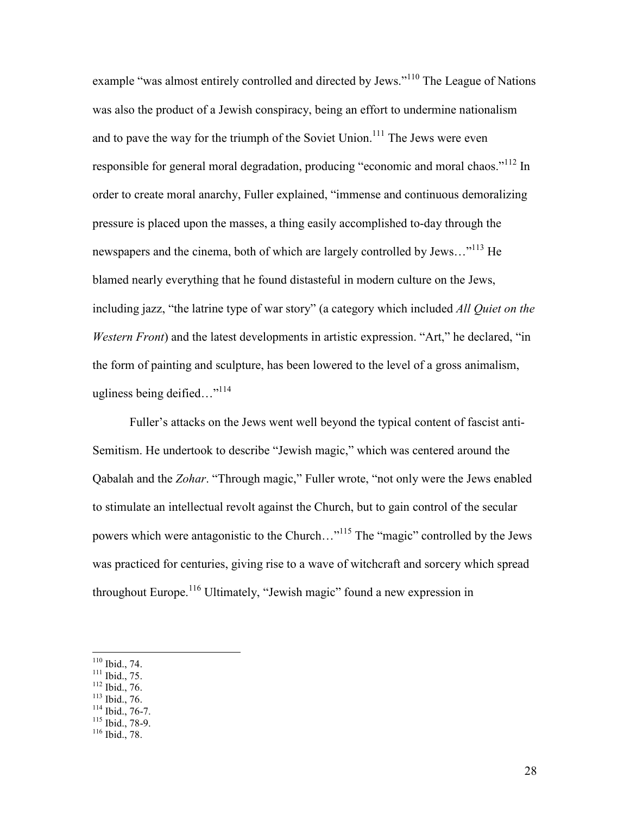example "was almost entirely controlled and directed by Jews."<sup>110</sup> The League of Nations was also the product of a Jewish conspiracy, being an effort to undermine nationalism and to pave the way for the triumph of the Soviet Union.<sup>111</sup> The Jews were even responsible for general moral degradation, producing "economic and moral chaos."<sup>112</sup> In order to create moral anarchy, Fuller explained, "immense and continuous demoralizing pressure is placed upon the masses, a thing easily accomplished to-day through the newspapers and the cinema, both of which are largely controlled by Jews..."<sup>113</sup> He blamed nearly everything that he found distasteful in modern culture on the Jews, including jazz, "the latrine type of war story" (a category which included *All Quiet on the Western Front*) and the latest developments in artistic expression. "Art," he declared, "in the form of painting and sculpture, has been lowered to the level of a gross animalism, ugliness being deified..."<sup>114</sup>

Fuller's attacks on the Jews went well beyond the typical content of fascist anti-Semitism. He undertook to describe "Jewish magic," which was centered around the Qabalah and the *Zohar*. "Through magic," Fuller wrote, "not only were the Jews enabled to stimulate an intellectual revolt against the Church, but to gain control of the secular powers which were antagonistic to the Church…"<sup>115</sup> The "magic" controlled by the Jews was practiced for centuries, giving rise to a wave of witchcraft and sorcery which spread throughout Europe.<sup>116</sup> Ultimately, "Jewish magic" found a new expression in

- $111$  Ibid., 75.
- $112$  Ibid., 76.
- <sup>113</sup> Ibid., 76.
- $114$  Ibid., 76-7.
- $115$  Ibid., 78-9.
- <sup>116</sup> Ibid., 78.

 $\overline{a}$  $110$  Ibid., 74.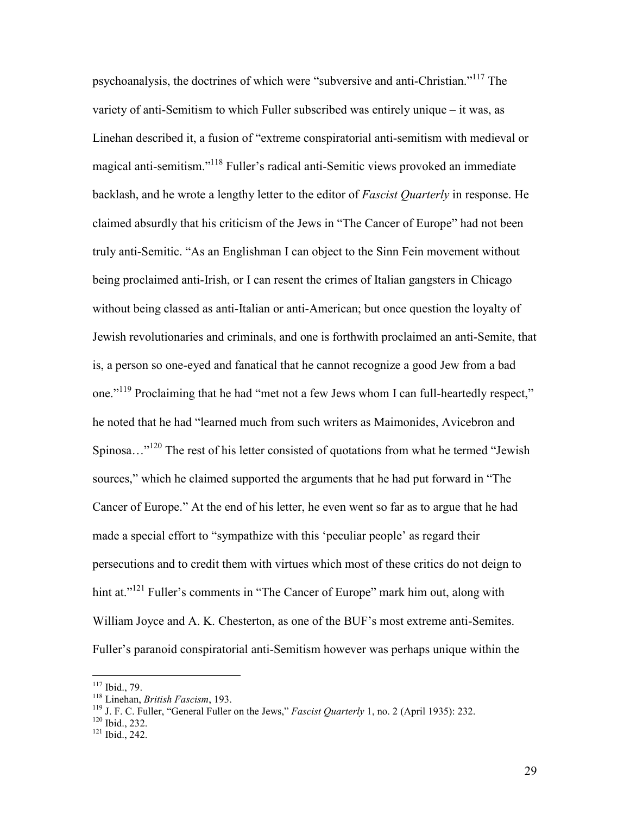psychoanalysis, the doctrines of which were "subversive and anti-Christian."<sup>117</sup> The variety of anti-Semitism to which Fuller subscribed was entirely unique – it was, as Linehan described it, a fusion of "extreme conspiratorial anti-semitism with medieval or magical anti-semitism."<sup>118</sup> Fuller's radical anti-Semitic views provoked an immediate backlash, and he wrote a lengthy letter to the editor of *Fascist Quarterly* in response. He claimed absurdly that his criticism of the Jews in "The Cancer of Europe" had not been truly anti-Semitic. "As an Englishman I can object to the Sinn Fein movement without being proclaimed anti-Irish, or I can resent the crimes of Italian gangsters in Chicago without being classed as anti-Italian or anti-American; but once question the loyalty of Jewish revolutionaries and criminals, and one is forthwith proclaimed an anti-Semite, that is, a person so one-eyed and fanatical that he cannot recognize a good Jew from a bad one."<sup>119</sup> Proclaiming that he had "met not a few Jews whom I can full-heartedly respect," he noted that he had "learned much from such writers as Maimonides, Avicebron and Spinosa...<sup>"120</sup> The rest of his letter consisted of quotations from what he termed "Jewish" sources," which he claimed supported the arguments that he had put forward in "The Cancer of Europe." At the end of his letter, he even went so far as to argue that he had made a special effort to "sympathize with this 'peculiar people' as regard their persecutions and to credit them with virtues which most of these critics do not deign to hint at."<sup>121</sup> Fuller's comments in "The Cancer of Europe" mark him out, along with William Joyce and A. K. Chesterton, as one of the BUF's most extreme anti-Semites. Fuller's paranoid conspiratorial anti-Semitism however was perhaps unique within the

 $\overline{a}$ 

29

 $117$  Ibid., 79.

<sup>118</sup> Linehan, *British Fascism*, 193.

<sup>119</sup> J. F. C. Fuller, "General Fuller on the Jews," *Fascist Quarterly* 1, no. 2 (April 1935): 232.

<sup>120</sup> Ibid., 232.

<sup>121</sup> Ibid., 242.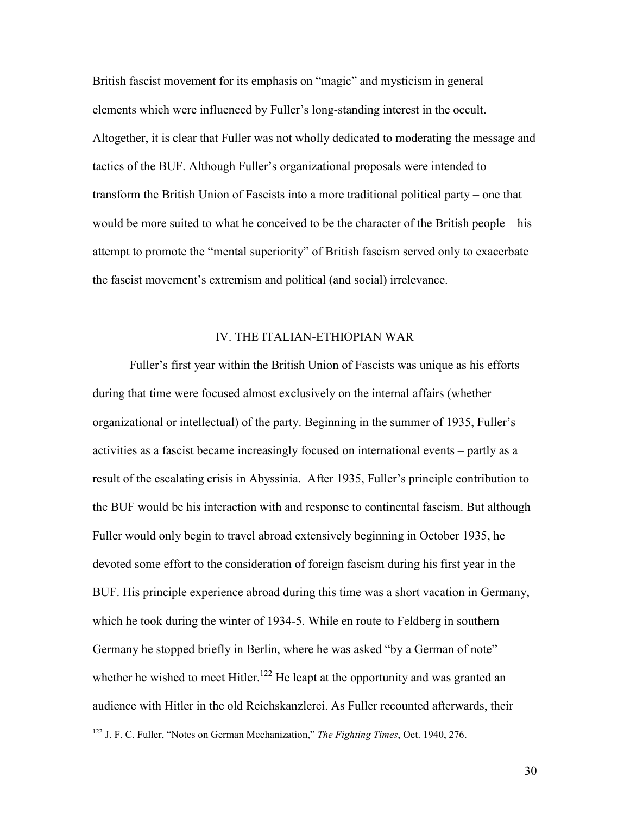British fascist movement for its emphasis on "magic" and mysticism in general – elements which were influenced by Fuller's long-standing interest in the occult. Altogether, it is clear that Fuller was not wholly dedicated to moderating the message and tactics of the BUF. Although Fuller's organizational proposals were intended to transform the British Union of Fascists into a more traditional political party – one that would be more suited to what he conceived to be the character of the British people – his attempt to promote the "mental superiority" of British fascism served only to exacerbate the fascist movement's extremism and political (and social) irrelevance.

### IV. THE ITALIAN-ETHIOPIAN WAR

Fuller's first year within the British Union of Fascists was unique as his efforts during that time were focused almost exclusively on the internal affairs (whether organizational or intellectual) of the party. Beginning in the summer of 1935, Fuller's activities as a fascist became increasingly focused on international events – partly as a result of the escalating crisis in Abyssinia. After 1935, Fuller's principle contribution to the BUF would be his interaction with and response to continental fascism. But although Fuller would only begin to travel abroad extensively beginning in October 1935, he devoted some effort to the consideration of foreign fascism during his first year in the BUF. His principle experience abroad during this time was a short vacation in Germany, which he took during the winter of 1934-5. While en route to Feldberg in southern Germany he stopped briefly in Berlin, where he was asked "by a German of note" whether he wished to meet Hitler.<sup>122</sup> He leapt at the opportunity and was granted an audience with Hitler in the old Reichskanzlerei. As Fuller recounted afterwards, their

<u>.</u>

30

<sup>122</sup> J. F. C. Fuller, "Notes on German Mechanization," *The Fighting Times*, Oct. 1940, 276.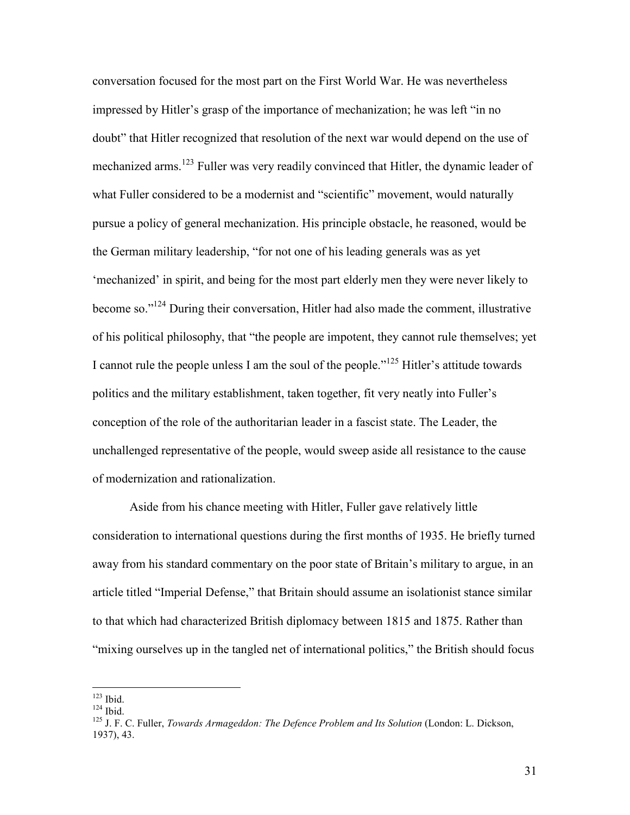conversation focused for the most part on the First World War. He was nevertheless impressed by Hitler's grasp of the importance of mechanization; he was left "in no doubt" that Hitler recognized that resolution of the next war would depend on the use of mechanized arms.<sup>123</sup> Fuller was very readily convinced that Hitler, the dynamic leader of what Fuller considered to be a modernist and "scientific" movement, would naturally pursue a policy of general mechanization. His principle obstacle, he reasoned, would be the German military leadership, "for not one of his leading generals was as yet 'mechanized' in spirit, and being for the most part elderly men they were never likely to become so."<sup>124</sup> During their conversation, Hitler had also made the comment, illustrative of his political philosophy, that "the people are impotent, they cannot rule themselves; yet I cannot rule the people unless I am the soul of the people."<sup>125</sup> Hitler's attitude towards politics and the military establishment, taken together, fit very neatly into Fuller's conception of the role of the authoritarian leader in a fascist state. The Leader, the unchallenged representative of the people, would sweep aside all resistance to the cause of modernization and rationalization.

Aside from his chance meeting with Hitler, Fuller gave relatively little consideration to international questions during the first months of 1935. He briefly turned away from his standard commentary on the poor state of Britain's military to argue, in an article titled "Imperial Defense," that Britain should assume an isolationist stance similar to that which had characterized British diplomacy between 1815 and 1875. Rather than "mixing ourselves up in the tangled net of international politics," the British should focus

 $123$  Ibid.

 $124$  Ibid.

<sup>125</sup> J. F. C. Fuller, *Towards Armageddon: The Defence Problem and Its Solution* (London: L. Dickson, 1937), 43.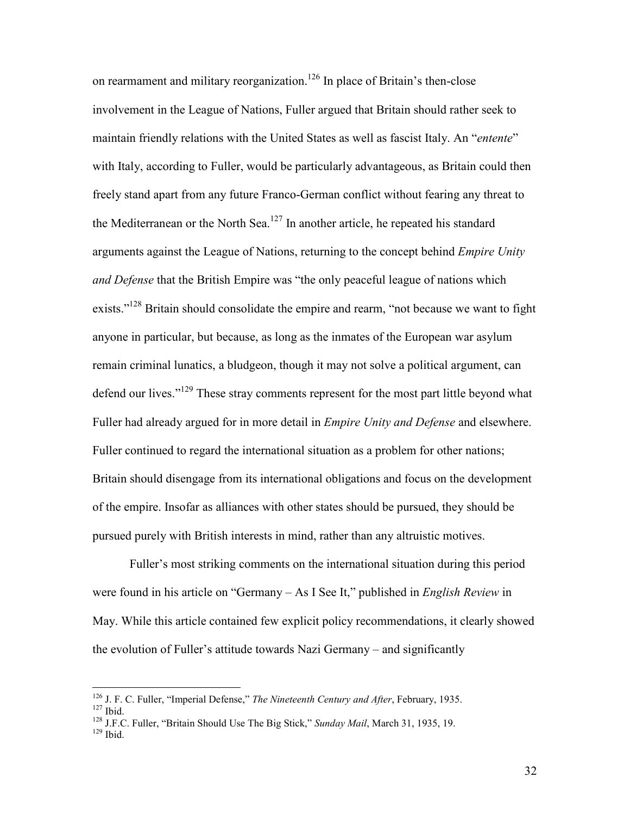on rearmament and military reorganization.<sup>126</sup> In place of Britain's then-close involvement in the League of Nations, Fuller argued that Britain should rather seek to maintain friendly relations with the United States as well as fascist Italy. An "*entente*" with Italy, according to Fuller, would be particularly advantageous, as Britain could then freely stand apart from any future Franco-German conflict without fearing any threat to the Mediterranean or the North Sea.<sup>127</sup> In another article, he repeated his standard arguments against the League of Nations, returning to the concept behind *Empire Unity and Defense* that the British Empire was "the only peaceful league of nations which exists."<sup>128</sup> Britain should consolidate the empire and rearm, "not because we want to fight anyone in particular, but because, as long as the inmates of the European war asylum remain criminal lunatics, a bludgeon, though it may not solve a political argument, can defend our lives."<sup>129</sup> These stray comments represent for the most part little beyond what Fuller had already argued for in more detail in *Empire Unity and Defense* and elsewhere. Fuller continued to regard the international situation as a problem for other nations; Britain should disengage from its international obligations and focus on the development of the empire. Insofar as alliances with other states should be pursued, they should be pursued purely with British interests in mind, rather than any altruistic motives.

Fuller's most striking comments on the international situation during this period were found in his article on "Germany – As I See It," published in *English Review* in May. While this article contained few explicit policy recommendations, it clearly showed the evolution of Fuller's attitude towards Nazi Germany – and significantly

l

<sup>126</sup> J. F. C. Fuller, "Imperial Defense," *The Nineteenth Century and After*, February, 1935.  $127$  Ibid.

<sup>128</sup> J.F.C. Fuller, "Britain Should Use The Big Stick," *Sunday Mail*, March 31, 1935, 19.  $129$  Ibid.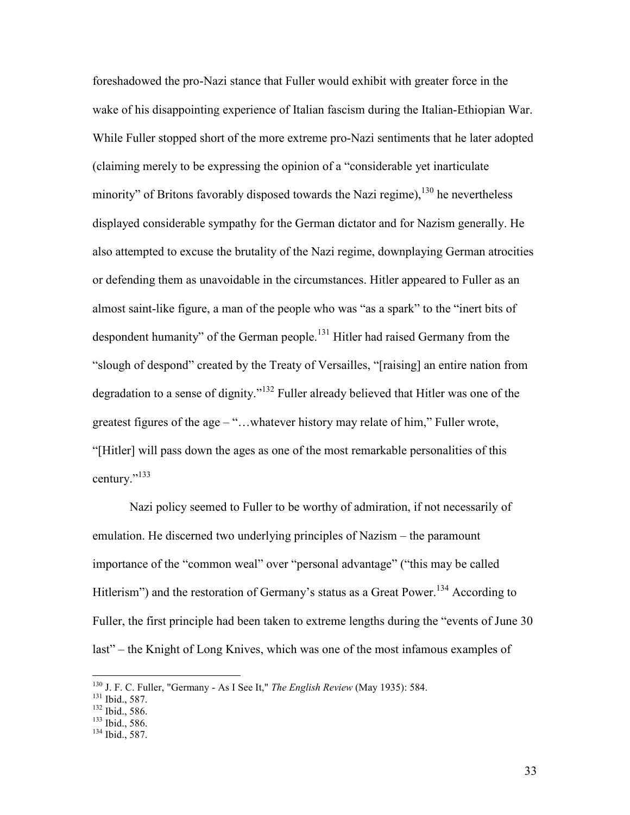foreshadowed the pro-Nazi stance that Fuller would exhibit with greater force in the wake of his disappointing experience of Italian fascism during the Italian-Ethiopian War. While Fuller stopped short of the more extreme pro-Nazi sentiments that he later adopted (claiming merely to be expressing the opinion of a "considerable yet inarticulate minority" of Britons favorably disposed towards the Nazi regime),  $^{130}$  he nevertheless displayed considerable sympathy for the German dictator and for Nazism generally. He also attempted to excuse the brutality of the Nazi regime, downplaying German atrocities or defending them as unavoidable in the circumstances. Hitler appeared to Fuller as an almost saint-like figure, a man of the people who was "as a spark" to the "inert bits of despondent humanity" of the German people.<sup>131</sup> Hitler had raised Germany from the "slough of despond" created by the Treaty of Versailles, "[raising] an entire nation from degradation to a sense of dignity."<sup>132</sup> Fuller already believed that Hitler was one of the greatest figures of the age – "…whatever history may relate of him," Fuller wrote, "[Hitler] will pass down the ages as one of the most remarkable personalities of this century."<sup>133</sup>

Nazi policy seemed to Fuller to be worthy of admiration, if not necessarily of emulation. He discerned two underlying principles of Nazism – the paramount importance of the "common weal" over "personal advantage" ("this may be called Hitlerism") and the restoration of Germany's status as a Great Power.<sup>134</sup> According to Fuller, the first principle had been taken to extreme lengths during the "events of June 30 last" – the Knight of Long Knives, which was one of the most infamous examples of

<sup>130</sup> J. F. C. Fuller, "Germany - As I See It," *The English Review* (May 1935): 584.

<sup>131</sup> Ibid., 587.

<sup>132</sup> Ibid., 586.

<sup>133</sup> Ibid., 586.

<sup>134</sup> Ibid., 587.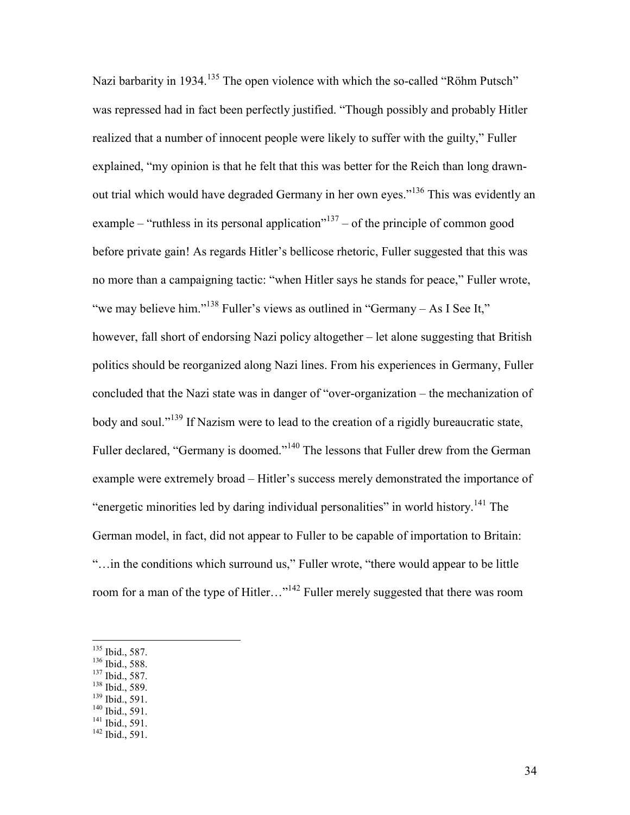Nazi barbarity in 1934.<sup>135</sup> The open violence with which the so-called "Röhm Putsch" was repressed had in fact been perfectly justified. "Though possibly and probably Hitler realized that a number of innocent people were likely to suffer with the guilty," Fuller explained, "my opinion is that he felt that this was better for the Reich than long drawnout trial which would have degraded Germany in her own eyes."<sup>136</sup> This was evidently an example – "ruthless in its personal application"<sup>137</sup> – of the principle of common good before private gain! As regards Hitler's bellicose rhetoric, Fuller suggested that this was no more than a campaigning tactic: "when Hitler says he stands for peace," Fuller wrote, "we may believe him."<sup>138</sup> Fuller's views as outlined in "Germany – As I See It," however, fall short of endorsing Nazi policy altogether – let alone suggesting that British politics should be reorganized along Nazi lines. From his experiences in Germany, Fuller concluded that the Nazi state was in danger of "over-organization – the mechanization of body and soul."<sup>139</sup> If Nazism were to lead to the creation of a rigidly bureaucratic state, Fuller declared, "Germany is doomed."<sup>140</sup> The lessons that Fuller drew from the German example were extremely broad – Hitler's success merely demonstrated the importance of "energetic minorities led by daring individual personalities" in world history.<sup>141</sup> The German model, in fact, did not appear to Fuller to be capable of importation to Britain: "…in the conditions which surround us," Fuller wrote, "there would appear to be little room for a man of the type of Hitler…"<sup>142</sup> Fuller merely suggested that there was room

- <sup>137</sup> Ibid., 587.
- 138 Ibid., 589.
- <sup>139</sup> Ibid., 591.  $140$  Ibid., 591.
- $141$  Ibid., 591.

 $135$  Ibid., 587.

<sup>136</sup> Ibid., 588.

<sup>&</sup>lt;sup>142</sup> Ibid., 591.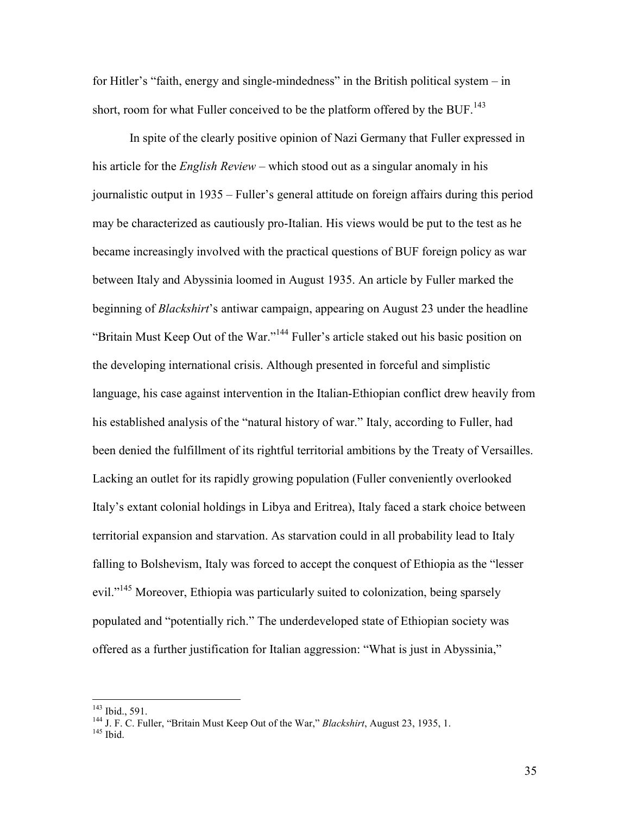for Hitler's "faith, energy and single-mindedness" in the British political system – in short, room for what Fuller conceived to be the platform offered by the BUF.<sup>143</sup>

In spite of the clearly positive opinion of Nazi Germany that Fuller expressed in his article for the *English Review* – which stood out as a singular anomaly in his journalistic output in 1935 – Fuller's general attitude on foreign affairs during this period may be characterized as cautiously pro-Italian. His views would be put to the test as he became increasingly involved with the practical questions of BUF foreign policy as war between Italy and Abyssinia loomed in August 1935. An article by Fuller marked the beginning of *Blackshirt*'s antiwar campaign, appearing on August 23 under the headline "Britain Must Keep Out of the War."<sup>144</sup> Fuller's article staked out his basic position on the developing international crisis. Although presented in forceful and simplistic language, his case against intervention in the Italian-Ethiopian conflict drew heavily from his established analysis of the "natural history of war." Italy, according to Fuller, had been denied the fulfillment of its rightful territorial ambitions by the Treaty of Versailles. Lacking an outlet for its rapidly growing population (Fuller conveniently overlooked Italy's extant colonial holdings in Libya and Eritrea), Italy faced a stark choice between territorial expansion and starvation. As starvation could in all probability lead to Italy falling to Bolshevism, Italy was forced to accept the conquest of Ethiopia as the "lesser evil."<sup>145</sup> Moreover, Ethiopia was particularly suited to colonization, being sparsely populated and "potentially rich." The underdeveloped state of Ethiopian society was offered as a further justification for Italian aggression: "What is just in Abyssinia,"

<u>.</u>

<sup>143</sup> Ibid., 591.

<sup>144</sup> J. F. C. Fuller, "Britain Must Keep Out of the War," *Blackshirt*, August 23, 1935, 1.

<sup>145</sup> Ibid.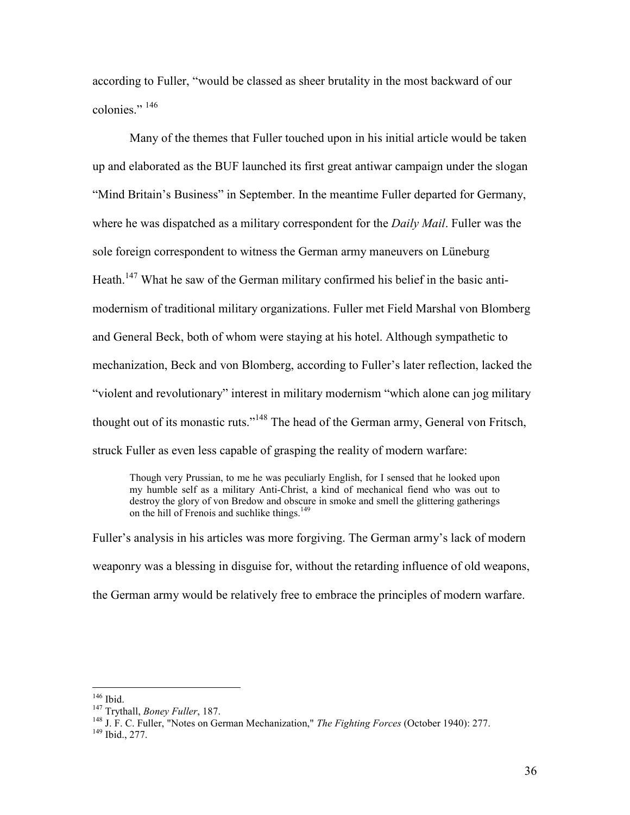according to Fuller, "would be classed as sheer brutality in the most backward of our colonies."  $146$ 

 Many of the themes that Fuller touched upon in his initial article would be taken up and elaborated as the BUF launched its first great antiwar campaign under the slogan "Mind Britain's Business" in September. In the meantime Fuller departed for Germany, where he was dispatched as a military correspondent for the *Daily Mail*. Fuller was the sole foreign correspondent to witness the German army maneuvers on Lüneburg Heath.<sup>147</sup> What he saw of the German military confirmed his belief in the basic antimodernism of traditional military organizations. Fuller met Field Marshal von Blomberg and General Beck, both of whom were staying at his hotel. Although sympathetic to mechanization, Beck and von Blomberg, according to Fuller's later reflection, lacked the "violent and revolutionary" interest in military modernism "which alone can jog military thought out of its monastic ruts."<sup>148</sup> The head of the German army, General von Fritsch, struck Fuller as even less capable of grasping the reality of modern warfare:

Though very Prussian, to me he was peculiarly English, for I sensed that he looked upon my humble self as a military Anti-Christ, a kind of mechanical fiend who was out to destroy the glory of von Bredow and obscure in smoke and smell the glittering gatherings on the hill of Frenois and suchlike things.<sup>149</sup>

Fuller's analysis in his articles was more forgiving. The German army's lack of modern weaponry was a blessing in disguise for, without the retarding influence of old weapons, the German army would be relatively free to embrace the principles of modern warfare.

<sup>146</sup> Ibid.

<sup>147</sup> Trythall, *Boney Fuller*, 187.

<sup>148</sup> J. F. C. Fuller, "Notes on German Mechanization," *The Fighting Forces* (October 1940): 277.

<sup>149</sup> Ibid., 277.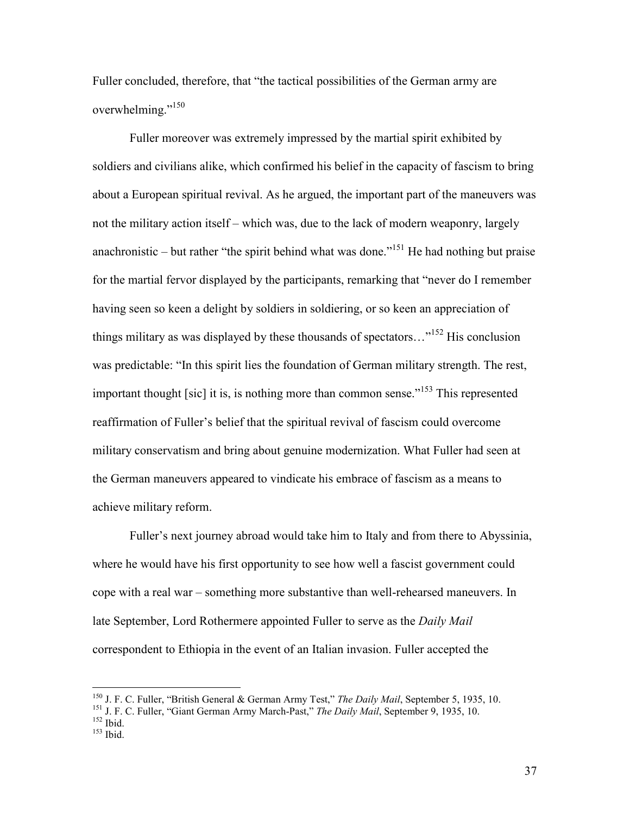Fuller concluded, therefore, that "the tactical possibilities of the German army are overwhelming."<sup>150</sup>

 Fuller moreover was extremely impressed by the martial spirit exhibited by soldiers and civilians alike, which confirmed his belief in the capacity of fascism to bring about a European spiritual revival. As he argued, the important part of the maneuvers was not the military action itself – which was, due to the lack of modern weaponry, largely anachronistic – but rather "the spirit behind what was done."<sup>151</sup> He had nothing but praise for the martial fervor displayed by the participants, remarking that "never do I remember having seen so keen a delight by soldiers in soldiering, or so keen an appreciation of things military as was displayed by these thousands of spectators…"<sup>152</sup> His conclusion was predictable: "In this spirit lies the foundation of German military strength. The rest, important thought [sic] it is, is nothing more than common sense."<sup>153</sup> This represented reaffirmation of Fuller's belief that the spiritual revival of fascism could overcome military conservatism and bring about genuine modernization. What Fuller had seen at the German maneuvers appeared to vindicate his embrace of fascism as a means to achieve military reform.

 Fuller's next journey abroad would take him to Italy and from there to Abyssinia, where he would have his first opportunity to see how well a fascist government could cope with a real war – something more substantive than well-rehearsed maneuvers. In late September, Lord Rothermere appointed Fuller to serve as the *Daily Mail* correspondent to Ethiopia in the event of an Italian invasion. Fuller accepted the

l

<sup>150</sup> J. F. C. Fuller, "British General & German Army Test," *The Daily Mail*, September 5, 1935, 10.

<sup>151</sup> J. F. C. Fuller, "Giant German Army March-Past," *The Daily Mail*, September 9, 1935, 10.  $152$  Ibid.

 $153$  Ibid.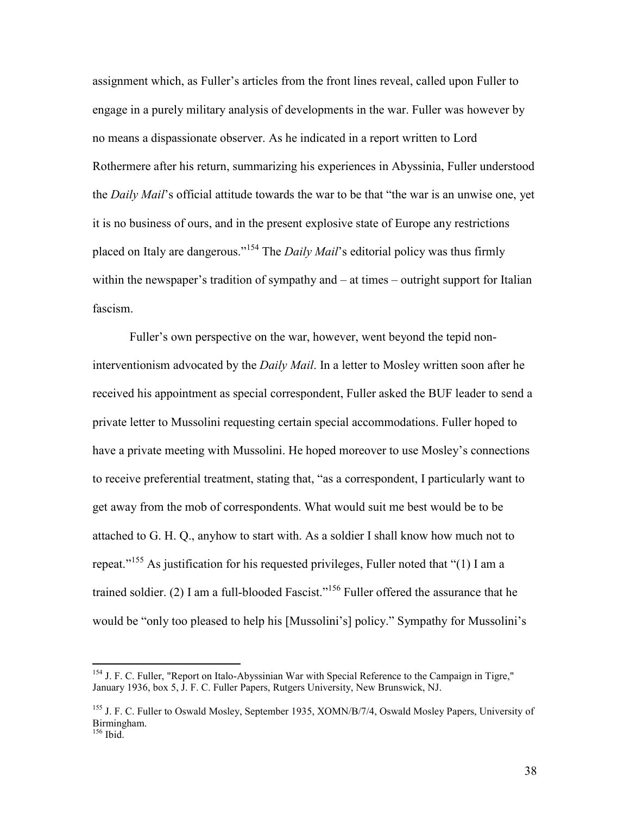assignment which, as Fuller's articles from the front lines reveal, called upon Fuller to engage in a purely military analysis of developments in the war. Fuller was however by no means a dispassionate observer. As he indicated in a report written to Lord Rothermere after his return, summarizing his experiences in Abyssinia, Fuller understood the *Daily Mail*'s official attitude towards the war to be that "the war is an unwise one, yet it is no business of ours, and in the present explosive state of Europe any restrictions placed on Italy are dangerous."<sup>154</sup> The *Daily Mail*'s editorial policy was thus firmly within the newspaper's tradition of sympathy and – at times – outright support for Italian fascism.

 Fuller's own perspective on the war, however, went beyond the tepid noninterventionism advocated by the *Daily Mail*. In a letter to Mosley written soon after he received his appointment as special correspondent, Fuller asked the BUF leader to send a private letter to Mussolini requesting certain special accommodations. Fuller hoped to have a private meeting with Mussolini. He hoped moreover to use Mosley's connections to receive preferential treatment, stating that, "as a correspondent, I particularly want to get away from the mob of correspondents. What would suit me best would be to be attached to G. H. Q., anyhow to start with. As a soldier I shall know how much not to repeat."<sup>155</sup> As justification for his requested privileges, Fuller noted that "(1) I am a trained soldier. (2) I am a full-blooded Fascist."<sup>156</sup> Fuller offered the assurance that he would be "only too pleased to help his [Mussolini's] policy." Sympathy for Mussolini's

<sup>&</sup>lt;sup>154</sup> J. F. C. Fuller, "Report on Italo-Abyssinian War with Special Reference to the Campaign in Tigre," January 1936, box 5, J. F. C. Fuller Papers, Rutgers University, New Brunswick, NJ.

<sup>&</sup>lt;sup>155</sup> J. F. C. Fuller to Oswald Mosley, September 1935, XOMN/B/7/4, Oswald Mosley Papers, University of Birmingham.  $156$  Ibid.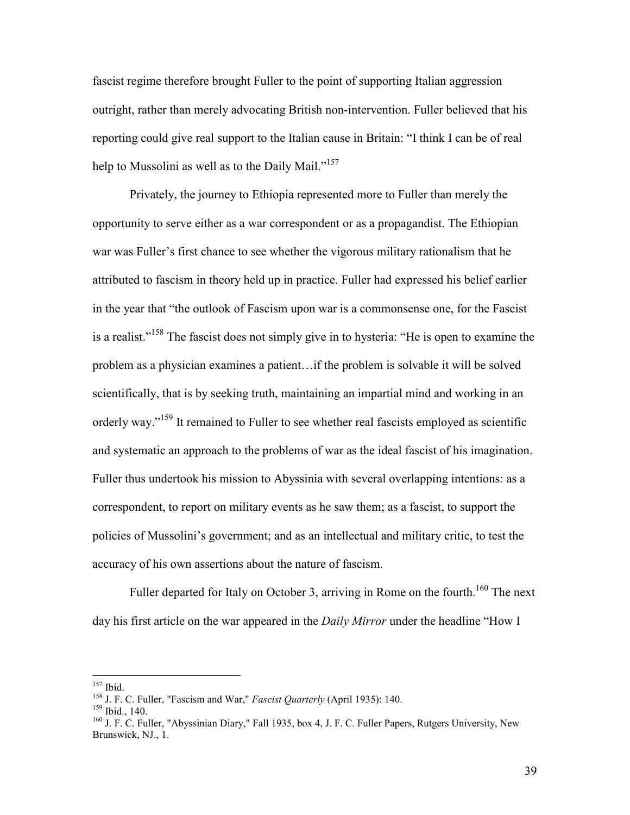fascist regime therefore brought Fuller to the point of supporting Italian aggression outright, rather than merely advocating British non-intervention. Fuller believed that his reporting could give real support to the Italian cause in Britain: "I think I can be of real help to Mussolini as well as to the Daily Mail."<sup>157</sup>

 Privately, the journey to Ethiopia represented more to Fuller than merely the opportunity to serve either as a war correspondent or as a propagandist. The Ethiopian war was Fuller's first chance to see whether the vigorous military rationalism that he attributed to fascism in theory held up in practice. Fuller had expressed his belief earlier in the year that "the outlook of Fascism upon war is a commonsense one, for the Fascist is a realist."<sup>158</sup> The fascist does not simply give in to hysteria: "He is open to examine the problem as a physician examines a patient…if the problem is solvable it will be solved scientifically, that is by seeking truth, maintaining an impartial mind and working in an orderly way."<sup>159</sup> It remained to Fuller to see whether real fascists employed as scientific and systematic an approach to the problems of war as the ideal fascist of his imagination. Fuller thus undertook his mission to Abyssinia with several overlapping intentions: as a correspondent, to report on military events as he saw them; as a fascist, to support the policies of Mussolini's government; and as an intellectual and military critic, to test the accuracy of his own assertions about the nature of fascism.

Fuller departed for Italy on October 3, arriving in Rome on the fourth.<sup>160</sup> The next day his first article on the war appeared in the *Daily Mirror* under the headline "How I

<sup>157</sup> Ibid.

<sup>158</sup> J. F. C. Fuller, "Fascism and War," *Fascist Quarterly* (April 1935): 140.

<sup>159</sup> Ibid., 140.

<sup>&</sup>lt;sup>160</sup> J. F. C. Fuller, "Abyssinian Diary," Fall 1935, box 4, J. F. C. Fuller Papers, Rutgers University, New Brunswick, NJ., 1.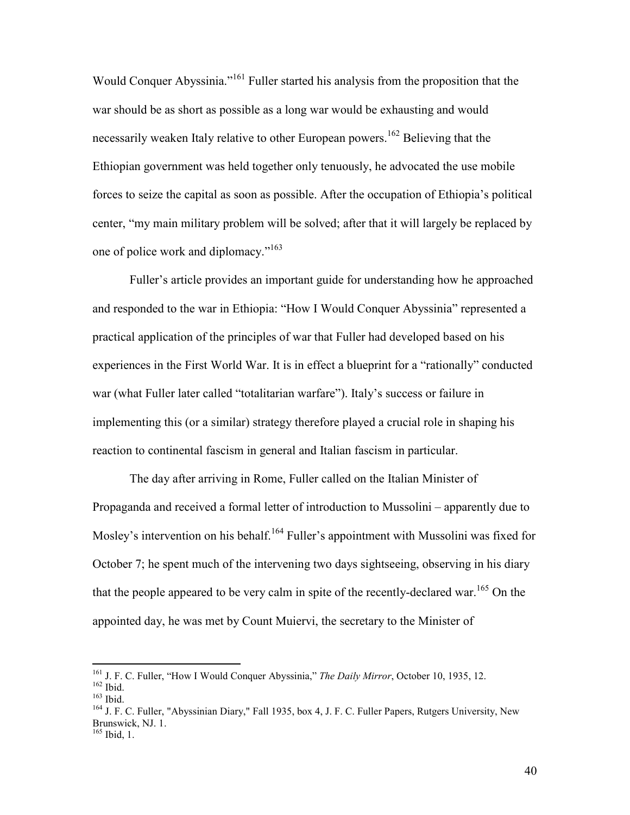Would Conquer Abyssinia."<sup>161</sup> Fuller started his analysis from the proposition that the war should be as short as possible as a long war would be exhausting and would necessarily weaken Italy relative to other European powers.<sup>162</sup> Believing that the Ethiopian government was held together only tenuously, he advocated the use mobile forces to seize the capital as soon as possible. After the occupation of Ethiopia's political center, "my main military problem will be solved; after that it will largely be replaced by one of police work and diplomacy."<sup>163</sup>

Fuller's article provides an important guide for understanding how he approached and responded to the war in Ethiopia: "How I Would Conquer Abyssinia" represented a practical application of the principles of war that Fuller had developed based on his experiences in the First World War. It is in effect a blueprint for a "rationally" conducted war (what Fuller later called "totalitarian warfare"). Italy's success or failure in implementing this (or a similar) strategy therefore played a crucial role in shaping his reaction to continental fascism in general and Italian fascism in particular.

 The day after arriving in Rome, Fuller called on the Italian Minister of Propaganda and received a formal letter of introduction to Mussolini – apparently due to Mosley's intervention on his behalf.<sup>164</sup> Fuller's appointment with Mussolini was fixed for October 7; he spent much of the intervening two days sightseeing, observing in his diary that the people appeared to be very calm in spite of the recently-declared war.<sup>165</sup> On the appointed day, he was met by Count Muiervi, the secretary to the Minister of

<sup>&</sup>lt;sup>161</sup> J. F. C. Fuller, "How I Would Conquer Abyssinia," *The Daily Mirror*, October 10, 1935, 12. <sup>162</sup> Ibid.

<sup>163</sup> Ibid.

<sup>&</sup>lt;sup>164</sup> J. F. C. Fuller, "Abyssinian Diary," Fall 1935, box 4, J. F. C. Fuller Papers, Rutgers University, New Brunswick, NJ. 1.  $165$  Ibid, 1.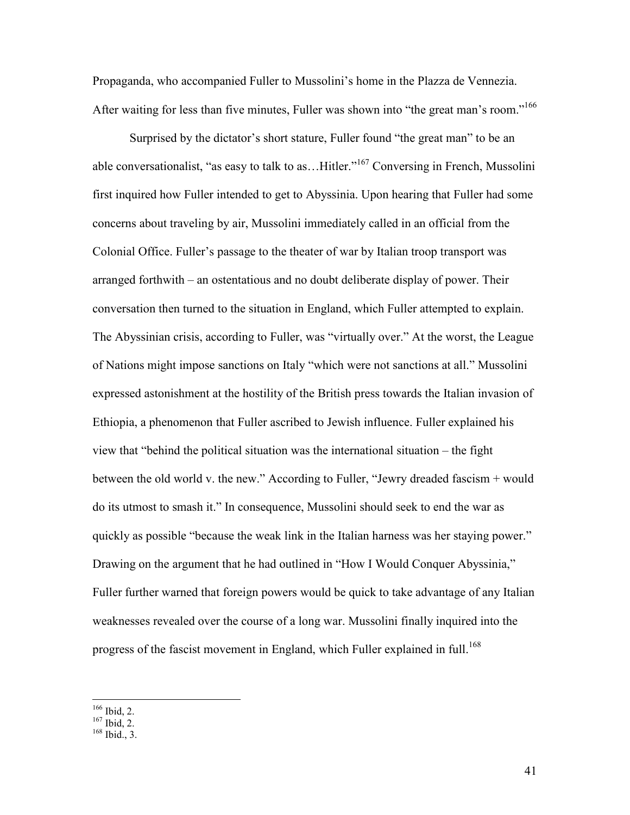Propaganda, who accompanied Fuller to Mussolini's home in the Plazza de Vennezia. After waiting for less than five minutes, Fuller was shown into "the great man's room."<sup>166</sup>

 Surprised by the dictator's short stature, Fuller found "the great man" to be an able conversationalist, "as easy to talk to as…Hitler."<sup>167</sup> Conversing in French, Mussolini first inquired how Fuller intended to get to Abyssinia. Upon hearing that Fuller had some concerns about traveling by air, Mussolini immediately called in an official from the Colonial Office. Fuller's passage to the theater of war by Italian troop transport was arranged forthwith – an ostentatious and no doubt deliberate display of power. Their conversation then turned to the situation in England, which Fuller attempted to explain. The Abyssinian crisis, according to Fuller, was "virtually over." At the worst, the League of Nations might impose sanctions on Italy "which were not sanctions at all." Mussolini expressed astonishment at the hostility of the British press towards the Italian invasion of Ethiopia, a phenomenon that Fuller ascribed to Jewish influence. Fuller explained his view that "behind the political situation was the international situation – the fight between the old world v. the new." According to Fuller, "Jewry dreaded fascism + would do its utmost to smash it." In consequence, Mussolini should seek to end the war as quickly as possible "because the weak link in the Italian harness was her staying power." Drawing on the argument that he had outlined in "How I Would Conquer Abyssinia," Fuller further warned that foreign powers would be quick to take advantage of any Italian weaknesses revealed over the course of a long war. Mussolini finally inquired into the progress of the fascist movement in England, which Fuller explained in full.<sup>168</sup>

 $166$  Ibid, 2.

 $167$  Ibid, 2.

 $168$  Ibid., 3.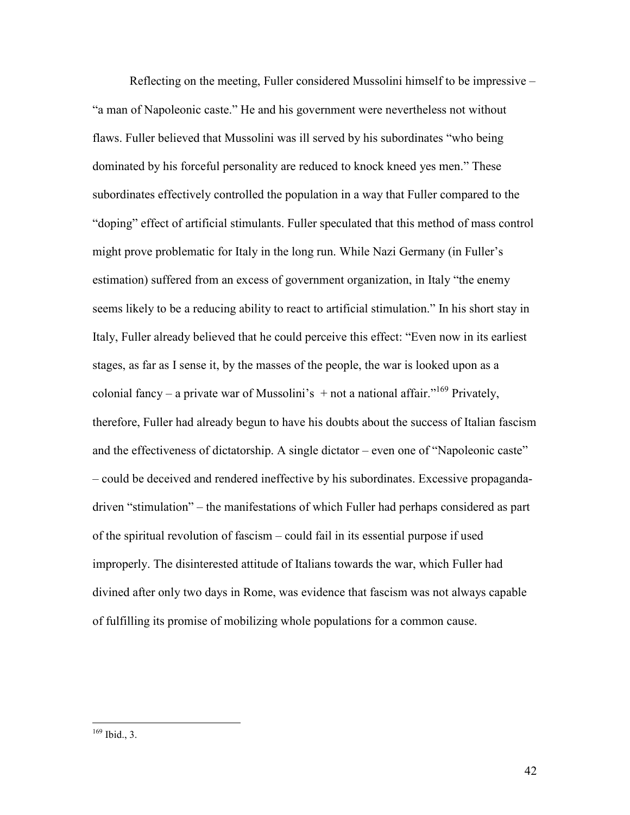Reflecting on the meeting, Fuller considered Mussolini himself to be impressive – "a man of Napoleonic caste." He and his government were nevertheless not without flaws. Fuller believed that Mussolini was ill served by his subordinates "who being dominated by his forceful personality are reduced to knock kneed yes men." These subordinates effectively controlled the population in a way that Fuller compared to the "doping" effect of artificial stimulants. Fuller speculated that this method of mass control might prove problematic for Italy in the long run. While Nazi Germany (in Fuller's estimation) suffered from an excess of government organization, in Italy "the enemy seems likely to be a reducing ability to react to artificial stimulation." In his short stay in Italy, Fuller already believed that he could perceive this effect: "Even now in its earliest stages, as far as I sense it, by the masses of the people, the war is looked upon as a colonial fancy – a private war of Mussolini's  $+$  not a national affair."<sup>169</sup> Privately, therefore, Fuller had already begun to have his doubts about the success of Italian fascism and the effectiveness of dictatorship. A single dictator – even one of "Napoleonic caste" – could be deceived and rendered ineffective by his subordinates. Excessive propagandadriven "stimulation" – the manifestations of which Fuller had perhaps considered as part of the spiritual revolution of fascism – could fail in its essential purpose if used improperly. The disinterested attitude of Italians towards the war, which Fuller had divined after only two days in Rome, was evidence that fascism was not always capable of fulfilling its promise of mobilizing whole populations for a common cause.

<sup>&</sup>lt;u>.</u>  $169$  Ibid., 3.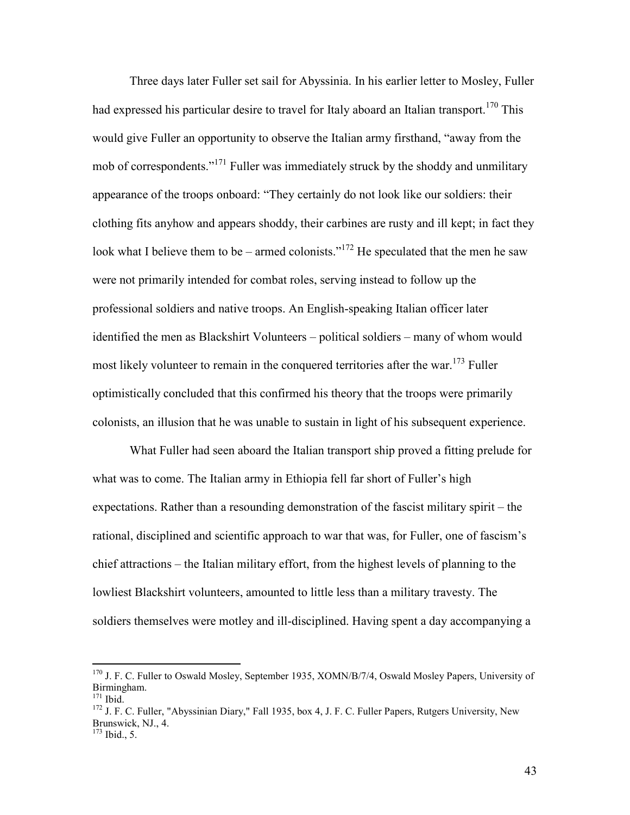Three days later Fuller set sail for Abyssinia. In his earlier letter to Mosley, Fuller had expressed his particular desire to travel for Italy aboard an Italian transport.<sup>170</sup> This would give Fuller an opportunity to observe the Italian army firsthand, "away from the mob of correspondents."<sup>171</sup> Fuller was immediately struck by the shoddy and unmilitary appearance of the troops onboard: "They certainly do not look like our soldiers: their clothing fits anyhow and appears shoddy, their carbines are rusty and ill kept; in fact they look what I believe them to be – armed colonists."<sup>172</sup> He speculated that the men he saw were not primarily intended for combat roles, serving instead to follow up the professional soldiers and native troops. An English-speaking Italian officer later identified the men as Blackshirt Volunteers – political soldiers – many of whom would most likely volunteer to remain in the conquered territories after the war.<sup>173</sup> Fuller optimistically concluded that this confirmed his theory that the troops were primarily colonists, an illusion that he was unable to sustain in light of his subsequent experience.

 What Fuller had seen aboard the Italian transport ship proved a fitting prelude for what was to come. The Italian army in Ethiopia fell far short of Fuller's high expectations. Rather than a resounding demonstration of the fascist military spirit – the rational, disciplined and scientific approach to war that was, for Fuller, one of fascism's chief attractions – the Italian military effort, from the highest levels of planning to the lowliest Blackshirt volunteers, amounted to little less than a military travesty. The soldiers themselves were motley and ill-disciplined. Having spent a day accompanying a

 $\overline{a}$ 

43

<sup>&</sup>lt;sup>170</sup> J. F. C. Fuller to Oswald Mosley, September 1935, XOMN/B/7/4, Oswald Mosley Papers, University of Birmingham.

 $171$  Ibid.

<sup>&</sup>lt;sup>172</sup> J. F. C. Fuller, "Abyssinian Diary," Fall 1935, box 4, J. F. C. Fuller Papers, Rutgers University, New Brunswick, NJ., 4.  $\frac{173}{173}$  Ibid., 5.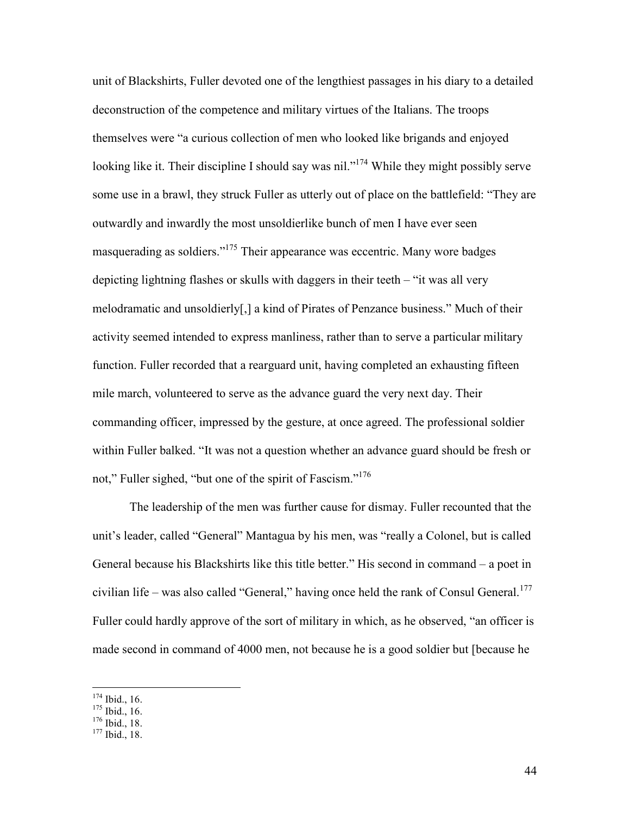unit of Blackshirts, Fuller devoted one of the lengthiest passages in his diary to a detailed deconstruction of the competence and military virtues of the Italians. The troops themselves were "a curious collection of men who looked like brigands and enjoyed looking like it. Their discipline I should say was nil."<sup>174</sup> While they might possibly serve some use in a brawl, they struck Fuller as utterly out of place on the battlefield: "They are outwardly and inwardly the most unsoldierlike bunch of men I have ever seen masquerading as soldiers."<sup>175</sup> Their appearance was eccentric. Many wore badges depicting lightning flashes or skulls with daggers in their teeth – "it was all very melodramatic and unsoldierly[,] a kind of Pirates of Penzance business." Much of their activity seemed intended to express manliness, rather than to serve a particular military function. Fuller recorded that a rearguard unit, having completed an exhausting fifteen mile march, volunteered to serve as the advance guard the very next day. Their commanding officer, impressed by the gesture, at once agreed. The professional soldier within Fuller balked. "It was not a question whether an advance guard should be fresh or not," Fuller sighed, "but one of the spirit of Fascism."<sup>176</sup>

 The leadership of the men was further cause for dismay. Fuller recounted that the unit's leader, called "General" Mantagua by his men, was "really a Colonel, but is called General because his Blackshirts like this title better." His second in command – a poet in civilian life – was also called "General," having once held the rank of Consul General.<sup>177</sup> Fuller could hardly approve of the sort of military in which, as he observed, "an officer is made second in command of 4000 men, not because he is a good soldier but [because he

 $174$  Ibid., 16.

 $175$  Ibid., 16.

<sup>176</sup> Ibid., 18.

<sup>177</sup> Ibid., 18.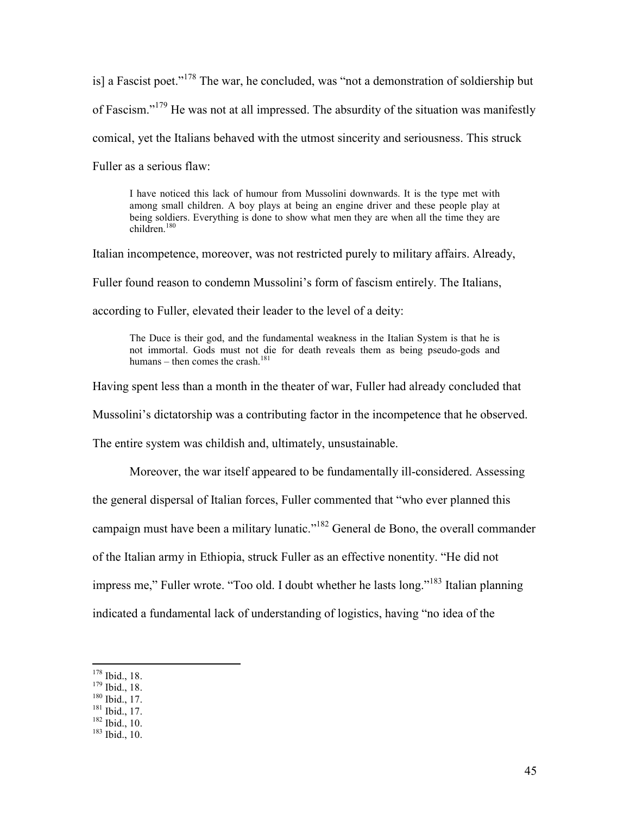is] a Fascist poet.<sup> $178$ </sup> The war, he concluded, was "not a demonstration of soldiership but of Fascism."<sup>179</sup> He was not at all impressed. The absurdity of the situation was manifestly comical, yet the Italians behaved with the utmost sincerity and seriousness. This struck Fuller as a serious flaw:

I have noticed this lack of humour from Mussolini downwards. It is the type met with among small children. A boy plays at being an engine driver and these people play at being soldiers. Everything is done to show what men they are when all the time they are  $children$ <sup>180</sup>

Italian incompetence, moreover, was not restricted purely to military affairs. Already, Fuller found reason to condemn Mussolini's form of fascism entirely. The Italians,

according to Fuller, elevated their leader to the level of a deity:

The Duce is their god, and the fundamental weakness in the Italian System is that he is not immortal. Gods must not die for death reveals them as being pseudo-gods and humans – then comes the crash.<sup>181</sup>

Having spent less than a month in the theater of war, Fuller had already concluded that Mussolini's dictatorship was a contributing factor in the incompetence that he observed. The entire system was childish and, ultimately, unsustainable.

 Moreover, the war itself appeared to be fundamentally ill-considered. Assessing the general dispersal of Italian forces, Fuller commented that "who ever planned this campaign must have been a military lunatic."<sup>182</sup> General de Bono, the overall commander of the Italian army in Ethiopia, struck Fuller as an effective nonentity. "He did not impress me," Fuller wrote. "Too old. I doubt whether he lasts long."<sup>183</sup> Italian planning indicated a fundamental lack of understanding of logistics, having "no idea of the

 $\overline{a}$ 

 $182$  Ibid.,  $10$ .

<sup>178</sup> Ibid., 18.

 $179$  Ibid., 18.

 $180$  Ibid., 17.

 $181$  Ibid., 17.

<sup>183</sup> Ibid., 10.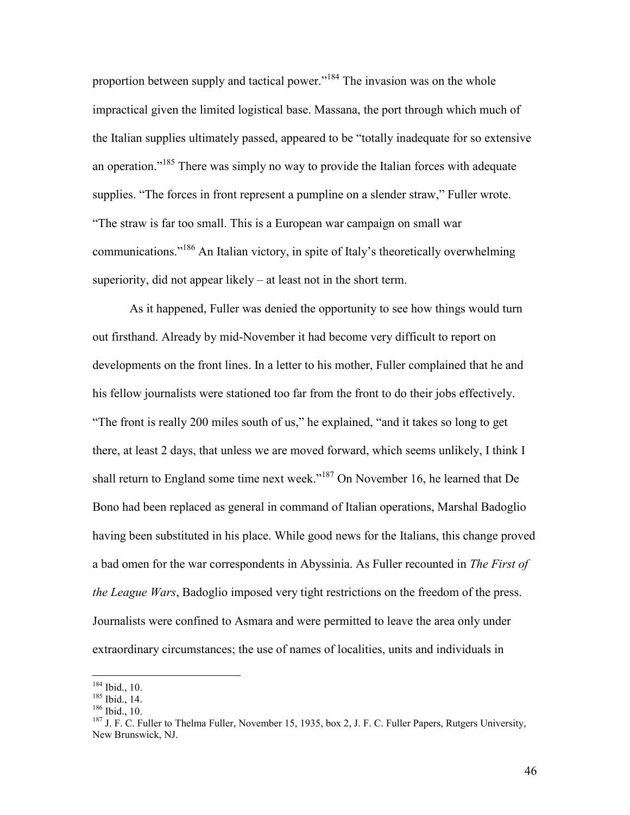proportion between supply and tactical power."<sup>184</sup> The invasion was on the whole impractical given the limited logistical base. Massana, the port through which much of the Italian supplies ultimately passed, appeared to be "totally inadequate for so extensive an operation.<sup>"185</sup> There was simply no way to provide the Italian forces with adequate supplies. "The forces in front represent a pumpline on a slender straw," Fuller wrote. "The straw is far too small. This is a European war campaign on small war communications."<sup>186</sup> An Italian victory, in spite of Italy's theoretically overwhelming superiority, did not appear likely – at least not in the short term.

 As it happened, Fuller was denied the opportunity to see how things would turn out firsthand. Already by mid-November it had become very difficult to report on developments on the front lines. In a letter to his mother, Fuller complained that he and his fellow journalists were stationed too far from the front to do their jobs effectively. "The front is really 200 miles south of us," he explained, "and it takes so long to get there, at least 2 days, that unless we are moved forward, which seems unlikely, I think I shall return to England some time next week."<sup>187</sup> On November 16, he learned that De Bono had been replaced as general in command of Italian operations, Marshal Badoglio having been substituted in his place. While good news for the Italians, this change proved a bad omen for the war correspondents in Abyssinia. As Fuller recounted in *The First of the League Wars*, Badoglio imposed very tight restrictions on the freedom of the press. Journalists were confined to Asmara and were permitted to leave the area only under extraordinary circumstances; the use of names of localities, units and individuals in

 $184$  Ibid., 10.

<sup>185</sup> Ibid., 14.

<sup>186</sup> Ibid., 10.

<sup>&</sup>lt;sup>187</sup> J. F. C. Fuller to Thelma Fuller, November 15, 1935, box 2, J. F. C. Fuller Papers, Rutgers University, New Brunswick, NJ.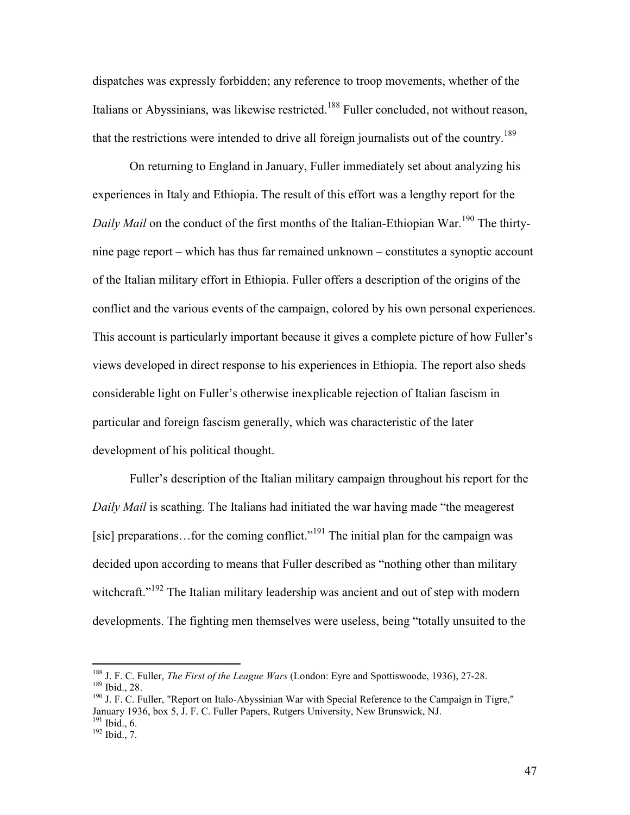dispatches was expressly forbidden; any reference to troop movements, whether of the Italians or Abyssinians, was likewise restricted.<sup>188</sup> Fuller concluded, not without reason, that the restrictions were intended to drive all foreign journalists out of the country.<sup>189</sup>

 On returning to England in January, Fuller immediately set about analyzing his experiences in Italy and Ethiopia. The result of this effort was a lengthy report for the *Daily Mail* on the conduct of the first months of the Italian-Ethiopian War.<sup>190</sup> The thirtynine page report – which has thus far remained unknown – constitutes a synoptic account of the Italian military effort in Ethiopia. Fuller offers a description of the origins of the conflict and the various events of the campaign, colored by his own personal experiences. This account is particularly important because it gives a complete picture of how Fuller's views developed in direct response to his experiences in Ethiopia. The report also sheds considerable light on Fuller's otherwise inexplicable rejection of Italian fascism in particular and foreign fascism generally, which was characteristic of the later development of his political thought.

 Fuller's description of the Italian military campaign throughout his report for the *Daily Mail* is scathing. The Italians had initiated the war having made "the meagerest [sic] preparations...for the coming conflict."<sup>191</sup> The initial plan for the campaign was decided upon according to means that Fuller described as "nothing other than military witchcraft."<sup>192</sup> The Italian military leadership was ancient and out of step with modern developments. The fighting men themselves were useless, being "totally unsuited to the

<sup>188</sup> J. F. C. Fuller, *The First of the League Wars* (London: Eyre and Spottiswoode, 1936), 27-28. <sup>189</sup> Ibid., 28.

<sup>&</sup>lt;sup>190</sup> J. F. C. Fuller, "Report on Italo-Abyssinian War with Special Reference to the Campaign in Tigre," January 1936, box 5, J. F. C. Fuller Papers, Rutgers University, New Brunswick, NJ.  $191$  Ibid., 6.

 $192$  Ibid., 7.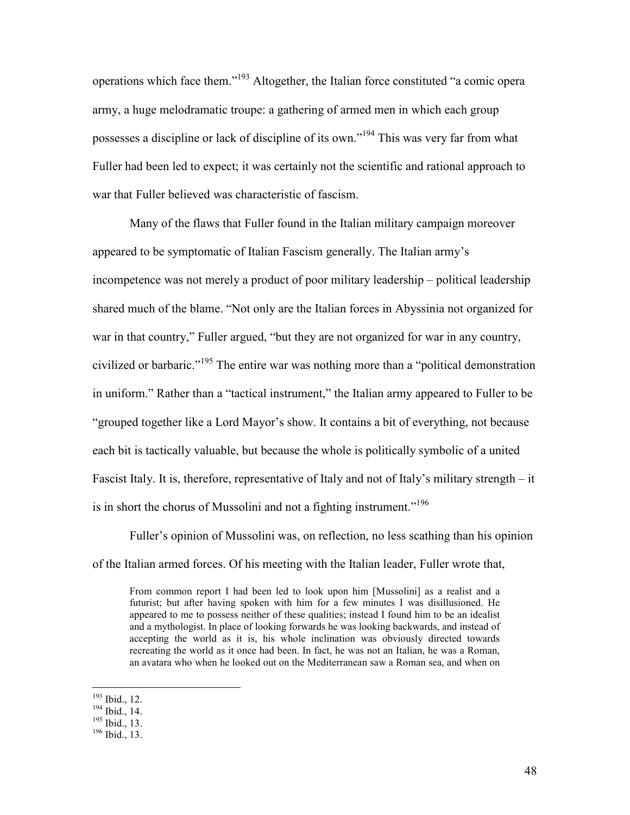operations which face them."<sup>193</sup> Altogether, the Italian force constituted "a comic opera army, a huge melodramatic troupe: a gathering of armed men in which each group possesses a discipline or lack of discipline of its own."<sup>194</sup> This was very far from what Fuller had been led to expect; it was certainly not the scientific and rational approach to war that Fuller believed was characteristic of fascism.

 Many of the flaws that Fuller found in the Italian military campaign moreover appeared to be symptomatic of Italian Fascism generally. The Italian army's incompetence was not merely a product of poor military leadership – political leadership shared much of the blame. "Not only are the Italian forces in Abyssinia not organized for war in that country," Fuller argued, "but they are not organized for war in any country, civilized or barbaric."<sup>195</sup> The entire war was nothing more than a "political demonstration in uniform." Rather than a "tactical instrument," the Italian army appeared to Fuller to be "grouped together like a Lord Mayor's show. It contains a bit of everything, not because each bit is tactically valuable, but because the whole is politically symbolic of a united Fascist Italy. It is, therefore, representative of Italy and not of Italy's military strength – it is in short the chorus of Mussolini and not a fighting instrument."<sup>196</sup>

 Fuller's opinion of Mussolini was, on reflection, no less scathing than his opinion of the Italian armed forces. Of his meeting with the Italian leader, Fuller wrote that,

From common report I had been led to look upon him [Mussolini] as a realist and a futurist; but after having spoken with him for a few minutes I was disillusioned. He appeared to me to possess neither of these qualities; instead I found him to be an idealist and a mythologist. In place of looking forwards he was looking backwards, and instead of accepting the world as it is, his whole inclination was obviously directed towards recreating the world as it once had been. In fact, he was not an Italian, he was a Roman, an avatara who when he looked out on the Mediterranean saw a Roman sea, and when on

<sup>193</sup> Ibid., 12.

 $194$  Ibid., 14.

 $195$  Ibid., 13.

<sup>196</sup> Ibid., 13.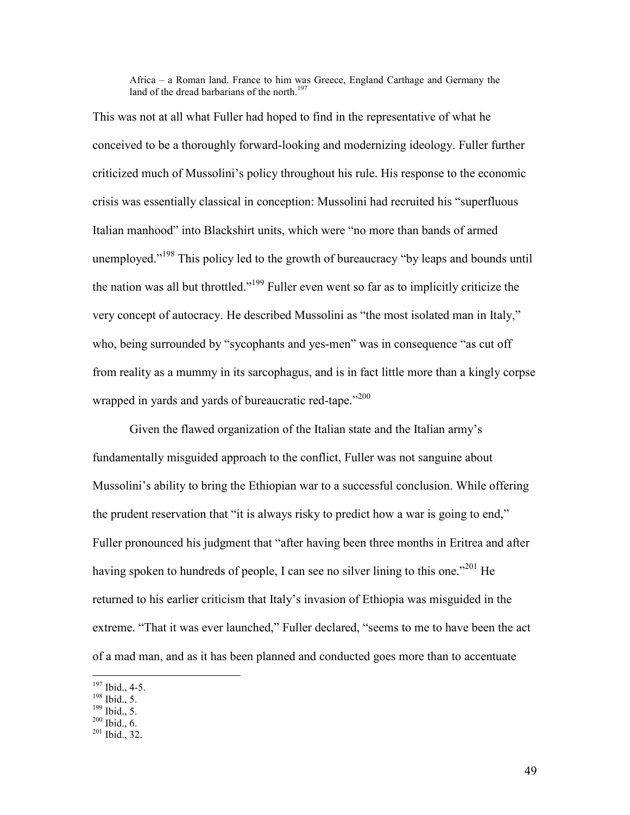Africa – a Roman land. France to him was Greece, England Carthage and Germany the land of the dread barbarians of the north. $197$ 

This was not at all what Fuller had hoped to find in the representative of what he conceived to be a thoroughly forward-looking and modernizing ideology. Fuller further criticized much of Mussolini's policy throughout his rule. His response to the economic crisis was essentially classical in conception: Mussolini had recruited his "superfluous Italian manhood" into Blackshirt units, which were "no more than bands of armed unemployed."<sup>198</sup> This policy led to the growth of bureaucracy "by leaps and bounds until the nation was all but throttled."<sup>199</sup> Fuller even went so far as to implicitly criticize the very concept of autocracy. He described Mussolini as "the most isolated man in Italy," who, being surrounded by "sycophants and yes-men" was in consequence "as cut off from reality as a mummy in its sarcophagus, and is in fact little more than a kingly corpse wrapped in yards and yards of bureaucratic red-tape."<sup>200</sup>

 Given the flawed organization of the Italian state and the Italian army's fundamentally misguided approach to the conflict, Fuller was not sanguine about Mussolini's ability to bring the Ethiopian war to a successful conclusion. While offering the prudent reservation that "it is always risky to predict how a war is going to end," Fuller pronounced his judgment that "after having been three months in Eritrea and after having spoken to hundreds of people, I can see no silver lining to this one."<sup>201</sup> He returned to his earlier criticism that Italy's invasion of Ethiopia was misguided in the extreme. "That it was ever launched," Fuller declared, "seems to me to have been the act of a mad man, and as it has been planned and conducted goes more than to accentuate

 $\overline{a}$  $197$  Ibid., 4-5.

<sup>198</sup> Ibid., 5.

 $199$  Ibid., 5.

 $200$  Ibid., 6.

<sup>201</sup> Ibid., 32.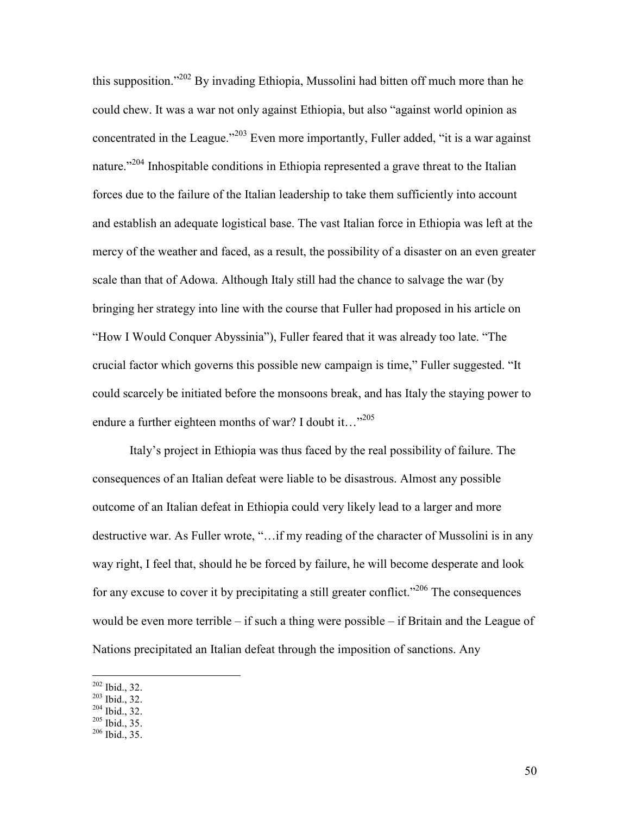this supposition."<sup>202</sup> By invading Ethiopia, Mussolini had bitten off much more than he could chew. It was a war not only against Ethiopia, but also "against world opinion as concentrated in the League."<sup>203</sup> Even more importantly, Fuller added, "it is a war against nature."<sup>204</sup> Inhospitable conditions in Ethiopia represented a grave threat to the Italian forces due to the failure of the Italian leadership to take them sufficiently into account and establish an adequate logistical base. The vast Italian force in Ethiopia was left at the mercy of the weather and faced, as a result, the possibility of a disaster on an even greater scale than that of Adowa. Although Italy still had the chance to salvage the war (by bringing her strategy into line with the course that Fuller had proposed in his article on "How I Would Conquer Abyssinia"), Fuller feared that it was already too late. "The crucial factor which governs this possible new campaign is time," Fuller suggested. "It could scarcely be initiated before the monsoons break, and has Italy the staying power to endure a further eighteen months of war? I doubt it..."<sup>205</sup>

 Italy's project in Ethiopia was thus faced by the real possibility of failure. The consequences of an Italian defeat were liable to be disastrous. Almost any possible outcome of an Italian defeat in Ethiopia could very likely lead to a larger and more destructive war. As Fuller wrote, "…if my reading of the character of Mussolini is in any way right, I feel that, should he be forced by failure, he will become desperate and look for any excuse to cover it by precipitating a still greater conflict."<sup>206</sup> The consequences would be even more terrible – if such a thing were possible – if Britain and the League of Nations precipitated an Italian defeat through the imposition of sanctions. Any

 $202$  Ibid., 32.

<sup>203</sup> Ibid., 32.

<sup>204</sup> Ibid., 32.

 $^{205}$  Ibid., 35.

 $206$  Ibid., 35.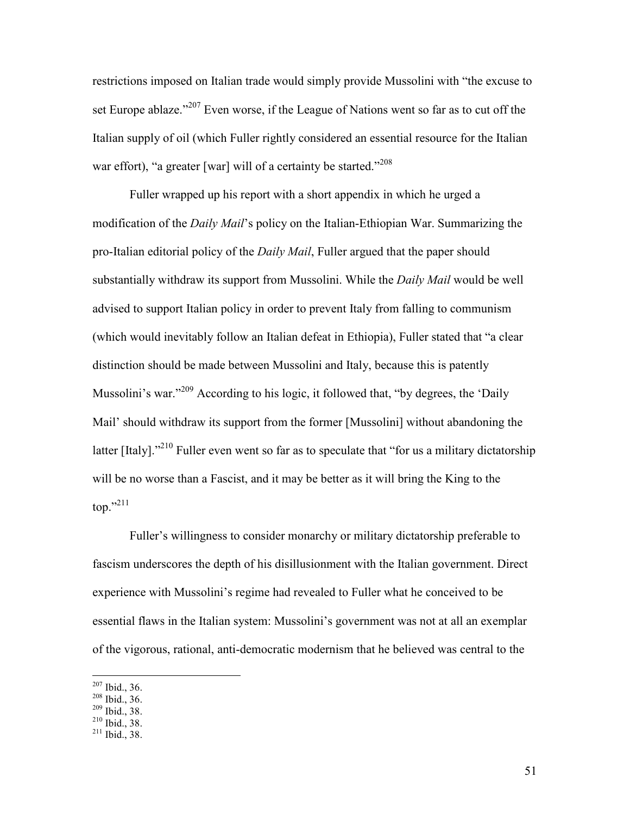restrictions imposed on Italian trade would simply provide Mussolini with "the excuse to set Europe ablaze."<sup>207</sup> Even worse, if the League of Nations went so far as to cut off the Italian supply of oil (which Fuller rightly considered an essential resource for the Italian war effort), "a greater [war] will of a certainty be started."<sup>208</sup>

 Fuller wrapped up his report with a short appendix in which he urged a modification of the *Daily Mail*'s policy on the Italian-Ethiopian War. Summarizing the pro-Italian editorial policy of the *Daily Mail*, Fuller argued that the paper should substantially withdraw its support from Mussolini. While the *Daily Mail* would be well advised to support Italian policy in order to prevent Italy from falling to communism (which would inevitably follow an Italian defeat in Ethiopia), Fuller stated that "a clear distinction should be made between Mussolini and Italy, because this is patently Mussolini's war."<sup>209</sup> According to his logic, it followed that, "by degrees, the 'Daily Mail' should withdraw its support from the former [Mussolini] without abandoning the latter [Italy]."<sup>210</sup> Fuller even went so far as to speculate that "for us a military dictatorship" will be no worse than a Fascist, and it may be better as it will bring the King to the top."<sup>211</sup>

 Fuller's willingness to consider monarchy or military dictatorship preferable to fascism underscores the depth of his disillusionment with the Italian government. Direct experience with Mussolini's regime had revealed to Fuller what he conceived to be essential flaws in the Italian system: Mussolini's government was not at all an exemplar of the vigorous, rational, anti-democratic modernism that he believed was central to the

 $207$  Ibid., 36.

<sup>208</sup> Ibid., 36.

<sup>209</sup> Ibid., 38.

<sup>210</sup> Ibid., 38.

 $211$  Ibid., 38.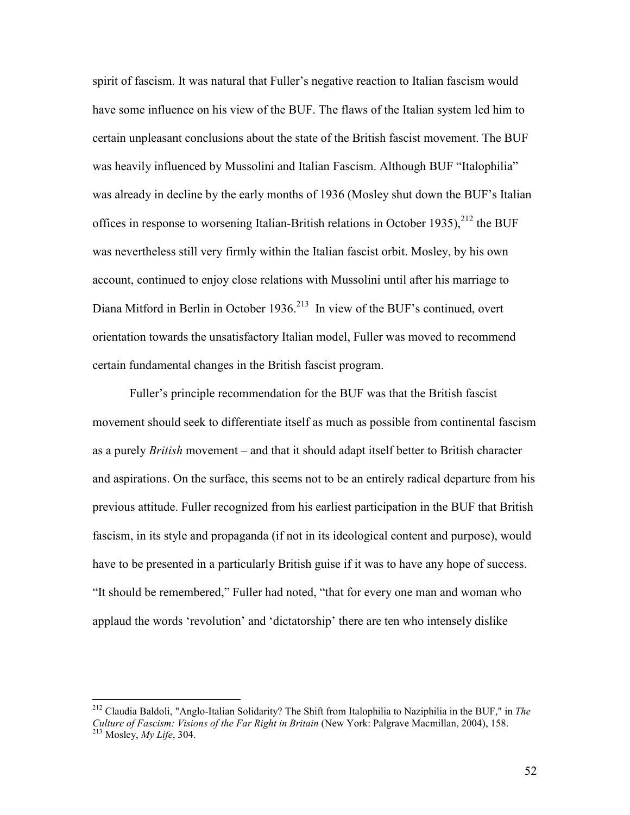spirit of fascism. It was natural that Fuller's negative reaction to Italian fascism would have some influence on his view of the BUF. The flaws of the Italian system led him to certain unpleasant conclusions about the state of the British fascist movement. The BUF was heavily influenced by Mussolini and Italian Fascism. Although BUF "Italophilia" was already in decline by the early months of 1936 (Mosley shut down the BUF's Italian offices in response to worsening Italian-British relations in October 1935).<sup>212</sup> the BUF was nevertheless still very firmly within the Italian fascist orbit. Mosley, by his own account, continued to enjoy close relations with Mussolini until after his marriage to Diana Mitford in Berlin in October 1936.<sup>213</sup> In view of the BUF's continued, overt orientation towards the unsatisfactory Italian model, Fuller was moved to recommend certain fundamental changes in the British fascist program.

 Fuller's principle recommendation for the BUF was that the British fascist movement should seek to differentiate itself as much as possible from continental fascism as a purely *British* movement – and that it should adapt itself better to British character and aspirations. On the surface, this seems not to be an entirely radical departure from his previous attitude. Fuller recognized from his earliest participation in the BUF that British fascism, in its style and propaganda (if not in its ideological content and purpose), would have to be presented in a particularly British guise if it was to have any hope of success. "It should be remembered," Fuller had noted, "that for every one man and woman who applaud the words 'revolution' and 'dictatorship' there are ten who intensely dislike

<sup>212</sup> Claudia Baldoli, "Anglo-Italian Solidarity? The Shift from Italophilia to Naziphilia in the BUF," in *The Culture of Fascism: Visions of the Far Right in Britain* (New York: Palgrave Macmillan, 2004), 158. <sup>213</sup> Mosley, *My Life*, 304.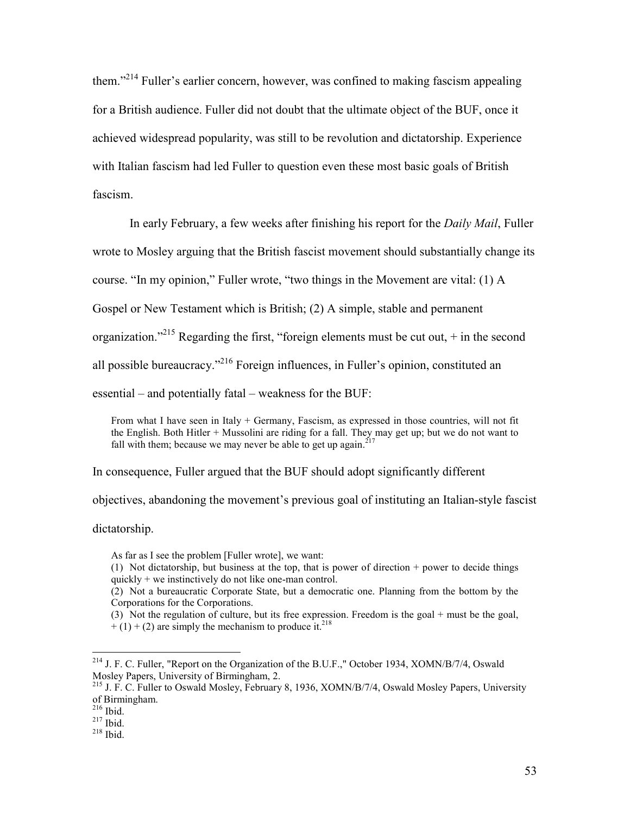them."<sup>214</sup> Fuller's earlier concern, however, was confined to making fascism appealing for a British audience. Fuller did not doubt that the ultimate object of the BUF, once it achieved widespread popularity, was still to be revolution and dictatorship. Experience with Italian fascism had led Fuller to question even these most basic goals of British fascism.

In early February, a few weeks after finishing his report for the *Daily Mail*, Fuller

wrote to Mosley arguing that the British fascist movement should substantially change its

course. "In my opinion," Fuller wrote, "two things in the Movement are vital: (1) A

Gospel or New Testament which is British; (2) A simple, stable and permanent

organization."<sup>215</sup> Regarding the first, "foreign elements must be cut out,  $+$  in the second

all possible bureaucracy."<sup>216</sup> Foreign influences, in Fuller's opinion, constituted an

essential – and potentially fatal – weakness for the BUF:

From what I have seen in Italy + Germany, Fascism, as expressed in those countries, will not fit the English. Both Hitler + Mussolini are riding for a fall. They may get up; but we do not want to fall with them; because we may never be able to get up again.<sup>217</sup>

In consequence, Fuller argued that the BUF should adopt significantly different

objectives, abandoning the movement's previous goal of instituting an Italian-style fascist

dictatorship.

As far as I see the problem [Fuller wrote], we want:

- (1) Not dictatorship, but business at the top, that is power of direction + power to decide things quickly  $+$  we instinctively do not like one-man control.
- (2) Not a bureaucratic Corporate State, but a democratic one. Planning from the bottom by the Corporations for the Corporations.

(3) Not the regulation of culture, but its free expression. Freedom is the goal + must be the goal,  $+(1) + (2)$  are simply the mechanism to produce it.<sup>218</sup>

<u>.</u>

<sup>&</sup>lt;sup>214</sup> J. F. C. Fuller, "Report on the Organization of the B.U.F.," October 1934, XOMN/B/7/4, Oswald Mosley Papers, University of Birmingham, 2.

<sup>&</sup>lt;sup>215</sup> J. F. C. Fuller to Oswald Mosley, February 8, 1936, XOMN/B/7/4, Oswald Mosley Papers, University of Birmingham.

 $216$  Ibid.

 $^{217}$  Ibid.

 $^{218}$  Ibid.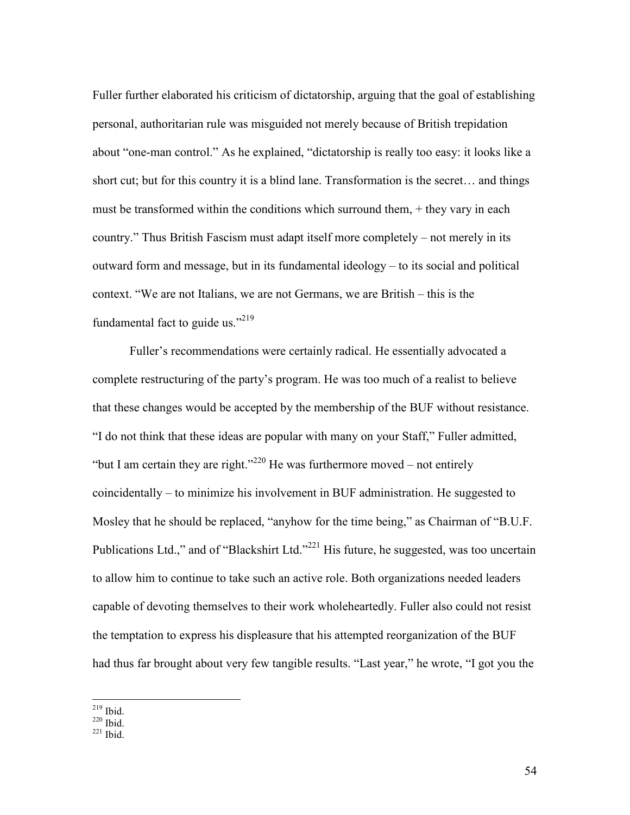Fuller further elaborated his criticism of dictatorship, arguing that the goal of establishing personal, authoritarian rule was misguided not merely because of British trepidation about "one-man control." As he explained, "dictatorship is really too easy: it looks like a short cut; but for this country it is a blind lane. Transformation is the secret… and things must be transformed within the conditions which surround them,  $+$  they vary in each country." Thus British Fascism must adapt itself more completely – not merely in its outward form and message, but in its fundamental ideology – to its social and political context. "We are not Italians, we are not Germans, we are British – this is the fundamental fact to guide us."<sup>219</sup>

Fuller's recommendations were certainly radical. He essentially advocated a complete restructuring of the party's program. He was too much of a realist to believe that these changes would be accepted by the membership of the BUF without resistance. "I do not think that these ideas are popular with many on your Staff," Fuller admitted, "but I am certain they are right."<sup>220</sup> He was furthermore moved – not entirely coincidentally – to minimize his involvement in BUF administration. He suggested to Mosley that he should be replaced, "anyhow for the time being," as Chairman of "B.U.F. Publications Ltd.," and of "Blackshirt Ltd."<sup>221</sup> His future, he suggested, was too uncertain to allow him to continue to take such an active role. Both organizations needed leaders capable of devoting themselves to their work wholeheartedly. Fuller also could not resist the temptation to express his displeasure that his attempted reorganization of the BUF had thus far brought about very few tangible results. "Last year," he wrote, "I got you the

<u>.</u>  $^{219}$  Ibid.

 $220$  Ibid.

 $221$  Ibid.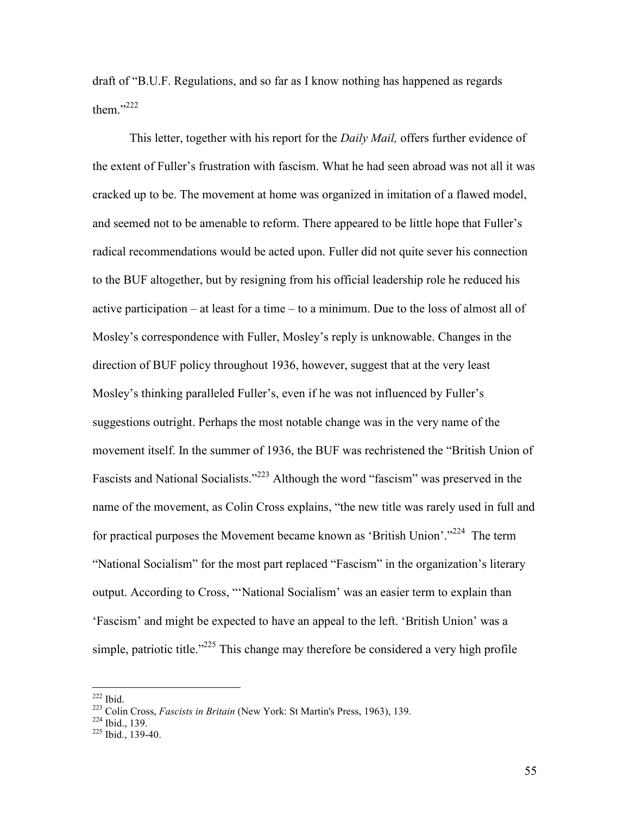draft of "B.U.F. Regulations, and so far as I know nothing has happened as regards them." $^{222}$ 

This letter, together with his report for the *Daily Mail,* offers further evidence of the extent of Fuller's frustration with fascism. What he had seen abroad was not all it was cracked up to be. The movement at home was organized in imitation of a flawed model, and seemed not to be amenable to reform. There appeared to be little hope that Fuller's radical recommendations would be acted upon. Fuller did not quite sever his connection to the BUF altogether, but by resigning from his official leadership role he reduced his active participation – at least for a time – to a minimum. Due to the loss of almost all of Mosley's correspondence with Fuller, Mosley's reply is unknowable. Changes in the direction of BUF policy throughout 1936, however, suggest that at the very least Mosley's thinking paralleled Fuller's, even if he was not influenced by Fuller's suggestions outright. Perhaps the most notable change was in the very name of the movement itself. In the summer of 1936, the BUF was rechristened the "British Union of Fascists and National Socialists."<sup>223</sup> Although the word "fascism" was preserved in the name of the movement, as Colin Cross explains, "the new title was rarely used in full and for practical purposes the Movement became known as 'British Union'."<sup>224</sup> The term "National Socialism" for the most part replaced "Fascism" in the organization's literary output. According to Cross, "'National Socialism' was an easier term to explain than 'Fascism' and might be expected to have an appeal to the left. 'British Union' was a simple, patriotic title."<sup>225</sup> This change may therefore be considered a very high profile

l

55

 $222$  Ibid.

<sup>223</sup> Colin Cross, *Fascists in Britain* (New York: St Martin's Press, 1963), 139.

 $224$  Ibid., 139.

 $225$  Ibid., 139-40.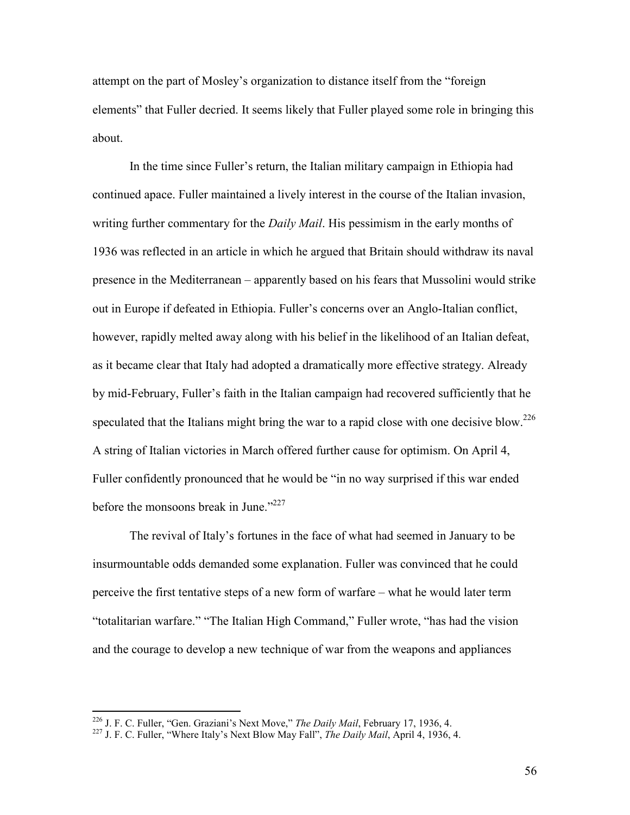attempt on the part of Mosley's organization to distance itself from the "foreign elements" that Fuller decried. It seems likely that Fuller played some role in bringing this about.

In the time since Fuller's return, the Italian military campaign in Ethiopia had continued apace. Fuller maintained a lively interest in the course of the Italian invasion, writing further commentary for the *Daily Mail*. His pessimism in the early months of 1936 was reflected in an article in which he argued that Britain should withdraw its naval presence in the Mediterranean – apparently based on his fears that Mussolini would strike out in Europe if defeated in Ethiopia. Fuller's concerns over an Anglo-Italian conflict, however, rapidly melted away along with his belief in the likelihood of an Italian defeat, as it became clear that Italy had adopted a dramatically more effective strategy. Already by mid-February, Fuller's faith in the Italian campaign had recovered sufficiently that he speculated that the Italians might bring the war to a rapid close with one decisive blow.<sup>226</sup> A string of Italian victories in March offered further cause for optimism. On April 4, Fuller confidently pronounced that he would be "in no way surprised if this war ended before the monsoons break in June." $2^{227}$ 

The revival of Italy's fortunes in the face of what had seemed in January to be insurmountable odds demanded some explanation. Fuller was convinced that he could perceive the first tentative steps of a new form of warfare – what he would later term "totalitarian warfare." "The Italian High Command," Fuller wrote, "has had the vision and the courage to develop a new technique of war from the weapons and appliances

<sup>226</sup> J. F. C. Fuller, "Gen. Graziani's Next Move," *The Daily Mail*, February 17, 1936, 4.

<sup>227</sup> J. F. C. Fuller, "Where Italy's Next Blow May Fall", *The Daily Mail*, April 4, 1936, 4.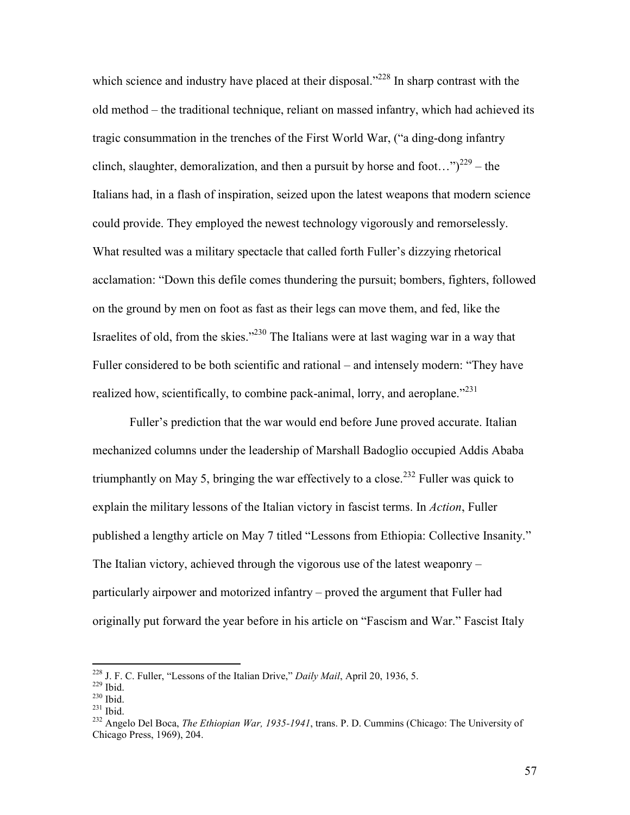which science and industry have placed at their disposal."<sup>228</sup> In sharp contrast with the old method – the traditional technique, reliant on massed infantry, which had achieved its tragic consummation in the trenches of the First World War, ("a ding-dong infantry clinch, slaughter, demoralization, and then a pursuit by horse and foot..." $2^{29}$  – the Italians had, in a flash of inspiration, seized upon the latest weapons that modern science could provide. They employed the newest technology vigorously and remorselessly. What resulted was a military spectacle that called forth Fuller's dizzying rhetorical acclamation: "Down this defile comes thundering the pursuit; bombers, fighters, followed on the ground by men on foot as fast as their legs can move them, and fed, like the Israelites of old, from the skies."<sup>230</sup> The Italians were at last waging war in a way that Fuller considered to be both scientific and rational – and intensely modern: "They have realized how, scientifically, to combine pack-animal, lorry, and aeroplane."<sup>231</sup>

Fuller's prediction that the war would end before June proved accurate. Italian mechanized columns under the leadership of Marshall Badoglio occupied Addis Ababa triumphantly on May 5, bringing the war effectively to a close.<sup>232</sup> Fuller was quick to explain the military lessons of the Italian victory in fascist terms. In *Action*, Fuller published a lengthy article on May 7 titled "Lessons from Ethiopia: Collective Insanity." The Italian victory, achieved through the vigorous use of the latest weaponry – particularly airpower and motorized infantry – proved the argument that Fuller had originally put forward the year before in his article on "Fascism and War." Fascist Italy

<sup>228</sup> J. F. C. Fuller, "Lessons of the Italian Drive," *Daily Mail*, April 20, 1936, 5.

 $229$  Ibid.

 $^{230}$  Ibid.

<sup>231</sup> Ibid.

<sup>232</sup> Angelo Del Boca, *The Ethiopian War, 1935-1941*, trans. P. D. Cummins (Chicago: The University of Chicago Press, 1969), 204.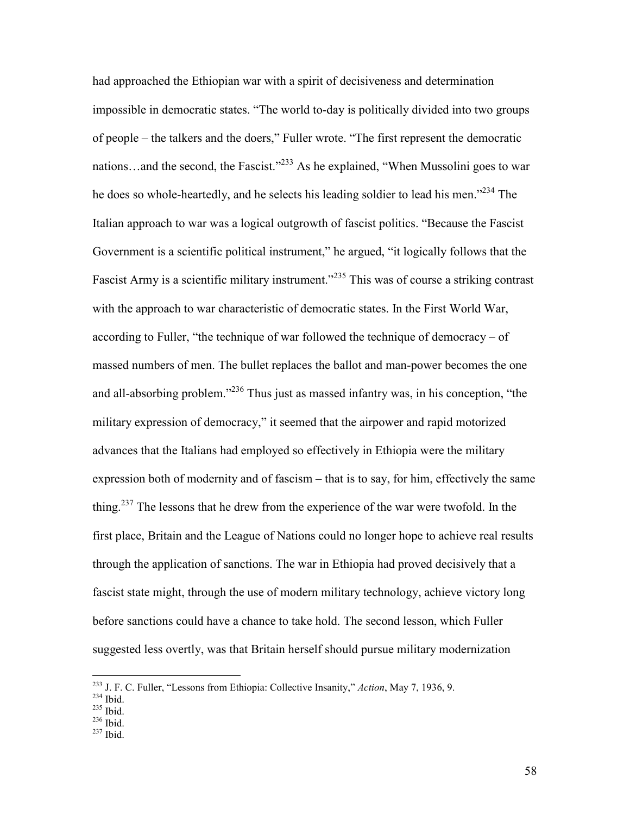had approached the Ethiopian war with a spirit of decisiveness and determination impossible in democratic states. "The world to-day is politically divided into two groups of people – the talkers and the doers," Fuller wrote. "The first represent the democratic nations...and the second, the Fascist."<sup>233</sup> As he explained, "When Mussolini goes to war he does so whole-heartedly, and he selects his leading soldier to lead his men."<sup>234</sup> The Italian approach to war was a logical outgrowth of fascist politics. "Because the Fascist Government is a scientific political instrument," he argued, "it logically follows that the Fascist Army is a scientific military instrument.<sup>2235</sup> This was of course a striking contrast with the approach to war characteristic of democratic states. In the First World War, according to Fuller, "the technique of war followed the technique of democracy – of massed numbers of men. The bullet replaces the ballot and man-power becomes the one and all-absorbing problem.<sup> $236$ </sup> Thus just as massed infantry was, in his conception, "the military expression of democracy," it seemed that the airpower and rapid motorized advances that the Italians had employed so effectively in Ethiopia were the military expression both of modernity and of fascism – that is to say, for him, effectively the same thing.<sup>237</sup> The lessons that he drew from the experience of the war were twofold. In the first place, Britain and the League of Nations could no longer hope to achieve real results through the application of sanctions. The war in Ethiopia had proved decisively that a fascist state might, through the use of modern military technology, achieve victory long before sanctions could have a chance to take hold. The second lesson, which Fuller suggested less overtly, was that Britain herself should pursue military modernization

<sup>233</sup> J. F. C. Fuller, "Lessons from Ethiopia: Collective Insanity," *Action*, May 7, 1936, 9.

<sup>234</sup> Ibid.

 $235$  Ibid.

 $236$  Ibid.

 $237$  Ibid.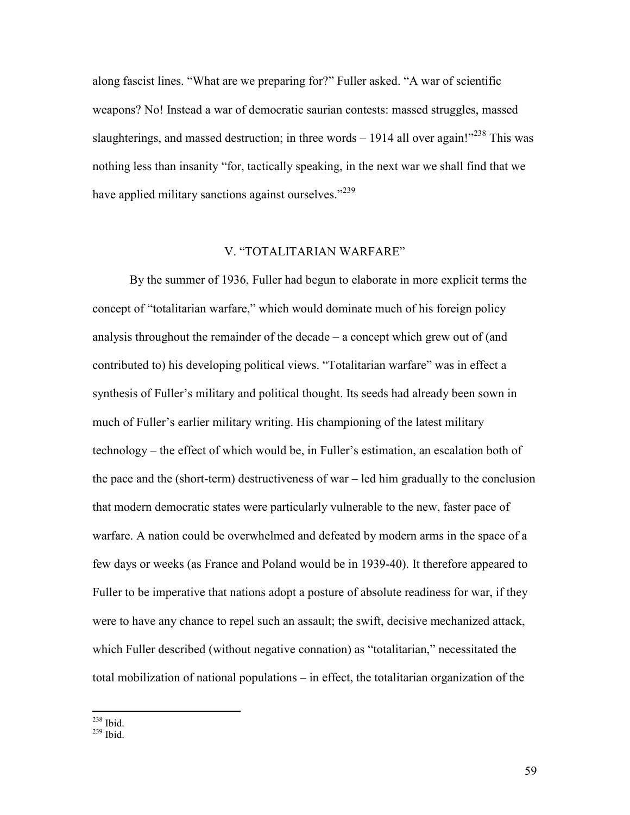along fascist lines. "What are we preparing for?" Fuller asked. "A war of scientific weapons? No! Instead a war of democratic saurian contests: massed struggles, massed slaughterings, and massed destruction; in three words  $-1914$  all over again!"<sup>238</sup> This was nothing less than insanity "for, tactically speaking, in the next war we shall find that we have applied military sanctions against ourselves."<sup>239</sup>

## V. "TOTALITARIAN WARFARE"

 By the summer of 1936, Fuller had begun to elaborate in more explicit terms the concept of "totalitarian warfare," which would dominate much of his foreign policy analysis throughout the remainder of the decade – a concept which grew out of (and contributed to) his developing political views. "Totalitarian warfare" was in effect a synthesis of Fuller's military and political thought. Its seeds had already been sown in much of Fuller's earlier military writing. His championing of the latest military technology – the effect of which would be, in Fuller's estimation, an escalation both of the pace and the (short-term) destructiveness of war – led him gradually to the conclusion that modern democratic states were particularly vulnerable to the new, faster pace of warfare. A nation could be overwhelmed and defeated by modern arms in the space of a few days or weeks (as France and Poland would be in 1939-40). It therefore appeared to Fuller to be imperative that nations adopt a posture of absolute readiness for war, if they were to have any chance to repel such an assault; the swift, decisive mechanized attack, which Fuller described (without negative connation) as "totalitarian," necessitated the total mobilization of national populations – in effect, the totalitarian organization of the

 $\overline{a}$  $^{238}$  Ibid.

<sup>239</sup> Ibid.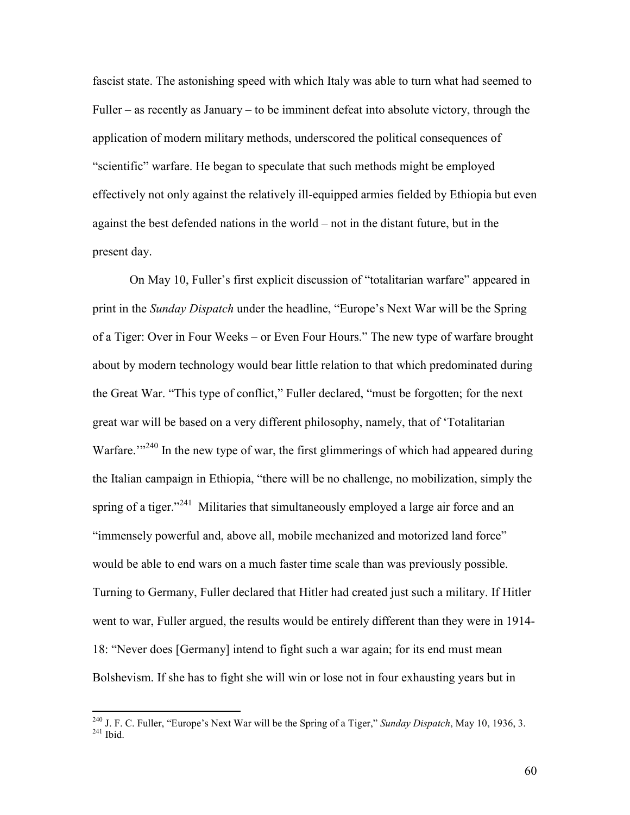fascist state. The astonishing speed with which Italy was able to turn what had seemed to Fuller – as recently as January – to be imminent defeat into absolute victory, through the application of modern military methods, underscored the political consequences of "scientific" warfare. He began to speculate that such methods might be employed effectively not only against the relatively ill-equipped armies fielded by Ethiopia but even against the best defended nations in the world – not in the distant future, but in the present day.

On May 10, Fuller's first explicit discussion of "totalitarian warfare" appeared in print in the *Sunday Dispatch* under the headline, "Europe's Next War will be the Spring of a Tiger: Over in Four Weeks – or Even Four Hours." The new type of warfare brought about by modern technology would bear little relation to that which predominated during the Great War. "This type of conflict," Fuller declared, "must be forgotten; for the next great war will be based on a very different philosophy, namely, that of 'Totalitarian Warfare.<sup>"240</sup> In the new type of war, the first glimmerings of which had appeared during the Italian campaign in Ethiopia, "there will be no challenge, no mobilization, simply the spring of a tiger."<sup>241</sup> Militaries that simultaneously employed a large air force and an "immensely powerful and, above all, mobile mechanized and motorized land force" would be able to end wars on a much faster time scale than was previously possible. Turning to Germany, Fuller declared that Hitler had created just such a military. If Hitler went to war, Fuller argued, the results would be entirely different than they were in 1914- 18: "Never does [Germany] intend to fight such a war again; for its end must mean Bolshevism. If she has to fight she will win or lose not in four exhausting years but in

<sup>240</sup> J. F. C. Fuller, "Europe's Next War will be the Spring of a Tiger," *Sunday Dispatch*, May 10, 1936, 3.  $^{241}$  Ibid.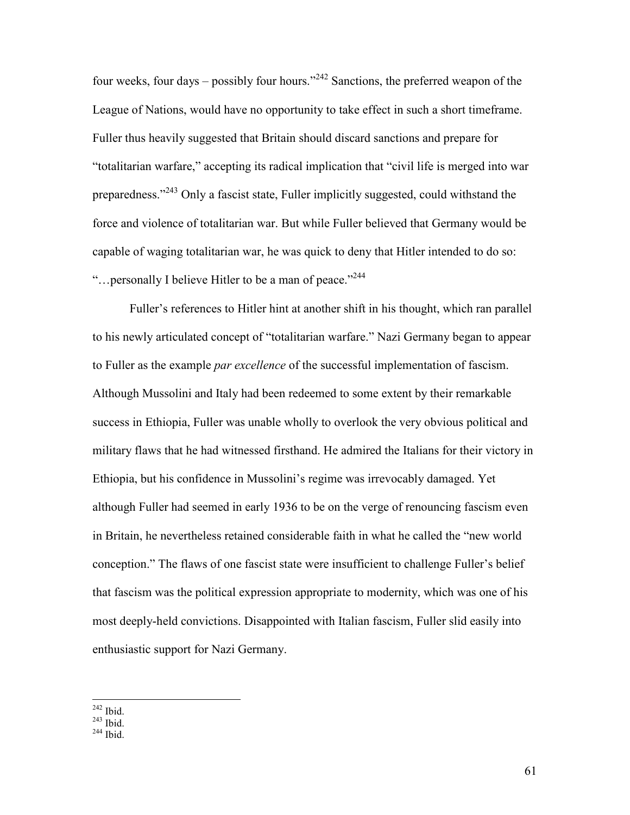four weeks, four days – possibly four hours."<sup>242</sup> Sanctions, the preferred weapon of the League of Nations, would have no opportunity to take effect in such a short timeframe. Fuller thus heavily suggested that Britain should discard sanctions and prepare for "totalitarian warfare," accepting its radical implication that "civil life is merged into war preparedness."<sup>243</sup> Only a fascist state, Fuller implicitly suggested, could withstand the force and violence of totalitarian war. But while Fuller believed that Germany would be capable of waging totalitarian war, he was quick to deny that Hitler intended to do so: "... personally I believe Hitler to be a man of peace."<sup>244</sup>

Fuller's references to Hitler hint at another shift in his thought, which ran parallel to his newly articulated concept of "totalitarian warfare." Nazi Germany began to appear to Fuller as the example *par excellence* of the successful implementation of fascism. Although Mussolini and Italy had been redeemed to some extent by their remarkable success in Ethiopia, Fuller was unable wholly to overlook the very obvious political and military flaws that he had witnessed firsthand. He admired the Italians for their victory in Ethiopia, but his confidence in Mussolini's regime was irrevocably damaged. Yet although Fuller had seemed in early 1936 to be on the verge of renouncing fascism even in Britain, he nevertheless retained considerable faith in what he called the "new world conception." The flaws of one fascist state were insufficient to challenge Fuller's belief that fascism was the political expression appropriate to modernity, which was one of his most deeply-held convictions. Disappointed with Italian fascism, Fuller slid easily into enthusiastic support for Nazi Germany.

 $\overline{a}$  $242$  Ibid.

 $^{243}$  Ibid.

 $244$  Ibid.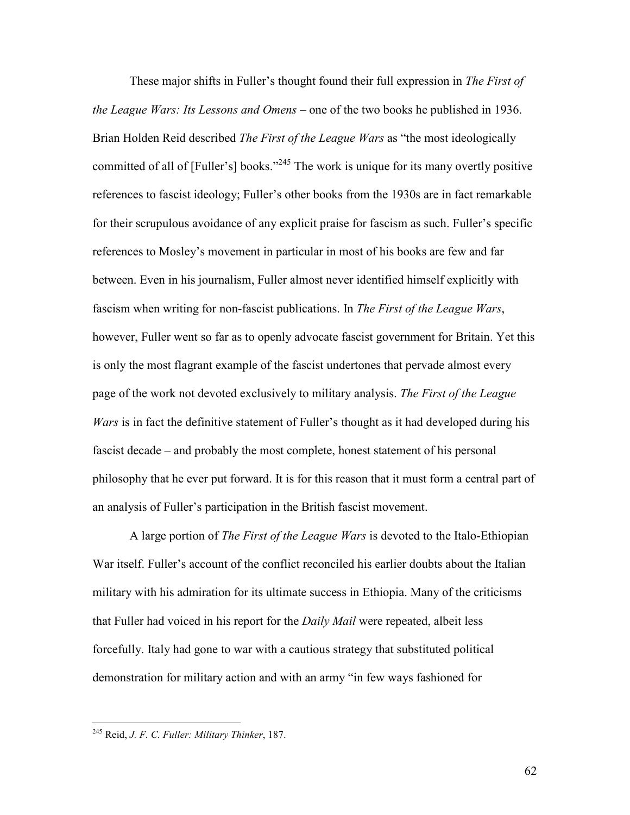These major shifts in Fuller's thought found their full expression in *The First of the League Wars: Its Lessons and Omens* – one of the two books he published in 1936. Brian Holden Reid described *The First of the League Wars* as "the most ideologically committed of all of [Fuller's] books."<sup>245</sup> The work is unique for its many overtly positive references to fascist ideology; Fuller's other books from the 1930s are in fact remarkable for their scrupulous avoidance of any explicit praise for fascism as such. Fuller's specific references to Mosley's movement in particular in most of his books are few and far between. Even in his journalism, Fuller almost never identified himself explicitly with fascism when writing for non-fascist publications. In *The First of the League Wars*, however, Fuller went so far as to openly advocate fascist government for Britain. Yet this is only the most flagrant example of the fascist undertones that pervade almost every page of the work not devoted exclusively to military analysis. *The First of the League Wars* is in fact the definitive statement of Fuller's thought as it had developed during his fascist decade – and probably the most complete, honest statement of his personal philosophy that he ever put forward. It is for this reason that it must form a central part of an analysis of Fuller's participation in the British fascist movement.

A large portion of *The First of the League Wars* is devoted to the Italo-Ethiopian War itself. Fuller's account of the conflict reconciled his earlier doubts about the Italian military with his admiration for its ultimate success in Ethiopia. Many of the criticisms that Fuller had voiced in his report for the *Daily Mail* were repeated, albeit less forcefully. Italy had gone to war with a cautious strategy that substituted political demonstration for military action and with an army "in few ways fashioned for

<sup>245</sup> Reid, *J. F. C. Fuller: Military Thinker*, 187.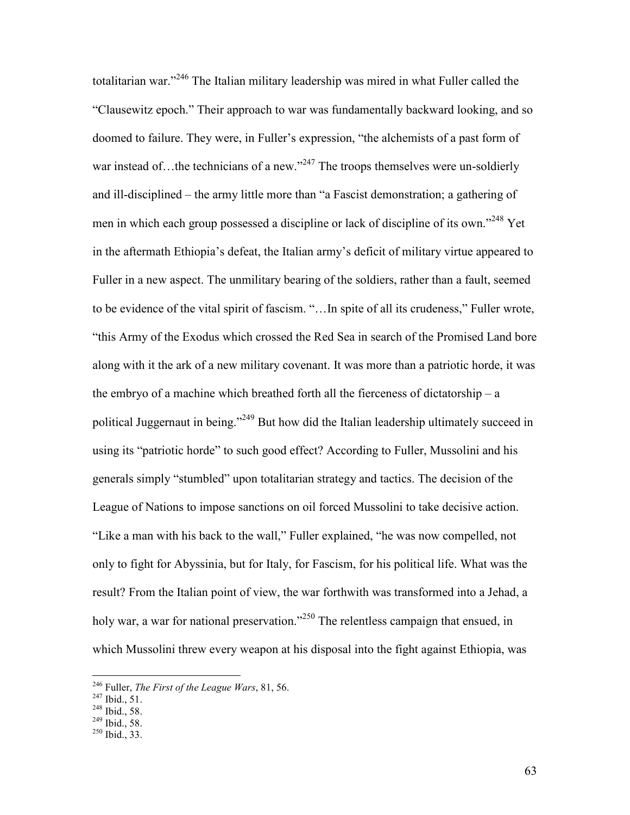totalitarian war."<sup>246</sup> The Italian military leadership was mired in what Fuller called the "Clausewitz epoch." Their approach to war was fundamentally backward looking, and so doomed to failure. They were, in Fuller's expression, "the alchemists of a past form of war instead of…the technicians of a new."<sup>247</sup> The troops themselves were un-soldierly and ill-disciplined – the army little more than "a Fascist demonstration; a gathering of men in which each group possessed a discipline or lack of discipline of its own."<sup>248</sup> Yet in the aftermath Ethiopia's defeat, the Italian army's deficit of military virtue appeared to Fuller in a new aspect. The unmilitary bearing of the soldiers, rather than a fault, seemed to be evidence of the vital spirit of fascism. "…In spite of all its crudeness," Fuller wrote, "this Army of the Exodus which crossed the Red Sea in search of the Promised Land bore along with it the ark of a new military covenant. It was more than a patriotic horde, it was the embryo of a machine which breathed forth all the fierceness of dictatorship – a political Juggernaut in being."<sup>249</sup> But how did the Italian leadership ultimately succeed in using its "patriotic horde" to such good effect? According to Fuller, Mussolini and his generals simply "stumbled" upon totalitarian strategy and tactics. The decision of the League of Nations to impose sanctions on oil forced Mussolini to take decisive action. "Like a man with his back to the wall," Fuller explained, "he was now compelled, not only to fight for Abyssinia, but for Italy, for Fascism, for his political life. What was the result? From the Italian point of view, the war forthwith was transformed into a Jehad, a holy war, a war for national preservation."<sup>250</sup> The relentless campaign that ensued, in which Mussolini threw every weapon at his disposal into the fight against Ethiopia, was

<sup>246</sup> Fuller, *The First of the League Wars*, 81, 56.

<sup>247</sup> Ibid., 51.

<sup>248</sup> Ibid., 58.

 $^{249}$  Ibid., 58.

 $250$  Ibid., 33.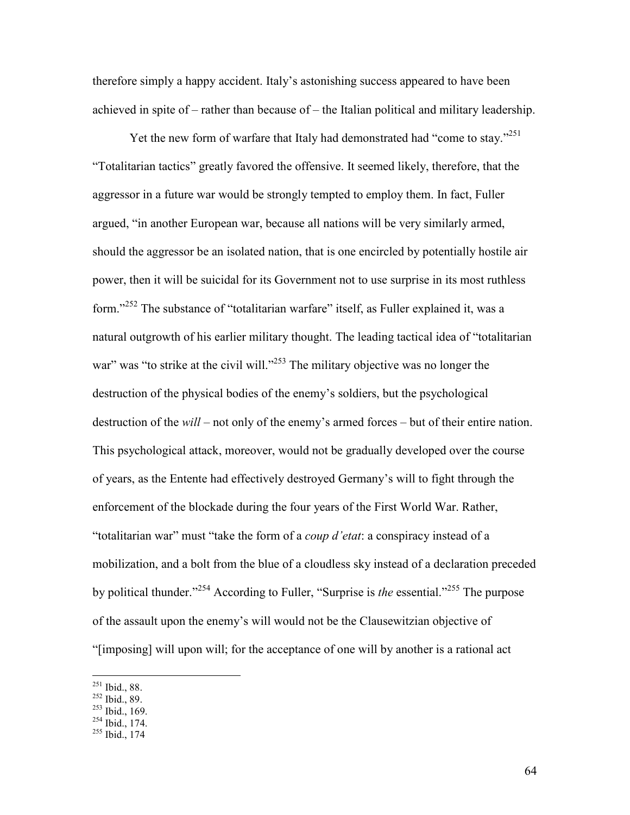therefore simply a happy accident. Italy's astonishing success appeared to have been achieved in spite of – rather than because of – the Italian political and military leadership.

Yet the new form of warfare that Italy had demonstrated had "come to stay."<sup>251</sup> "Totalitarian tactics" greatly favored the offensive. It seemed likely, therefore, that the aggressor in a future war would be strongly tempted to employ them. In fact, Fuller argued, "in another European war, because all nations will be very similarly armed, should the aggressor be an isolated nation, that is one encircled by potentially hostile air power, then it will be suicidal for its Government not to use surprise in its most ruthless form."<sup>252</sup> The substance of "totalitarian warfare" itself, as Fuller explained it, was a natural outgrowth of his earlier military thought. The leading tactical idea of "totalitarian war" was "to strike at the civil will."<sup>253</sup> The military objective was no longer the destruction of the physical bodies of the enemy's soldiers, but the psychological destruction of the *will* – not only of the enemy's armed forces – but of their entire nation. This psychological attack, moreover, would not be gradually developed over the course of years, as the Entente had effectively destroyed Germany's will to fight through the enforcement of the blockade during the four years of the First World War. Rather, "totalitarian war" must "take the form of a *coup d'etat*: a conspiracy instead of a mobilization, and a bolt from the blue of a cloudless sky instead of a declaration preceded by political thunder."<sup>254</sup> According to Fuller, "Surprise is *the* essential."<sup>255</sup> The purpose of the assault upon the enemy's will would not be the Clausewitzian objective of "[imposing] will upon will; for the acceptance of one will by another is a rational act

 $251$  Ibid., 88.

<sup>252</sup> Ibid., 89.

 $253$  Ibid., 169.

 $254$  Ibid., 174.

<sup>255</sup> Ibid., 174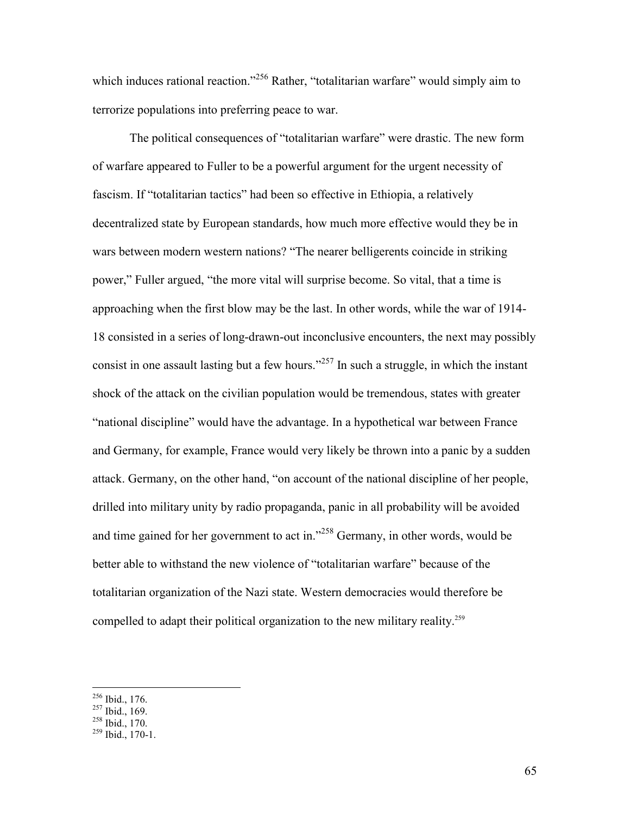which induces rational reaction."<sup>256</sup> Rather, "totalitarian warfare" would simply aim to terrorize populations into preferring peace to war.

The political consequences of "totalitarian warfare" were drastic. The new form of warfare appeared to Fuller to be a powerful argument for the urgent necessity of fascism. If "totalitarian tactics" had been so effective in Ethiopia, a relatively decentralized state by European standards, how much more effective would they be in wars between modern western nations? "The nearer belligerents coincide in striking power," Fuller argued, "the more vital will surprise become. So vital, that a time is approaching when the first blow may be the last. In other words, while the war of 1914- 18 consisted in a series of long-drawn-out inconclusive encounters, the next may possibly consist in one assault lasting but a few hours."<sup>257</sup> In such a struggle, in which the instant shock of the attack on the civilian population would be tremendous, states with greater "national discipline" would have the advantage. In a hypothetical war between France and Germany, for example, France would very likely be thrown into a panic by a sudden attack. Germany, on the other hand, "on account of the national discipline of her people, drilled into military unity by radio propaganda, panic in all probability will be avoided and time gained for her government to act in."<sup>258</sup> Germany, in other words, would be better able to withstand the new violence of "totalitarian warfare" because of the totalitarian organization of the Nazi state. Western democracies would therefore be compelled to adapt their political organization to the new military reality.<sup>259</sup>

-

 $^{258}$  Ibid., 170.

 $256$  Ibid., 176.

 $^{257}$  Ibid., 169.

 $^{259}$  Ibid., 170-1.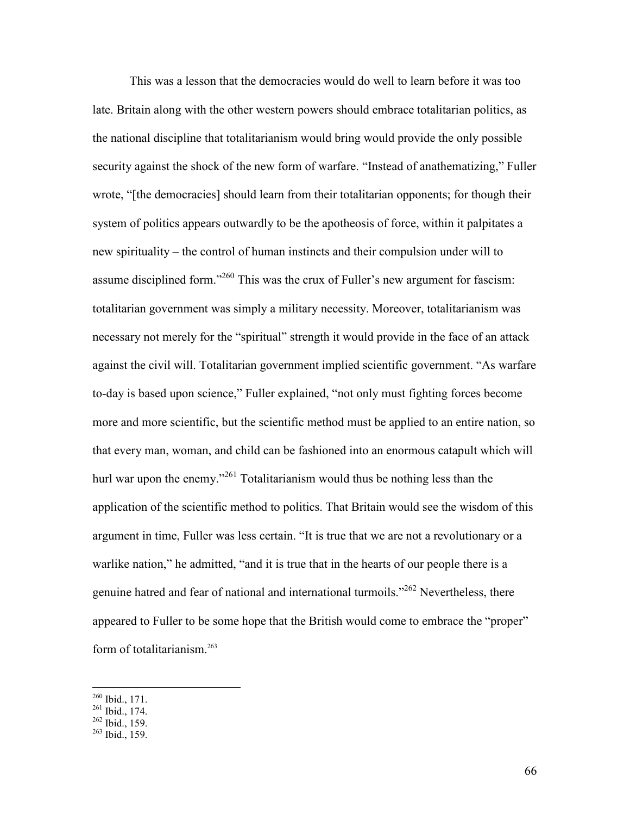This was a lesson that the democracies would do well to learn before it was too late. Britain along with the other western powers should embrace totalitarian politics, as the national discipline that totalitarianism would bring would provide the only possible security against the shock of the new form of warfare. "Instead of anathematizing," Fuller wrote, "[the democracies] should learn from their totalitarian opponents; for though their system of politics appears outwardly to be the apotheosis of force, within it palpitates a new spirituality – the control of human instincts and their compulsion under will to assume disciplined form."<sup>260</sup> This was the crux of Fuller's new argument for fascism: totalitarian government was simply a military necessity. Moreover, totalitarianism was necessary not merely for the "spiritual" strength it would provide in the face of an attack against the civil will. Totalitarian government implied scientific government. "As warfare to-day is based upon science," Fuller explained, "not only must fighting forces become more and more scientific, but the scientific method must be applied to an entire nation, so that every man, woman, and child can be fashioned into an enormous catapult which will hurl war upon the enemy."<sup>261</sup> Totalitarianism would thus be nothing less than the application of the scientific method to politics. That Britain would see the wisdom of this argument in time, Fuller was less certain. "It is true that we are not a revolutionary or a warlike nation," he admitted, "and it is true that in the hearts of our people there is a genuine hatred and fear of national and international turmoils."<sup>262</sup> Nevertheless, there appeared to Fuller to be some hope that the British would come to embrace the "proper" form of totalitarianism.<sup>263</sup>

l

 $262$  Ibid., 159.

 $260$  Ibid., 171.

 $^{261}$  Ibid., 174.

 $263$  Ibid., 159.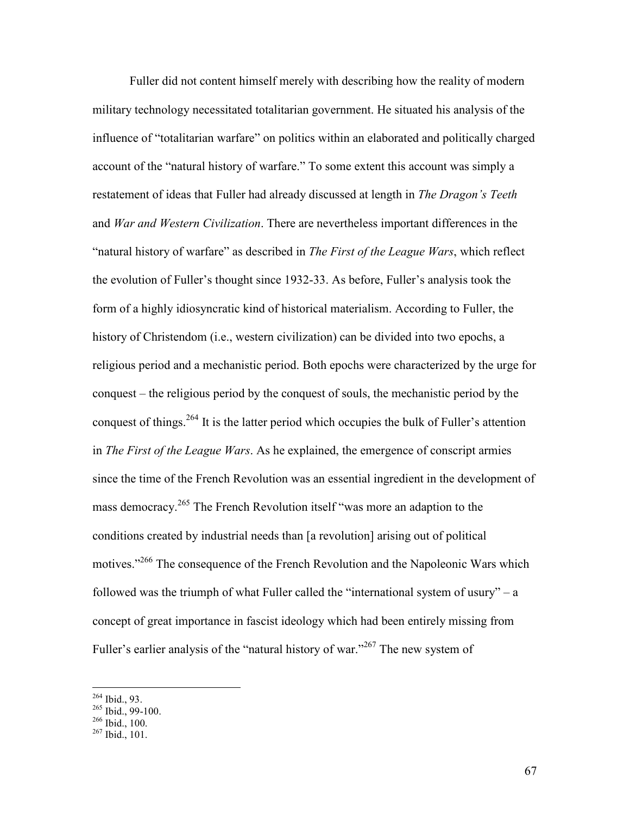Fuller did not content himself merely with describing how the reality of modern military technology necessitated totalitarian government. He situated his analysis of the influence of "totalitarian warfare" on politics within an elaborated and politically charged account of the "natural history of warfare." To some extent this account was simply a restatement of ideas that Fuller had already discussed at length in *The Dragon's Teeth* and *War and Western Civilization*. There are nevertheless important differences in the "natural history of warfare" as described in *The First of the League Wars*, which reflect the evolution of Fuller's thought since 1932-33. As before, Fuller's analysis took the form of a highly idiosyncratic kind of historical materialism. According to Fuller, the history of Christendom (i.e., western civilization) can be divided into two epochs, a religious period and a mechanistic period. Both epochs were characterized by the urge for conquest – the religious period by the conquest of souls, the mechanistic period by the conquest of things.<sup>264</sup> It is the latter period which occupies the bulk of Fuller's attention in *The First of the League Wars*. As he explained, the emergence of conscript armies since the time of the French Revolution was an essential ingredient in the development of mass democracy.<sup>265</sup> The French Revolution itself "was more an adaption to the conditions created by industrial needs than [a revolution] arising out of political motives."<sup>266</sup> The consequence of the French Revolution and the Napoleonic Wars which followed was the triumph of what Fuller called the "international system of usury" – a concept of great importance in fascist ideology which had been entirely missing from Fuller's earlier analysis of the "natural history of war."<sup>267</sup> The new system of

-

 $266$  Ibid., 100.

 $264$  Ibid., 93.

 $^{265}$  Ibid., 99-100.

<sup>267</sup> Ibid., 101.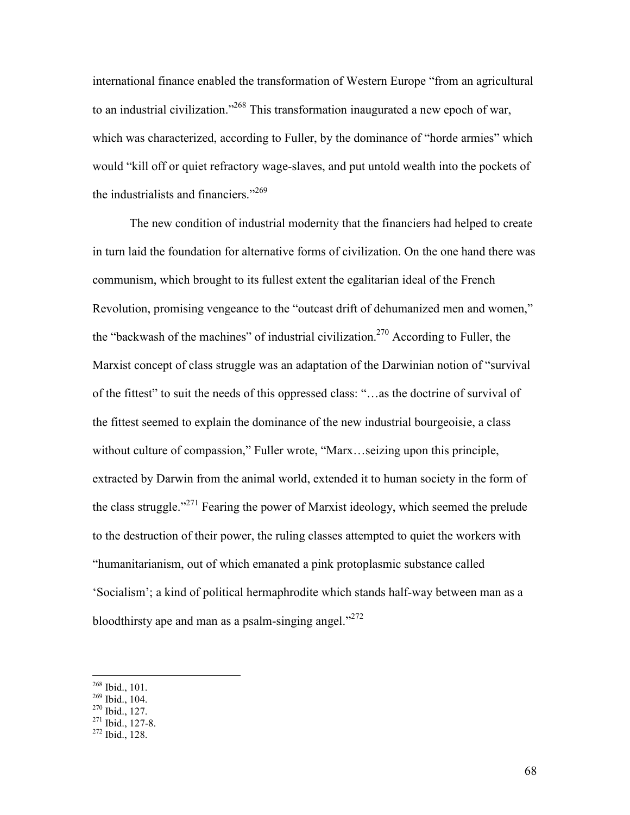international finance enabled the transformation of Western Europe "from an agricultural to an industrial civilization."<sup>268</sup> This transformation inaugurated a new epoch of war, which was characterized, according to Fuller, by the dominance of "horde armies" which would "kill off or quiet refractory wage-slaves, and put untold wealth into the pockets of the industrialists and financiers."<sup>269</sup>

The new condition of industrial modernity that the financiers had helped to create in turn laid the foundation for alternative forms of civilization. On the one hand there was communism, which brought to its fullest extent the egalitarian ideal of the French Revolution, promising vengeance to the "outcast drift of dehumanized men and women," the "backwash of the machines" of industrial civilization.<sup>270</sup> According to Fuller, the Marxist concept of class struggle was an adaptation of the Darwinian notion of "survival of the fittest" to suit the needs of this oppressed class: "…as the doctrine of survival of the fittest seemed to explain the dominance of the new industrial bourgeoisie, a class without culture of compassion," Fuller wrote, "Marx...seizing upon this principle, extracted by Darwin from the animal world, extended it to human society in the form of the class struggle."<sup>271</sup> Fearing the power of Marxist ideology, which seemed the prelude to the destruction of their power, the ruling classes attempted to quiet the workers with "humanitarianism, out of which emanated a pink protoplasmic substance called 'Socialism'; a kind of political hermaphrodite which stands half-way between man as a bloodthirsty ape and man as a psalm-singing angel." $272$ 

 $268$  Ibid., 101.

<sup>269</sup> Ibid., 104.

<sup>270</sup> Ibid., 127.

 $271$  Ibid., 127-8.

 $272$  Ibid., 128.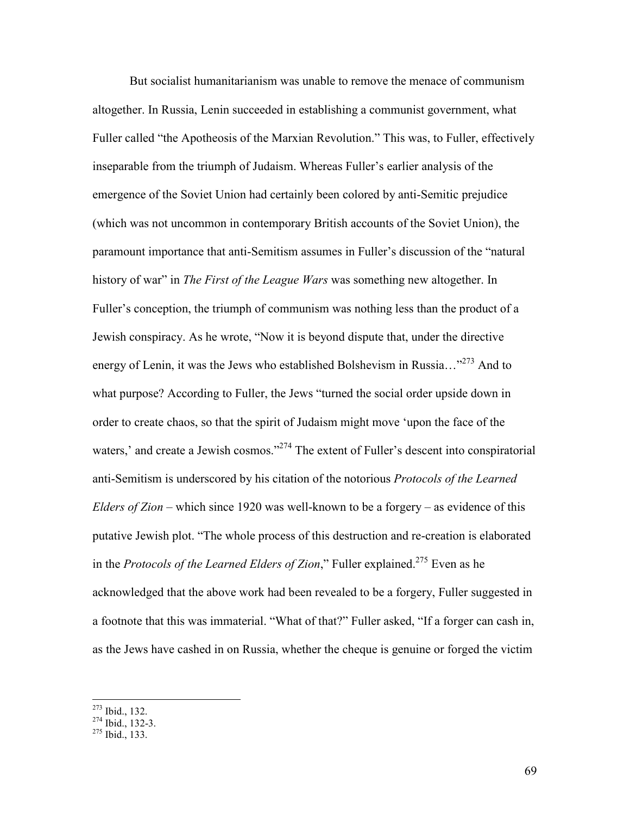But socialist humanitarianism was unable to remove the menace of communism altogether. In Russia, Lenin succeeded in establishing a communist government, what Fuller called "the Apotheosis of the Marxian Revolution." This was, to Fuller, effectively inseparable from the triumph of Judaism. Whereas Fuller's earlier analysis of the emergence of the Soviet Union had certainly been colored by anti-Semitic prejudice (which was not uncommon in contemporary British accounts of the Soviet Union), the paramount importance that anti-Semitism assumes in Fuller's discussion of the "natural history of war" in *The First of the League Wars* was something new altogether. In Fuller's conception, the triumph of communism was nothing less than the product of a Jewish conspiracy. As he wrote, "Now it is beyond dispute that, under the directive energy of Lenin, it was the Jews who established Bolshevism in Russia..."<sup>273</sup> And to what purpose? According to Fuller, the Jews "turned the social order upside down in order to create chaos, so that the spirit of Judaism might move 'upon the face of the waters,' and create a Jewish cosmos."<sup>274</sup> The extent of Fuller's descent into conspiratorial anti-Semitism is underscored by his citation of the notorious *Protocols of the Learned Elders of Zion* – which since 1920 was well-known to be a forgery – as evidence of this putative Jewish plot. "The whole process of this destruction and re-creation is elaborated in the *Protocols of the Learned Elders of Zion*," Fuller explained.<sup>275</sup> Even as he acknowledged that the above work had been revealed to be a forgery, Fuller suggested in a footnote that this was immaterial. "What of that?" Fuller asked, "If a forger can cash in, as the Jews have cashed in on Russia, whether the cheque is genuine or forged the victim

<sup>273</sup> Ibid., 132.

 $\overline{a}$ 

<sup>275</sup> Ibid., 133.

 $274$  Ibid., 132-3.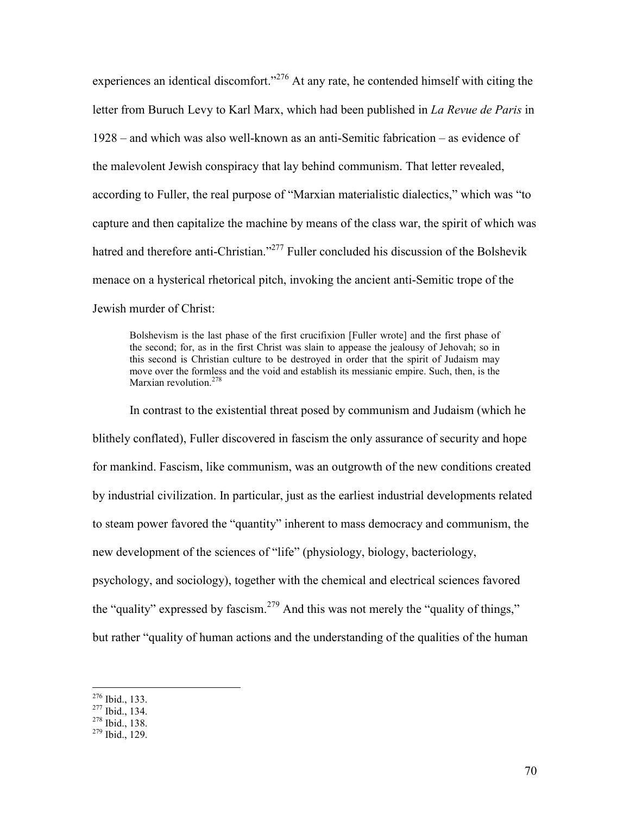experiences an identical discomfort."<sup>276</sup> At any rate, he contended himself with citing the letter from Buruch Levy to Karl Marx, which had been published in *La Revue de Paris* in 1928 – and which was also well-known as an anti-Semitic fabrication – as evidence of the malevolent Jewish conspiracy that lay behind communism. That letter revealed, according to Fuller, the real purpose of "Marxian materialistic dialectics," which was "to capture and then capitalize the machine by means of the class war, the spirit of which was hatred and therefore anti-Christian."<sup>277</sup> Fuller concluded his discussion of the Bolshevik menace on a hysterical rhetorical pitch, invoking the ancient anti-Semitic trope of the Jewish murder of Christ:

Bolshevism is the last phase of the first crucifixion [Fuller wrote] and the first phase of the second; for, as in the first Christ was slain to appease the jealousy of Jehovah; so in this second is Christian culture to be destroyed in order that the spirit of Judaism may move over the formless and the void and establish its messianic empire. Such, then, is the Marxian revolution.<sup>278</sup>

 In contrast to the existential threat posed by communism and Judaism (which he blithely conflated), Fuller discovered in fascism the only assurance of security and hope for mankind. Fascism, like communism, was an outgrowth of the new conditions created by industrial civilization. In particular, just as the earliest industrial developments related to steam power favored the "quantity" inherent to mass democracy and communism, the new development of the sciences of "life" (physiology, biology, bacteriology, psychology, and sociology), together with the chemical and electrical sciences favored the "quality" expressed by fascism.<sup>279</sup> And this was not merely the "quality of things," but rather "quality of human actions and the understanding of the qualities of the human

l

 $276$  Ibid., 133.

<sup>277</sup> Ibid., 134.

 $278$  Ibid., 138.

 $279$  Ibid., 129.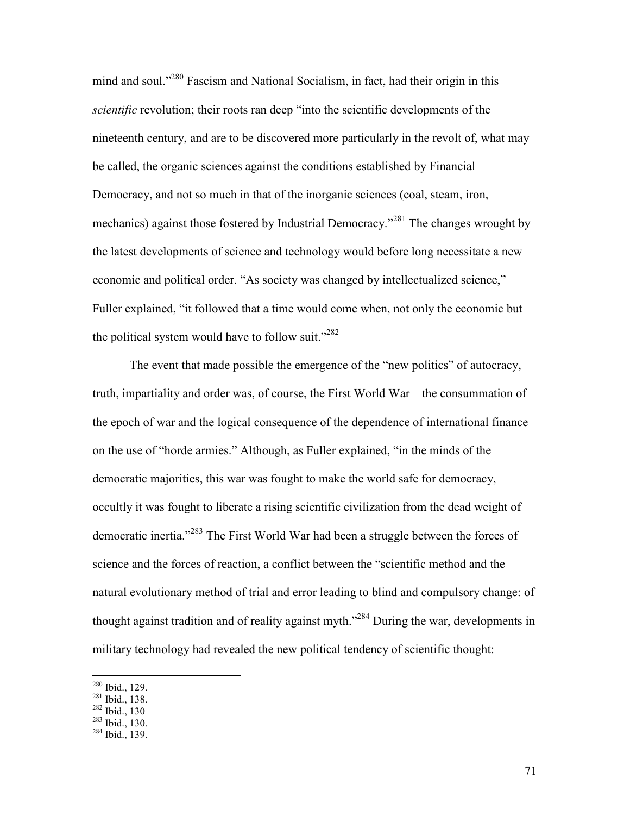mind and soul."<sup>280</sup> Fascism and National Socialism, in fact, had their origin in this *scientific* revolution; their roots ran deep "into the scientific developments of the nineteenth century, and are to be discovered more particularly in the revolt of, what may be called, the organic sciences against the conditions established by Financial Democracy, and not so much in that of the inorganic sciences (coal, steam, iron, mechanics) against those fostered by Industrial Democracy.<sup>281</sup> The changes wrought by the latest developments of science and technology would before long necessitate a new economic and political order. "As society was changed by intellectualized science," Fuller explained, "it followed that a time would come when, not only the economic but the political system would have to follow suit." $282$ 

The event that made possible the emergence of the "new politics" of autocracy, truth, impartiality and order was, of course, the First World War – the consummation of the epoch of war and the logical consequence of the dependence of international finance on the use of "horde armies." Although, as Fuller explained, "in the minds of the democratic majorities, this war was fought to make the world safe for democracy, occultly it was fought to liberate a rising scientific civilization from the dead weight of democratic inertia."<sup>283</sup> The First World War had been a struggle between the forces of science and the forces of reaction, a conflict between the "scientific method and the natural evolutionary method of trial and error leading to blind and compulsory change: of thought against tradition and of reality against myth.<sup>"284</sup> During the war, developments in military technology had revealed the new political tendency of scientific thought:

-

 $280$  Ibid., 129.

<sup>281</sup> Ibid., 138.

<sup>282</sup> Ibid., 130

 $283$  Ibid., 130.

<sup>284</sup> Ibid., 139.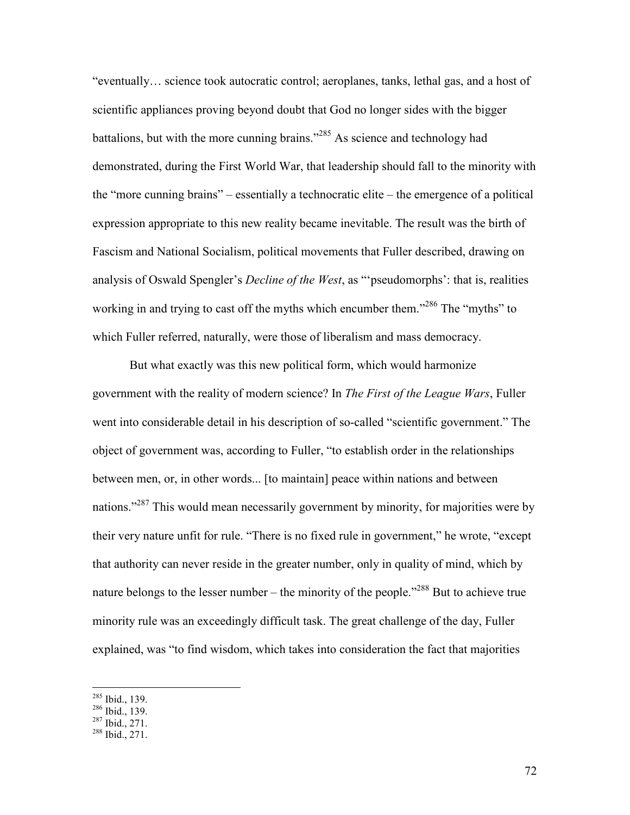"eventually… science took autocratic control; aeroplanes, tanks, lethal gas, and a host of scientific appliances proving beyond doubt that God no longer sides with the bigger battalions, but with the more cunning brains."<sup>285</sup> As science and technology had demonstrated, during the First World War, that leadership should fall to the minority with the "more cunning brains" – essentially a technocratic elite – the emergence of a political expression appropriate to this new reality became inevitable. The result was the birth of Fascism and National Socialism, political movements that Fuller described, drawing on analysis of Oswald Spengler's *Decline of the West*, as "'pseudomorphs': that is, realities working in and trying to cast off the myths which encumber them."<sup>286</sup> The "myths" to which Fuller referred, naturally, were those of liberalism and mass democracy.

 But what exactly was this new political form, which would harmonize government with the reality of modern science? In *The First of the League Wars*, Fuller went into considerable detail in his description of so-called "scientific government." The object of government was, according to Fuller, "to establish order in the relationships between men, or, in other words... [to maintain] peace within nations and between nations."<sup>287</sup> This would mean necessarily government by minority, for majorities were by their very nature unfit for rule. "There is no fixed rule in government," he wrote, "except that authority can never reside in the greater number, only in quality of mind, which by nature belongs to the lesser number – the minority of the people."<sup>288</sup> But to achieve true minority rule was an exceedingly difficult task. The great challenge of the day, Fuller explained, was "to find wisdom, which takes into consideration the fact that majorities

-

 $287$  Ibid., 271.

 $285$  Ibid., 139.

 $^{286}$  Ibid., 139.

<sup>288</sup> Ibid., 271.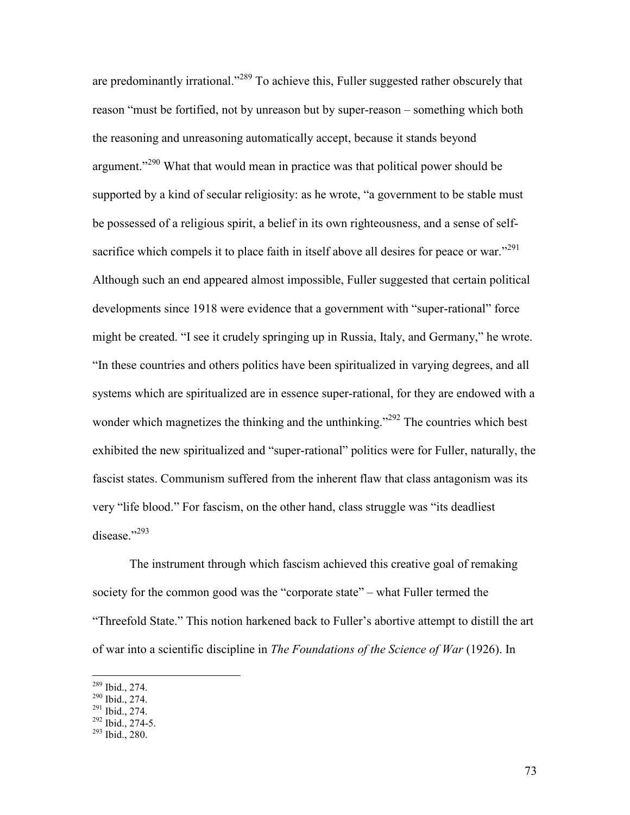are predominantly irrational."<sup>289</sup> To achieve this, Fuller suggested rather obscurely that reason "must be fortified, not by unreason but by super-reason – something which both the reasoning and unreasoning automatically accept, because it stands beyond argument."<sup>290</sup> What that would mean in practice was that political power should be supported by a kind of secular religiosity: as he wrote, "a government to be stable must be possessed of a religious spirit, a belief in its own righteousness, and a sense of selfsacrifice which compels it to place faith in itself above all desires for peace or war."<sup>291</sup> Although such an end appeared almost impossible, Fuller suggested that certain political developments since 1918 were evidence that a government with "super-rational" force might be created. "I see it crudely springing up in Russia, Italy, and Germany," he wrote. "In these countries and others politics have been spiritualized in varying degrees, and all systems which are spiritualized are in essence super-rational, for they are endowed with a wonder which magnetizes the thinking and the unthinking."<sup>292</sup> The countries which best exhibited the new spiritualized and "super-rational" politics were for Fuller, naturally, the fascist states. Communism suffered from the inherent flaw that class antagonism was its very "life blood." For fascism, on the other hand, class struggle was "its deadliest disease."<sup>293</sup>

 The instrument through which fascism achieved this creative goal of remaking society for the common good was the "corporate state" – what Fuller termed the "Threefold State." This notion harkened back to Fuller's abortive attempt to distill the art of war into a scientific discipline in *The Foundations of the Science of War* (1926). In

-

 $289$  Ibid., 274.

<sup>290</sup> Ibid., 274.

 $^{291}$  Ibid., 274.

 $^{292}$  Ibid., 274-5.

 $293$  Ibid., 280.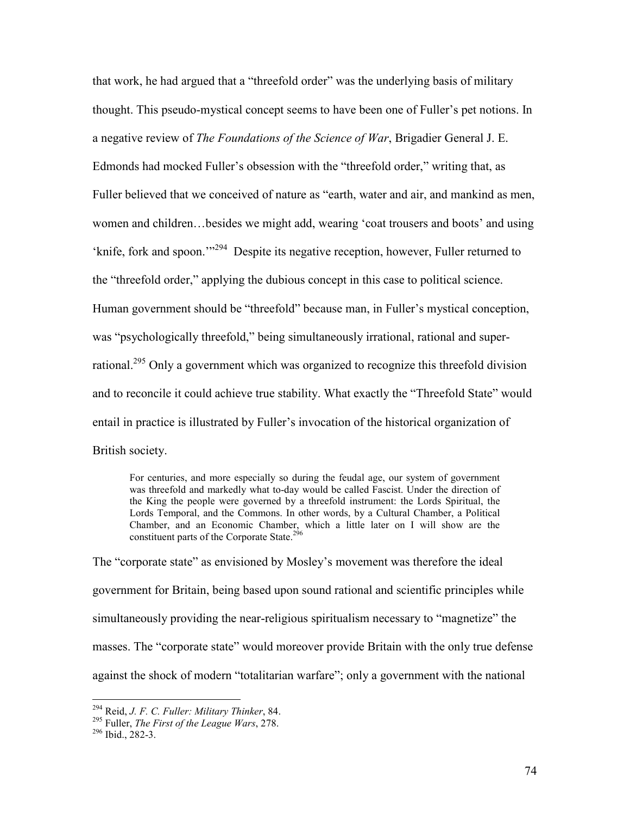that work, he had argued that a "threefold order" was the underlying basis of military thought. This pseudo-mystical concept seems to have been one of Fuller's pet notions. In a negative review of *The Foundations of the Science of War*, Brigadier General J. E. Edmonds had mocked Fuller's obsession with the "threefold order," writing that, as Fuller believed that we conceived of nature as "earth, water and air, and mankind as men, women and children…besides we might add, wearing 'coat trousers and boots' and using 'knife, fork and spoon.'"<sup>294</sup> Despite its negative reception, however, Fuller returned to the "threefold order," applying the dubious concept in this case to political science. Human government should be "threefold" because man, in Fuller's mystical conception, was "psychologically threefold," being simultaneously irrational, rational and superrational.<sup>295</sup> Only a government which was organized to recognize this threefold division and to reconcile it could achieve true stability. What exactly the "Threefold State" would entail in practice is illustrated by Fuller's invocation of the historical organization of British society.

For centuries, and more especially so during the feudal age, our system of government was threefold and markedly what to-day would be called Fascist. Under the direction of the King the people were governed by a threefold instrument: the Lords Spiritual, the Lords Temporal, and the Commons. In other words, by a Cultural Chamber, a Political Chamber, and an Economic Chamber, which a little later on I will show are the constituent parts of the Corporate State.<sup>296</sup>

The "corporate state" as envisioned by Mosley's movement was therefore the ideal government for Britain, being based upon sound rational and scientific principles while simultaneously providing the near-religious spiritualism necessary to "magnetize" the masses. The "corporate state" would moreover provide Britain with the only true defense against the shock of modern "totalitarian warfare"; only a government with the national

<sup>294</sup> Reid, *J. F. C. Fuller: Military Thinker*, 84.

<sup>295</sup> Fuller, *The First of the League Wars*, 278.

 $296$  Ibid., 282-3.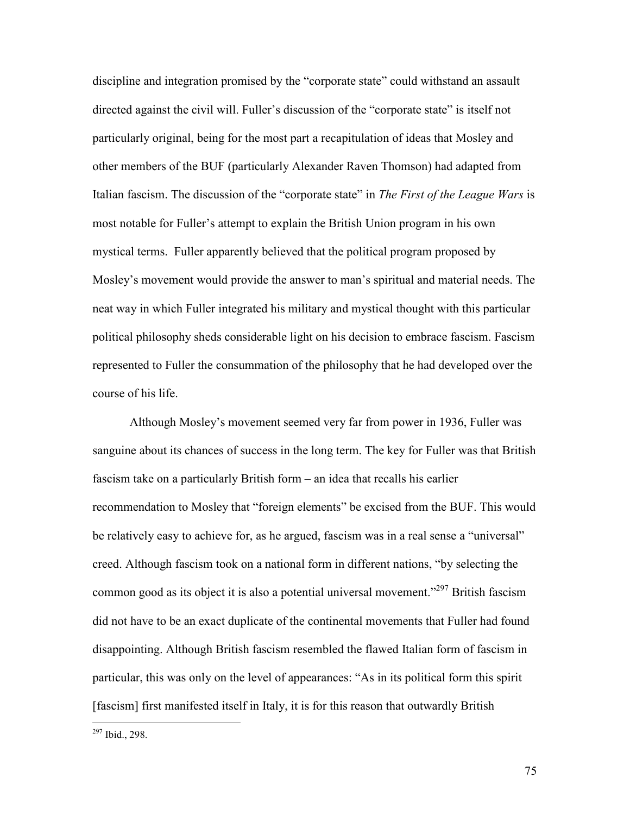discipline and integration promised by the "corporate state" could withstand an assault directed against the civil will. Fuller's discussion of the "corporate state" is itself not particularly original, being for the most part a recapitulation of ideas that Mosley and other members of the BUF (particularly Alexander Raven Thomson) had adapted from Italian fascism. The discussion of the "corporate state" in *The First of the League Wars* is most notable for Fuller's attempt to explain the British Union program in his own mystical terms. Fuller apparently believed that the political program proposed by Mosley's movement would provide the answer to man's spiritual and material needs. The neat way in which Fuller integrated his military and mystical thought with this particular political philosophy sheds considerable light on his decision to embrace fascism. Fascism represented to Fuller the consummation of the philosophy that he had developed over the course of his life.

 Although Mosley's movement seemed very far from power in 1936, Fuller was sanguine about its chances of success in the long term. The key for Fuller was that British fascism take on a particularly British form – an idea that recalls his earlier recommendation to Mosley that "foreign elements" be excised from the BUF. This would be relatively easy to achieve for, as he argued, fascism was in a real sense a "universal" creed. Although fascism took on a national form in different nations, "by selecting the common good as its object it is also a potential universal movement."<sup>297</sup> British fascism did not have to be an exact duplicate of the continental movements that Fuller had found disappointing. Although British fascism resembled the flawed Italian form of fascism in particular, this was only on the level of appearances: "As in its political form this spirit [fascism] first manifested itself in Italy, it is for this reason that outwardly British

<sup>297</sup> Ibid., 298.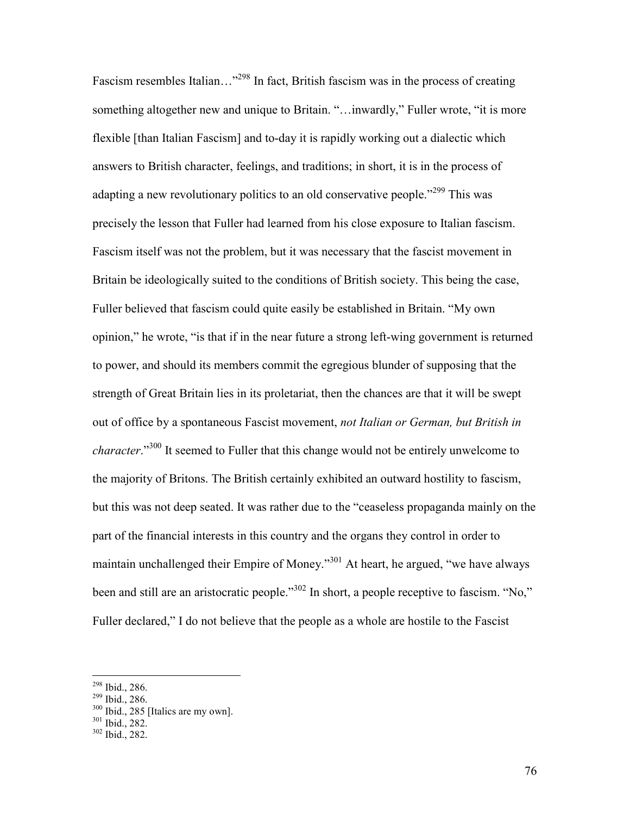Fascism resembles Italian...<sup>"298</sup> In fact, British fascism was in the process of creating something altogether new and unique to Britain. "…inwardly," Fuller wrote, "it is more flexible [than Italian Fascism] and to-day it is rapidly working out a dialectic which answers to British character, feelings, and traditions; in short, it is in the process of adapting a new revolutionary politics to an old conservative people.<sup>"299</sup> This was precisely the lesson that Fuller had learned from his close exposure to Italian fascism. Fascism itself was not the problem, but it was necessary that the fascist movement in Britain be ideologically suited to the conditions of British society. This being the case, Fuller believed that fascism could quite easily be established in Britain. "My own opinion," he wrote, "is that if in the near future a strong left-wing government is returned to power, and should its members commit the egregious blunder of supposing that the strength of Great Britain lies in its proletariat, then the chances are that it will be swept out of office by a spontaneous Fascist movement, *not Italian or German, but British in character*."<sup>300</sup> It seemed to Fuller that this change would not be entirely unwelcome to the majority of Britons. The British certainly exhibited an outward hostility to fascism, but this was not deep seated. It was rather due to the "ceaseless propaganda mainly on the part of the financial interests in this country and the organs they control in order to maintain unchallenged their Empire of Money."<sup>301</sup> At heart, he argued, "we have always been and still are an aristocratic people."<sup>302</sup> In short, a people receptive to fascism. "No," Fuller declared," I do not believe that the people as a whole are hostile to the Fascist

-

<sup>298</sup> Ibid., 286.

<sup>299</sup> Ibid., 286.

<sup>300</sup> Ibid., 285 [Italics are my own].

<sup>&</sup>lt;sup>301</sup> Ibid., 282.

<sup>302</sup> Ibid., 282.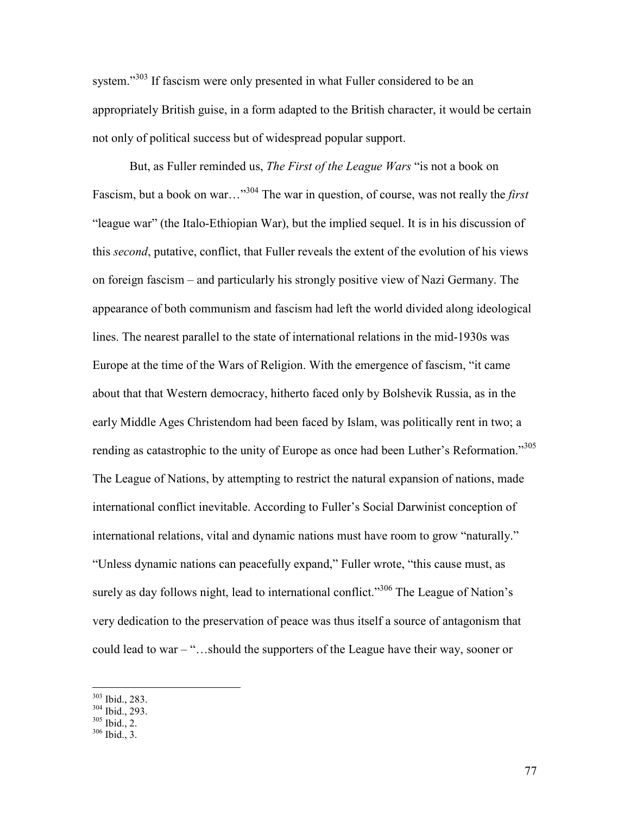system."<sup>303</sup> If fascism were only presented in what Fuller considered to be an appropriately British guise, in a form adapted to the British character, it would be certain not only of political success but of widespread popular support.

 But, as Fuller reminded us, *The First of the League Wars* "is not a book on Fascism, but a book on war…"<sup>304</sup> The war in question, of course, was not really the *first*  "league war" (the Italo-Ethiopian War), but the implied sequel. It is in his discussion of this *second*, putative, conflict, that Fuller reveals the extent of the evolution of his views on foreign fascism – and particularly his strongly positive view of Nazi Germany. The appearance of both communism and fascism had left the world divided along ideological lines. The nearest parallel to the state of international relations in the mid-1930s was Europe at the time of the Wars of Religion. With the emergence of fascism, "it came about that that Western democracy, hitherto faced only by Bolshevik Russia, as in the early Middle Ages Christendom had been faced by Islam, was politically rent in two; a rending as catastrophic to the unity of Europe as once had been Luther's Reformation."<sup>305</sup> The League of Nations, by attempting to restrict the natural expansion of nations, made international conflict inevitable. According to Fuller's Social Darwinist conception of international relations, vital and dynamic nations must have room to grow "naturally." "Unless dynamic nations can peacefully expand," Fuller wrote, "this cause must, as surely as day follows night, lead to international conflict."<sup>306</sup> The League of Nation's very dedication to the preservation of peace was thus itself a source of antagonism that could lead to war – "…should the supporters of the League have their way, sooner or

-

<sup>303</sup> Ibid., 283.

<sup>304</sup> Ibid., 293.

 $305$  Ibid., 2.

<sup>306</sup> Ibid., 3.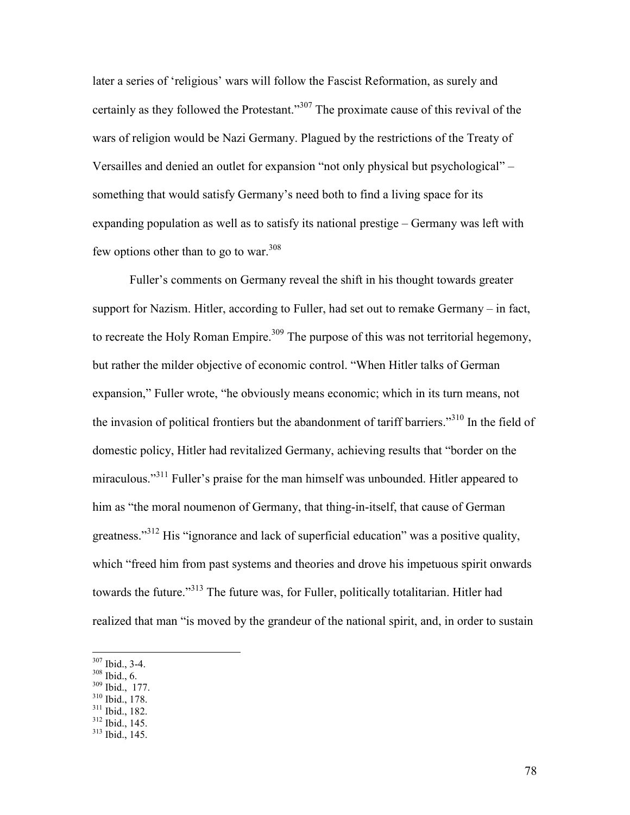later a series of 'religious' wars will follow the Fascist Reformation, as surely and certainly as they followed the Protestant."<sup>307</sup> The proximate cause of this revival of the wars of religion would be Nazi Germany. Plagued by the restrictions of the Treaty of Versailles and denied an outlet for expansion "not only physical but psychological" – something that would satisfy Germany's need both to find a living space for its expanding population as well as to satisfy its national prestige – Germany was left with few options other than to go to war. $308$ 

 Fuller's comments on Germany reveal the shift in his thought towards greater support for Nazism. Hitler, according to Fuller, had set out to remake Germany – in fact, to recreate the Holy Roman Empire.<sup>309</sup> The purpose of this was not territorial hegemony, but rather the milder objective of economic control. "When Hitler talks of German expansion," Fuller wrote, "he obviously means economic; which in its turn means, not the invasion of political frontiers but the abandonment of tariff barriers."<sup>310</sup> In the field of domestic policy, Hitler had revitalized Germany, achieving results that "border on the miraculous."<sup>311</sup> Fuller's praise for the man himself was unbounded. Hitler appeared to him as "the moral noumenon of Germany, that thing-in-itself, that cause of German greatness."<sup>312</sup> His "ignorance and lack of superficial education" was a positive quality, which "freed him from past systems and theories and drove his impetuous spirit onwards towards the future."<sup>313</sup> The future was, for Fuller, politically totalitarian. Hitler had realized that man "is moved by the grandeur of the national spirit, and, in order to sustain

- <sup>308</sup> Ibid., 6.
- <sup>309</sup> Ibid., 177.
- <sup>310</sup> Ibid., 178.
- <sup>311</sup> Ibid., 182.  $312$  Ibid., 145.
- 

 $307$  Ibid., 3-4.

<sup>313</sup> Ibid., 145.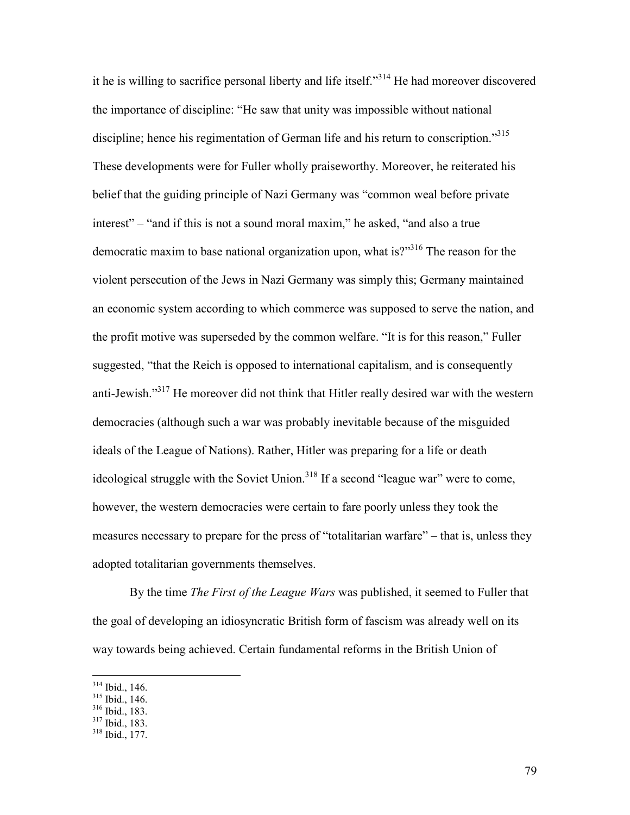it he is willing to sacrifice personal liberty and life itself."<sup>314</sup> He had moreover discovered the importance of discipline: "He saw that unity was impossible without national discipline; hence his regimentation of German life and his return to conscription.<sup>315</sup> These developments were for Fuller wholly praiseworthy. Moreover, he reiterated his belief that the guiding principle of Nazi Germany was "common weal before private interest" – "and if this is not a sound moral maxim," he asked, "and also a true democratic maxim to base national organization upon, what is?"<sup>316</sup> The reason for the violent persecution of the Jews in Nazi Germany was simply this; Germany maintained an economic system according to which commerce was supposed to serve the nation, and the profit motive was superseded by the common welfare. "It is for this reason," Fuller suggested, "that the Reich is opposed to international capitalism, and is consequently anti-Jewish."<sup>317</sup> He moreover did not think that Hitler really desired war with the western democracies (although such a war was probably inevitable because of the misguided ideals of the League of Nations). Rather, Hitler was preparing for a life or death ideological struggle with the Soviet Union.<sup>318</sup> If a second "league war" were to come, however, the western democracies were certain to fare poorly unless they took the measures necessary to prepare for the press of "totalitarian warfare" – that is, unless they adopted totalitarian governments themselves.

By the time *The First of the League Wars* was published, it seemed to Fuller that the goal of developing an idiosyncratic British form of fascism was already well on its way towards being achieved. Certain fundamental reforms in the British Union of

 $314$  Ibid., 146.

<sup>315</sup> Ibid., 146.

<sup>316</sup> Ibid., 183.

<sup>317</sup> Ibid., 183.

<sup>318</sup> Ibid., 177.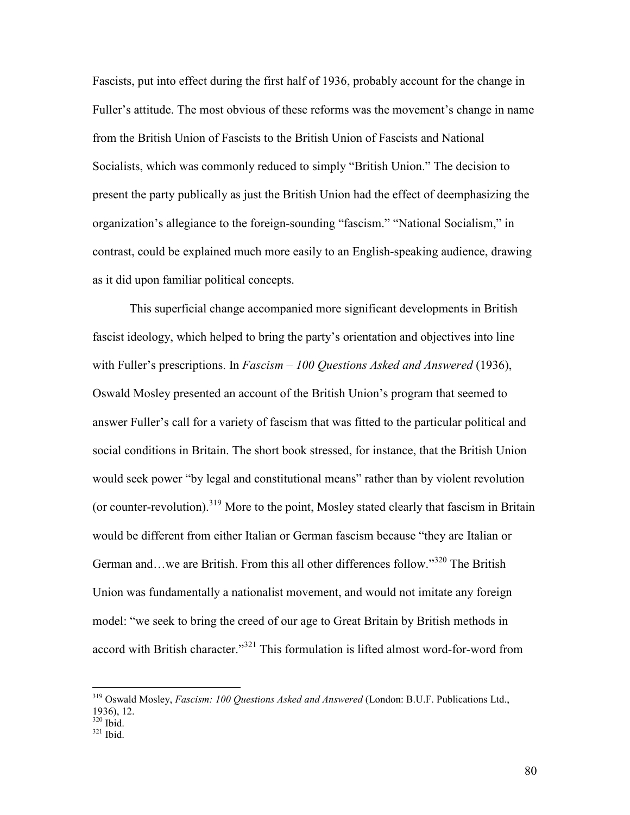Fascists, put into effect during the first half of 1936, probably account for the change in Fuller's attitude. The most obvious of these reforms was the movement's change in name from the British Union of Fascists to the British Union of Fascists and National Socialists, which was commonly reduced to simply "British Union." The decision to present the party publically as just the British Union had the effect of deemphasizing the organization's allegiance to the foreign-sounding "fascism." "National Socialism," in contrast, could be explained much more easily to an English-speaking audience, drawing as it did upon familiar political concepts.

This superficial change accompanied more significant developments in British fascist ideology, which helped to bring the party's orientation and objectives into line with Fuller's prescriptions. In *Fascism – 100 Questions Asked and Answered* (1936), Oswald Mosley presented an account of the British Union's program that seemed to answer Fuller's call for a variety of fascism that was fitted to the particular political and social conditions in Britain. The short book stressed, for instance, that the British Union would seek power "by legal and constitutional means" rather than by violent revolution (or counter-revolution).<sup>319</sup> More to the point, Mosley stated clearly that fascism in Britain would be different from either Italian or German fascism because "they are Italian or German and…we are British. From this all other differences follow."<sup>320</sup> The British Union was fundamentally a nationalist movement, and would not imitate any foreign model: "we seek to bring the creed of our age to Great Britain by British methods in accord with British character."<sup>321</sup> This formulation is lifted almost word-for-word from

 $320$  Ibid.

l

<sup>319</sup> Oswald Mosley, *Fascism: 100 Questions Asked and Answered* (London: B.U.F. Publications Ltd., 1936), 12.

<sup>321</sup> Ibid.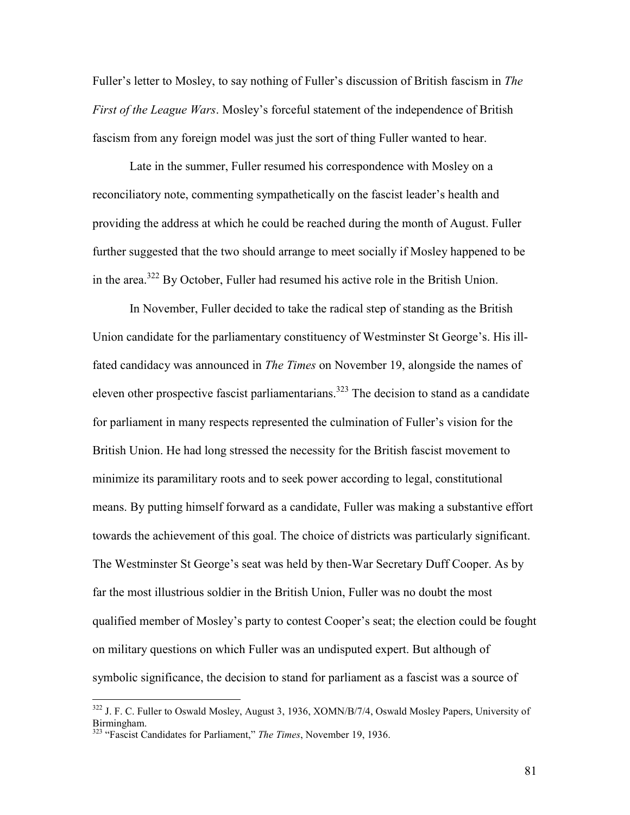Fuller's letter to Mosley, to say nothing of Fuller's discussion of British fascism in *The First of the League Wars*. Mosley's forceful statement of the independence of British fascism from any foreign model was just the sort of thing Fuller wanted to hear.

Late in the summer, Fuller resumed his correspondence with Mosley on a reconciliatory note, commenting sympathetically on the fascist leader's health and providing the address at which he could be reached during the month of August. Fuller further suggested that the two should arrange to meet socially if Mosley happened to be in the area.<sup>322</sup> By October, Fuller had resumed his active role in the British Union.

In November, Fuller decided to take the radical step of standing as the British Union candidate for the parliamentary constituency of Westminster St George's. His illfated candidacy was announced in *The Times* on November 19, alongside the names of eleven other prospective fascist parliamentarians.<sup>323</sup> The decision to stand as a candidate for parliament in many respects represented the culmination of Fuller's vision for the British Union. He had long stressed the necessity for the British fascist movement to minimize its paramilitary roots and to seek power according to legal, constitutional means. By putting himself forward as a candidate, Fuller was making a substantive effort towards the achievement of this goal. The choice of districts was particularly significant. The Westminster St George's seat was held by then-War Secretary Duff Cooper. As by far the most illustrious soldier in the British Union, Fuller was no doubt the most qualified member of Mosley's party to contest Cooper's seat; the election could be fought on military questions on which Fuller was an undisputed expert. But although of symbolic significance, the decision to stand for parliament as a fascist was a source of

<sup>&</sup>lt;sup>322</sup> J. F. C. Fuller to Oswald Mosley, August 3, 1936, XOMN/B/7/4, Oswald Mosley Papers, University of Birmingham.

<sup>&</sup>lt;sup>323</sup> "Fascist Candidates for Parliament," *The Times*, November 19, 1936.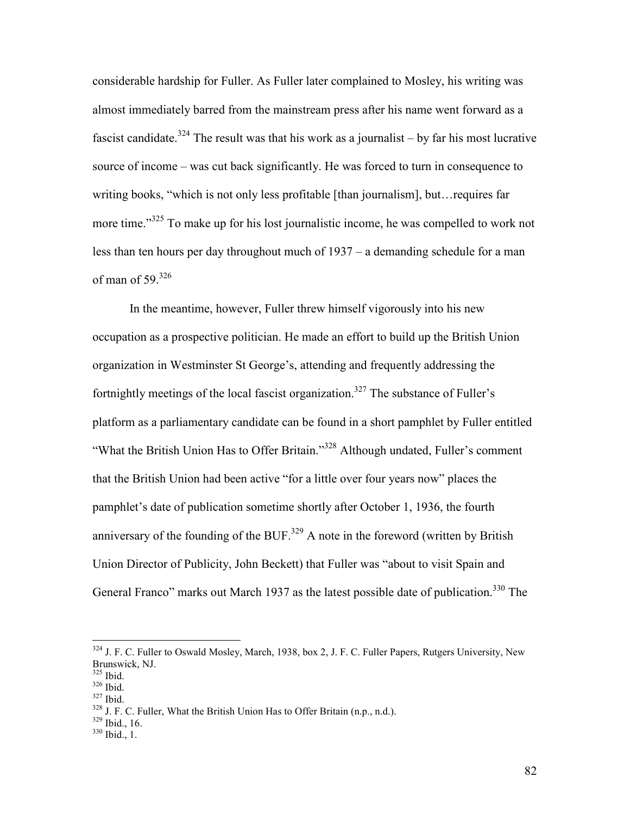considerable hardship for Fuller. As Fuller later complained to Mosley, his writing was almost immediately barred from the mainstream press after his name went forward as a fascist candidate.<sup>324</sup> The result was that his work as a journalist – by far his most lucrative source of income – was cut back significantly. He was forced to turn in consequence to writing books, "which is not only less profitable [than journalism], but…requires far more time."<sup>325</sup> To make up for his lost journalistic income, he was compelled to work not less than ten hours per day throughout much of 1937 – a demanding schedule for a man of man of 59. $326$ 

In the meantime, however, Fuller threw himself vigorously into his new occupation as a prospective politician. He made an effort to build up the British Union organization in Westminster St George's, attending and frequently addressing the fortnightly meetings of the local fascist organization.<sup>327</sup> The substance of Fuller's platform as a parliamentary candidate can be found in a short pamphlet by Fuller entitled "What the British Union Has to Offer Britain."<sup>328</sup> Although undated, Fuller's comment that the British Union had been active "for a little over four years now" places the pamphlet's date of publication sometime shortly after October 1, 1936, the fourth anniversary of the founding of the BUF.<sup>329</sup> A note in the foreword (written by British Union Director of Publicity, John Beckett) that Fuller was "about to visit Spain and General Franco" marks out March 1937 as the latest possible date of publication.<sup>330</sup> The

-

<sup>329</sup> Ibid., 16.

82

<sup>&</sup>lt;sup>324</sup> J. F. C. Fuller to Oswald Mosley, March, 1938, box 2, J. F. C. Fuller Papers, Rutgers University, New Brunswick, NJ.

<sup>325</sup> Ibid.

<sup>326</sup> Ibid.

<sup>327</sup> Ibid.

<sup>328</sup> J. F. C. Fuller, What the British Union Has to Offer Britain (n.p., n.d.).

 $330$  Ibid., 1.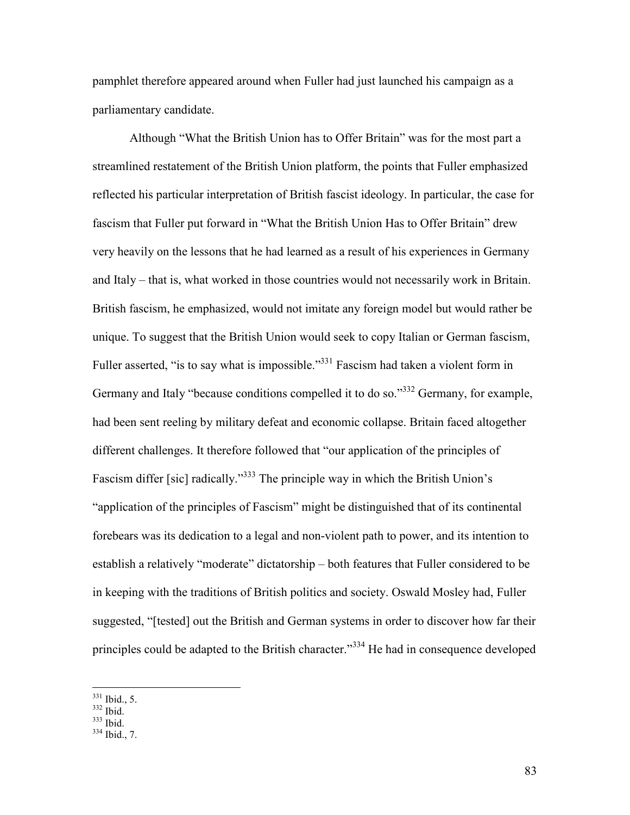pamphlet therefore appeared around when Fuller had just launched his campaign as a parliamentary candidate.

Although "What the British Union has to Offer Britain" was for the most part a streamlined restatement of the British Union platform, the points that Fuller emphasized reflected his particular interpretation of British fascist ideology. In particular, the case for fascism that Fuller put forward in "What the British Union Has to Offer Britain" drew very heavily on the lessons that he had learned as a result of his experiences in Germany and Italy – that is, what worked in those countries would not necessarily work in Britain. British fascism, he emphasized, would not imitate any foreign model but would rather be unique. To suggest that the British Union would seek to copy Italian or German fascism, Fuller asserted, "is to say what is impossible."<sup>331</sup> Fascism had taken a violent form in Germany and Italy "because conditions compelled it to do so."<sup>332</sup> Germany, for example, had been sent reeling by military defeat and economic collapse. Britain faced altogether different challenges. It therefore followed that "our application of the principles of Fascism differ [sic] radically."<sup>333</sup> The principle way in which the British Union's "application of the principles of Fascism" might be distinguished that of its continental forebears was its dedication to a legal and non-violent path to power, and its intention to establish a relatively "moderate" dictatorship – both features that Fuller considered to be in keeping with the traditions of British politics and society. Oswald Mosley had, Fuller suggested, "[tested] out the British and German systems in order to discover how far their principles could be adapted to the British character."<sup>334</sup> He had in consequence developed

 $\overline{a}$ 

<sup>333</sup> Ibid.

 $331$  Ibid., 5.

 $332$  Ibid.

<sup>334</sup> Ibid., 7.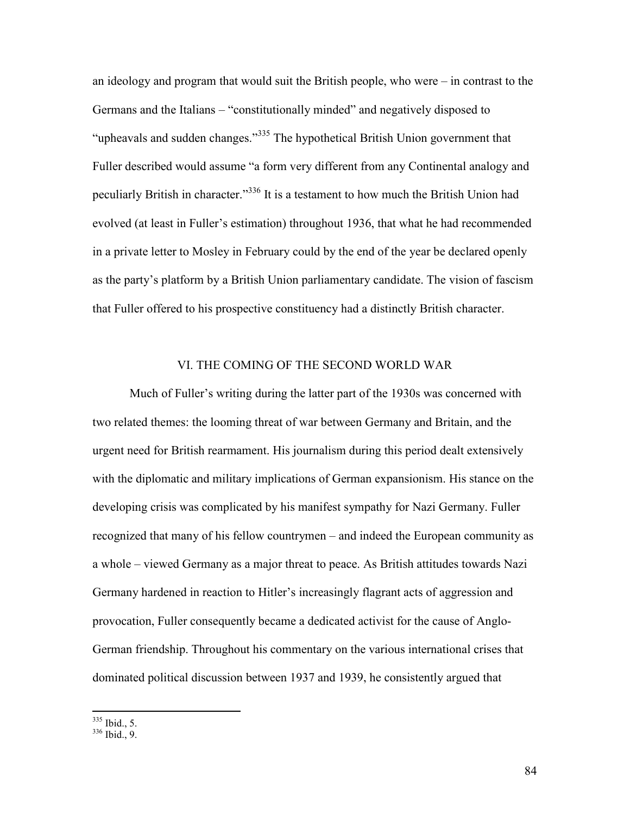an ideology and program that would suit the British people, who were – in contrast to the Germans and the Italians – "constitutionally minded" and negatively disposed to "upheavals and sudden changes."<sup>335</sup> The hypothetical British Union government that Fuller described would assume "a form very different from any Continental analogy and peculiarly British in character."<sup>336</sup> It is a testament to how much the British Union had evolved (at least in Fuller's estimation) throughout 1936, that what he had recommended in a private letter to Mosley in February could by the end of the year be declared openly as the party's platform by a British Union parliamentary candidate. The vision of fascism that Fuller offered to his prospective constituency had a distinctly British character.

## VI. THE COMING OF THE SECOND WORLD WAR

 Much of Fuller's writing during the latter part of the 1930s was concerned with two related themes: the looming threat of war between Germany and Britain, and the urgent need for British rearmament. His journalism during this period dealt extensively with the diplomatic and military implications of German expansionism. His stance on the developing crisis was complicated by his manifest sympathy for Nazi Germany. Fuller recognized that many of his fellow countrymen – and indeed the European community as a whole – viewed Germany as a major threat to peace. As British attitudes towards Nazi Germany hardened in reaction to Hitler's increasingly flagrant acts of aggression and provocation, Fuller consequently became a dedicated activist for the cause of Anglo-German friendship. Throughout his commentary on the various international crises that dominated political discussion between 1937 and 1939, he consistently argued that

 $335$  Ibid., 5.

<sup>336</sup> Ibid., 9.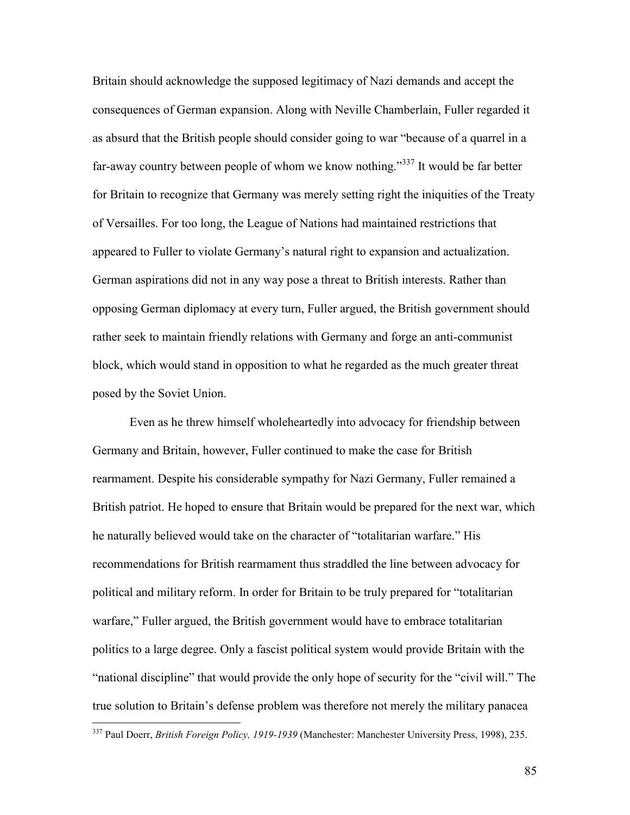Britain should acknowledge the supposed legitimacy of Nazi demands and accept the consequences of German expansion. Along with Neville Chamberlain, Fuller regarded it as absurd that the British people should consider going to war "because of a quarrel in a far-away country between people of whom we know nothing."<sup>337</sup> It would be far better for Britain to recognize that Germany was merely setting right the iniquities of the Treaty of Versailles. For too long, the League of Nations had maintained restrictions that appeared to Fuller to violate Germany's natural right to expansion and actualization. German aspirations did not in any way pose a threat to British interests. Rather than opposing German diplomacy at every turn, Fuller argued, the British government should rather seek to maintain friendly relations with Germany and forge an anti-communist block, which would stand in opposition to what he regarded as the much greater threat posed by the Soviet Union.

 Even as he threw himself wholeheartedly into advocacy for friendship between Germany and Britain, however, Fuller continued to make the case for British rearmament. Despite his considerable sympathy for Nazi Germany, Fuller remained a British patriot. He hoped to ensure that Britain would be prepared for the next war, which he naturally believed would take on the character of "totalitarian warfare." His recommendations for British rearmament thus straddled the line between advocacy for political and military reform. In order for Britain to be truly prepared for "totalitarian warfare," Fuller argued, the British government would have to embrace totalitarian politics to a large degree. Only a fascist political system would provide Britain with the "national discipline" that would provide the only hope of security for the "civil will." The true solution to Britain's defense problem was therefore not merely the military panacea

<sup>337</sup> Paul Doerr, *British Foreign Policy, 1919-1939* (Manchester: Manchester University Press, 1998), 235.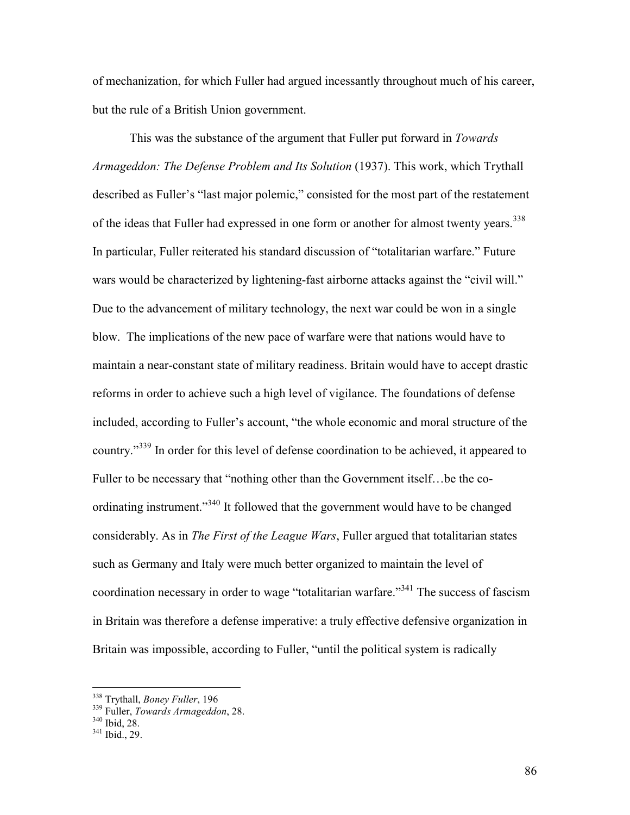of mechanization, for which Fuller had argued incessantly throughout much of his career, but the rule of a British Union government.

This was the substance of the argument that Fuller put forward in *Towards Armageddon: The Defense Problem and Its Solution* (1937). This work, which Trythall described as Fuller's "last major polemic," consisted for the most part of the restatement of the ideas that Fuller had expressed in one form or another for almost twenty years.<sup>338</sup> In particular, Fuller reiterated his standard discussion of "totalitarian warfare." Future wars would be characterized by lightening-fast airborne attacks against the "civil will." Due to the advancement of military technology, the next war could be won in a single blow. The implications of the new pace of warfare were that nations would have to maintain a near-constant state of military readiness. Britain would have to accept drastic reforms in order to achieve such a high level of vigilance. The foundations of defense included, according to Fuller's account, "the whole economic and moral structure of the country."<sup>339</sup> In order for this level of defense coordination to be achieved, it appeared to Fuller to be necessary that "nothing other than the Government itself…be the coordinating instrument."<sup>340</sup> It followed that the government would have to be changed considerably. As in *The First of the League Wars*, Fuller argued that totalitarian states such as Germany and Italy were much better organized to maintain the level of coordination necessary in order to wage "totalitarian warfare."<sup>341</sup> The success of fascism in Britain was therefore a defense imperative: a truly effective defensive organization in Britain was impossible, according to Fuller, "until the political system is radically

<sup>338</sup> Trythall, *Boney Fuller*, 196

<sup>339</sup> Fuller, *Towards Armageddon*, 28.

<sup>340</sup> Ibid, 28.

<sup>341</sup> Ibid., 29.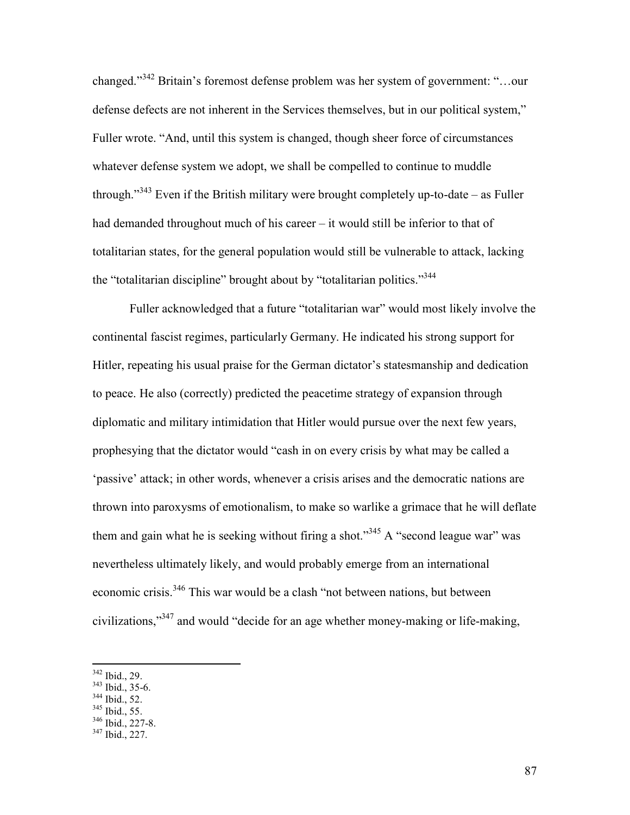changed."<sup>342</sup> Britain's foremost defense problem was her system of government: "…our defense defects are not inherent in the Services themselves, but in our political system," Fuller wrote. "And, until this system is changed, though sheer force of circumstances whatever defense system we adopt, we shall be compelled to continue to muddle through."<sup>343</sup> Even if the British military were brought completely up-to-date – as Fuller had demanded throughout much of his career – it would still be inferior to that of totalitarian states, for the general population would still be vulnerable to attack, lacking the "totalitarian discipline" brought about by "totalitarian politics."<sup>344</sup>

Fuller acknowledged that a future "totalitarian war" would most likely involve the continental fascist regimes, particularly Germany. He indicated his strong support for Hitler, repeating his usual praise for the German dictator's statesmanship and dedication to peace. He also (correctly) predicted the peacetime strategy of expansion through diplomatic and military intimidation that Hitler would pursue over the next few years, prophesying that the dictator would "cash in on every crisis by what may be called a 'passive' attack; in other words, whenever a crisis arises and the democratic nations are thrown into paroxysms of emotionalism, to make so warlike a grimace that he will deflate them and gain what he is seeking without firing a shot."<sup>345</sup> A "second league war" was nevertheless ultimately likely, and would probably emerge from an international economic crisis.<sup>346</sup> This war would be a clash "not between nations, but between civilizations,"<sup>347</sup> and would "decide for an age whether money-making or life-making,

- $343$  Ibid., 35-6.
- <sup>344</sup> Ibid., 52.
- <sup>345</sup> Ibid., 55.  $346$  Ibid., 227-8.
- 

<sup>342</sup> Ibid., 29.

 $347$  Ibid., 227.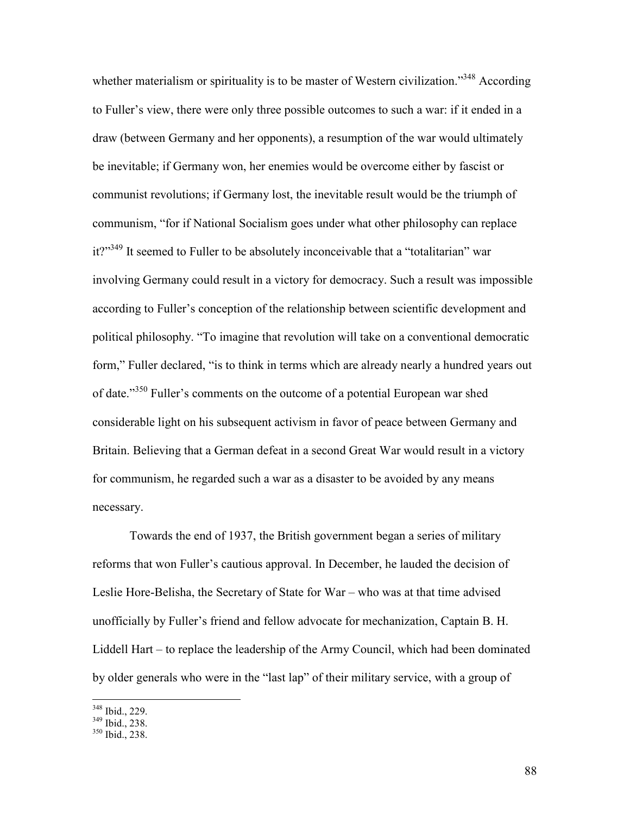whether materialism or spirituality is to be master of Western civilization."<sup>348</sup> According to Fuller's view, there were only three possible outcomes to such a war: if it ended in a draw (between Germany and her opponents), a resumption of the war would ultimately be inevitable; if Germany won, her enemies would be overcome either by fascist or communist revolutions; if Germany lost, the inevitable result would be the triumph of communism, "for if National Socialism goes under what other philosophy can replace it?"<sup>349</sup> It seemed to Fuller to be absolutely inconceivable that a "totalitarian" war involving Germany could result in a victory for democracy. Such a result was impossible according to Fuller's conception of the relationship between scientific development and political philosophy. "To imagine that revolution will take on a conventional democratic form," Fuller declared, "is to think in terms which are already nearly a hundred years out of date."<sup>350</sup> Fuller's comments on the outcome of a potential European war shed considerable light on his subsequent activism in favor of peace between Germany and Britain. Believing that a German defeat in a second Great War would result in a victory for communism, he regarded such a war as a disaster to be avoided by any means necessary.

Towards the end of 1937, the British government began a series of military reforms that won Fuller's cautious approval. In December, he lauded the decision of Leslie Hore-Belisha, the Secretary of State for War – who was at that time advised unofficially by Fuller's friend and fellow advocate for mechanization, Captain B. H. Liddell Hart – to replace the leadership of the Army Council, which had been dominated by older generals who were in the "last lap" of their military service, with a group of

<sup>348</sup> Ibid., 229.

 $349$  Ibid., 238.

<sup>350</sup> Ibid., 238.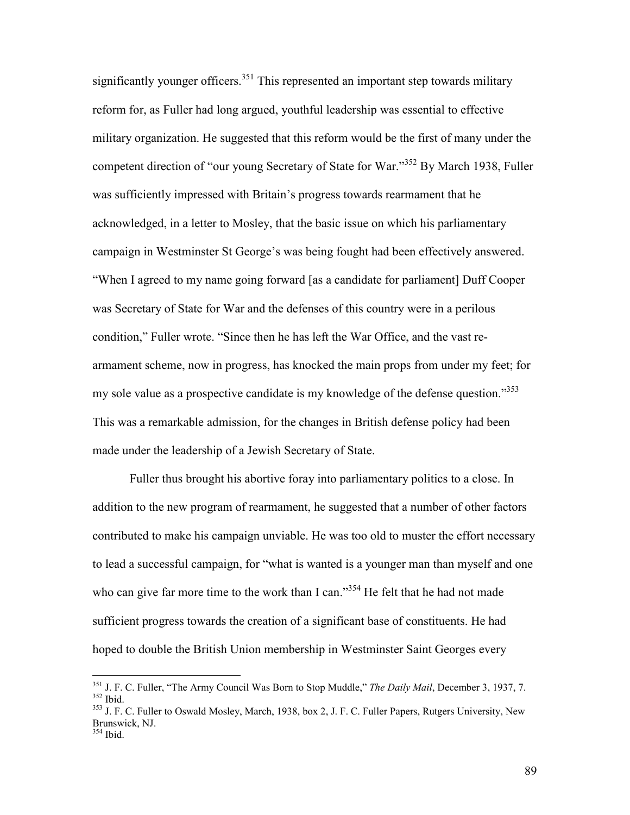significantly younger officers.<sup>351</sup> This represented an important step towards military reform for, as Fuller had long argued, youthful leadership was essential to effective military organization. He suggested that this reform would be the first of many under the competent direction of "our young Secretary of State for War."<sup>352</sup> By March 1938, Fuller was sufficiently impressed with Britain's progress towards rearmament that he acknowledged, in a letter to Mosley, that the basic issue on which his parliamentary campaign in Westminster St George's was being fought had been effectively answered. "When I agreed to my name going forward [as a candidate for parliament] Duff Cooper was Secretary of State for War and the defenses of this country were in a perilous condition," Fuller wrote. "Since then he has left the War Office, and the vast rearmament scheme, now in progress, has knocked the main props from under my feet; for my sole value as a prospective candidate is my knowledge of the defense question."<sup>353</sup> This was a remarkable admission, for the changes in British defense policy had been made under the leadership of a Jewish Secretary of State.

Fuller thus brought his abortive foray into parliamentary politics to a close. In addition to the new program of rearmament, he suggested that a number of other factors contributed to make his campaign unviable. He was too old to muster the effort necessary to lead a successful campaign, for "what is wanted is a younger man than myself and one who can give far more time to the work than I can."<sup>354</sup> He felt that he had not made sufficient progress towards the creation of a significant base of constituents. He had hoped to double the British Union membership in Westminster Saint Georges every

-

<sup>351</sup> J. F. C. Fuller, "The Army Council Was Born to Stop Muddle," *The Daily Mail*, December 3, 1937, 7. <sup>352</sup> Ibid.

<sup>&</sup>lt;sup>353</sup> J. F. C. Fuller to Oswald Mosley, March, 1938, box 2, J. F. C. Fuller Papers, Rutgers University, New Brunswick, NJ.

<sup>354</sup> Ibid.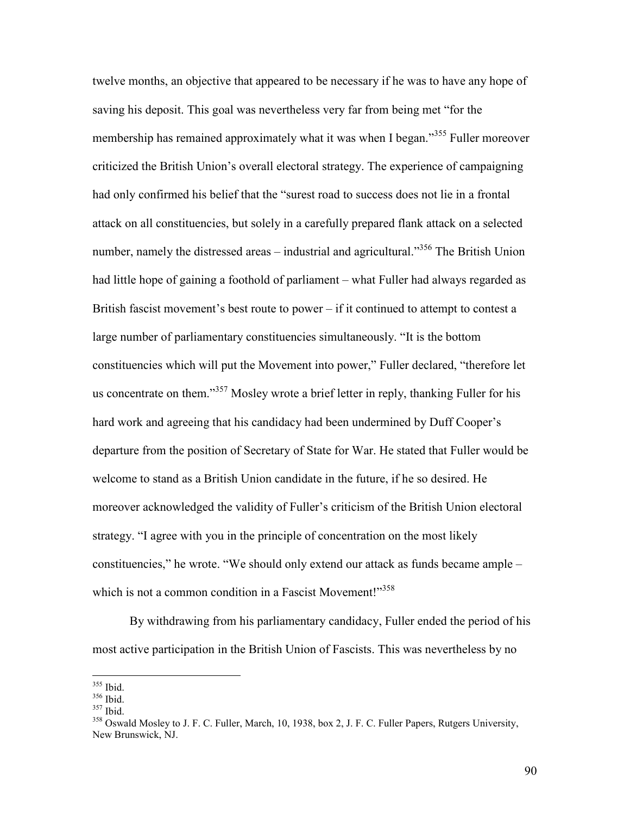twelve months, an objective that appeared to be necessary if he was to have any hope of saving his deposit. This goal was nevertheless very far from being met "for the membership has remained approximately what it was when I began.<sup>355</sup> Fuller moreover criticized the British Union's overall electoral strategy. The experience of campaigning had only confirmed his belief that the "surest road to success does not lie in a frontal attack on all constituencies, but solely in a carefully prepared flank attack on a selected number, namely the distressed areas – industrial and agricultural.<sup>356</sup> The British Union had little hope of gaining a foothold of parliament – what Fuller had always regarded as British fascist movement's best route to power  $-$  if it continued to attempt to contest a large number of parliamentary constituencies simultaneously. "It is the bottom constituencies which will put the Movement into power," Fuller declared, "therefore let us concentrate on them."<sup>357</sup> Mosley wrote a brief letter in reply, thanking Fuller for his hard work and agreeing that his candidacy had been undermined by Duff Cooper's departure from the position of Secretary of State for War. He stated that Fuller would be welcome to stand as a British Union candidate in the future, if he so desired. He moreover acknowledged the validity of Fuller's criticism of the British Union electoral strategy. "I agree with you in the principle of concentration on the most likely constituencies," he wrote. "We should only extend our attack as funds became ample – which is not a common condition in a Fascist Movement!"<sup>358</sup>

By withdrawing from his parliamentary candidacy, Fuller ended the period of his most active participation in the British Union of Fascists. This was nevertheless by no

-

90

<sup>355</sup> Ibid.

<sup>356</sup> Ibid.

<sup>357</sup> Ibid.

<sup>&</sup>lt;sup>358</sup> Oswald Mosley to J. F. C. Fuller, March, 10, 1938, box 2, J. F. C. Fuller Papers, Rutgers University, New Brunswick, NJ.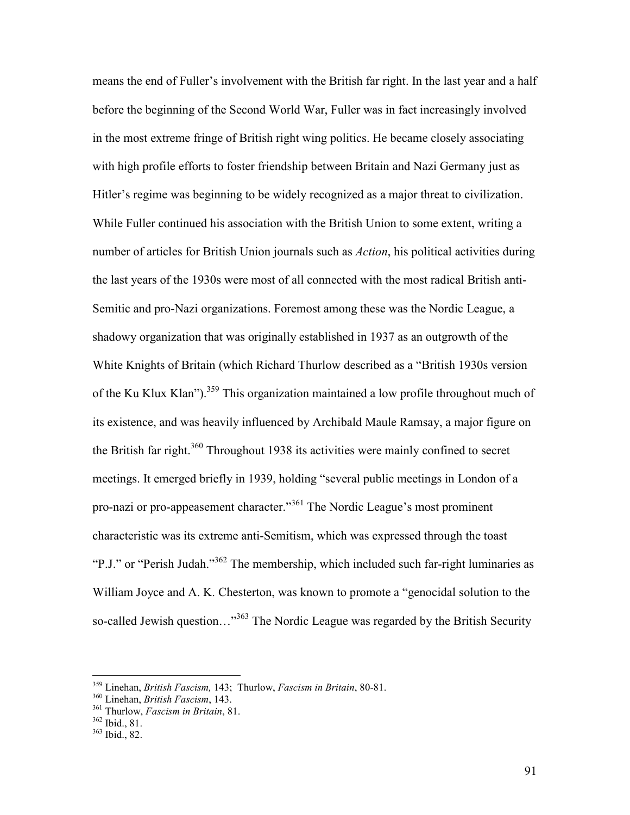means the end of Fuller's involvement with the British far right. In the last year and a half before the beginning of the Second World War, Fuller was in fact increasingly involved in the most extreme fringe of British right wing politics. He became closely associating with high profile efforts to foster friendship between Britain and Nazi Germany just as Hitler's regime was beginning to be widely recognized as a major threat to civilization. While Fuller continued his association with the British Union to some extent, writing a number of articles for British Union journals such as *Action*, his political activities during the last years of the 1930s were most of all connected with the most radical British anti-Semitic and pro-Nazi organizations. Foremost among these was the Nordic League, a shadowy organization that was originally established in 1937 as an outgrowth of the White Knights of Britain (which Richard Thurlow described as a "British 1930s version of the Ku Klux Klan").<sup>359</sup> This organization maintained a low profile throughout much of its existence, and was heavily influenced by Archibald Maule Ramsay, a major figure on the British far right.<sup>360</sup> Throughout 1938 its activities were mainly confined to secret meetings. It emerged briefly in 1939, holding "several public meetings in London of a pro-nazi or pro-appeasement character."<sup>361</sup> The Nordic League's most prominent characteristic was its extreme anti-Semitism, which was expressed through the toast "P.J." or "Perish Judah."<sup>362</sup> The membership, which included such far-right luminaries as William Joyce and A. K. Chesterton, was known to promote a "genocidal solution to the so-called Jewish question..."<sup>363</sup> The Nordic League was regarded by the British Security

<sup>359</sup> Linehan, *British Fascism,* 143; Thurlow, *Fascism in Britain*, 80-81.

<sup>360</sup> Linehan, *British Fascism*, 143.

<sup>361</sup> Thurlow, *Fascism in Britain*, 81.

<sup>362</sup> Ibid., 81.

<sup>363</sup> Ibid., 82.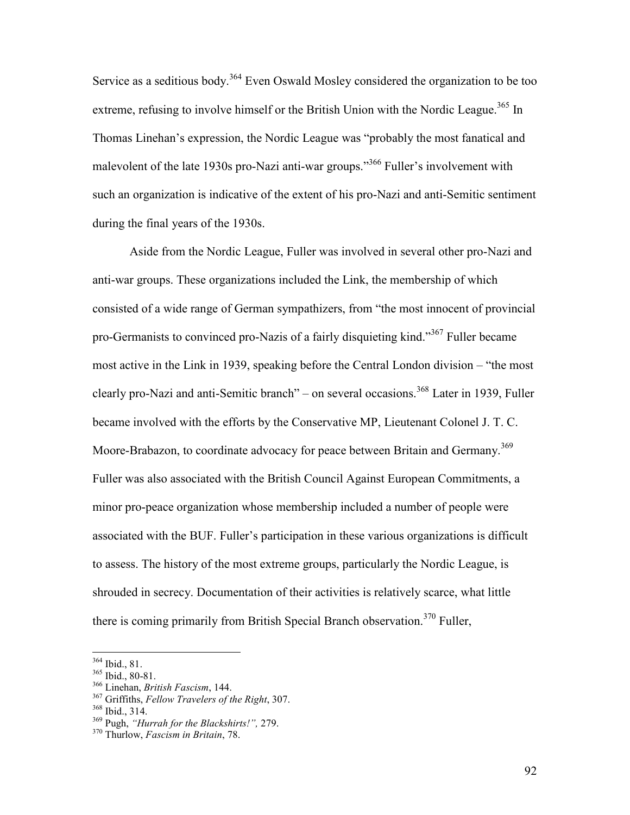Service as a seditious body.<sup>364</sup> Even Oswald Mosley considered the organization to be too extreme, refusing to involve himself or the British Union with the Nordic League.<sup>365</sup> In Thomas Linehan's expression, the Nordic League was "probably the most fanatical and malevolent of the late 1930s pro-Nazi anti-war groups."<sup>366</sup> Fuller's involvement with such an organization is indicative of the extent of his pro-Nazi and anti-Semitic sentiment during the final years of the 1930s.

Aside from the Nordic League, Fuller was involved in several other pro-Nazi and anti-war groups. These organizations included the Link, the membership of which consisted of a wide range of German sympathizers, from "the most innocent of provincial pro-Germanists to convinced pro-Nazis of a fairly disquieting kind."<sup>367</sup> Fuller became most active in the Link in 1939, speaking before the Central London division – "the most clearly pro-Nazi and anti-Semitic branch" – on several occasions.<sup>368</sup> Later in 1939, Fuller became involved with the efforts by the Conservative MP, Lieutenant Colonel J. T. C. Moore-Brabazon, to coordinate advocacy for peace between Britain and Germany.<sup>369</sup> Fuller was also associated with the British Council Against European Commitments, a minor pro-peace organization whose membership included a number of people were associated with the BUF. Fuller's participation in these various organizations is difficult to assess. The history of the most extreme groups, particularly the Nordic League, is shrouded in secrecy. Documentation of their activities is relatively scarce, what little there is coming primarily from British Special Branch observation.<sup>370</sup> Fuller,

<sup>364</sup> Ibid., 81.

<sup>365</sup> Ibid., 80-81.

<sup>366</sup> Linehan, *British Fascism*, 144.

<sup>367</sup> Griffiths, *Fellow Travelers of the Right*, 307.

<sup>368</sup> Ibid., 314.

<sup>369</sup> Pugh, *"Hurrah for the Blackshirts!",* 279.

<sup>370</sup> Thurlow, *Fascism in Britain*, 78.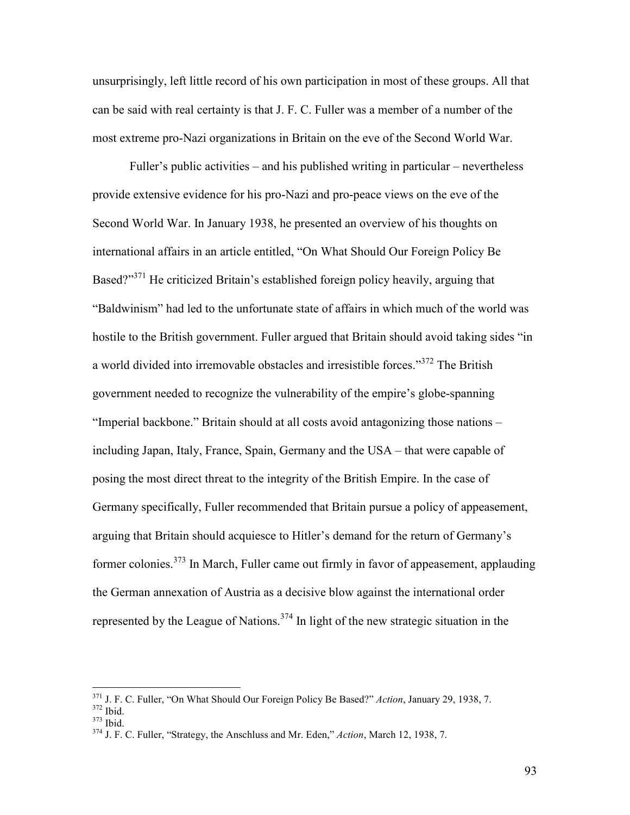unsurprisingly, left little record of his own participation in most of these groups. All that can be said with real certainty is that J. F. C. Fuller was a member of a number of the most extreme pro-Nazi organizations in Britain on the eve of the Second World War.

Fuller's public activities – and his published writing in particular – nevertheless provide extensive evidence for his pro-Nazi and pro-peace views on the eve of the Second World War. In January 1938, he presented an overview of his thoughts on international affairs in an article entitled, "On What Should Our Foreign Policy Be Based?"<sup>371</sup> He criticized Britain's established foreign policy heavily, arguing that "Baldwinism" had led to the unfortunate state of affairs in which much of the world was hostile to the British government. Fuller argued that Britain should avoid taking sides "in a world divided into irremovable obstacles and irresistible forces."<sup>372</sup> The British government needed to recognize the vulnerability of the empire's globe-spanning "Imperial backbone." Britain should at all costs avoid antagonizing those nations – including Japan, Italy, France, Spain, Germany and the USA – that were capable of posing the most direct threat to the integrity of the British Empire. In the case of Germany specifically, Fuller recommended that Britain pursue a policy of appeasement, arguing that Britain should acquiesce to Hitler's demand for the return of Germany's former colonies.<sup>373</sup> In March, Fuller came out firmly in favor of appeasement, applauding the German annexation of Austria as a decisive blow against the international order represented by the League of Nations.<sup>374</sup> In light of the new strategic situation in the

-

<sup>371</sup> J. F. C. Fuller, "On What Should Our Foreign Policy Be Based?" *Action*, January 29, 1938, 7. <sup>372</sup> Ibid.

<sup>373</sup> Ibid.

<sup>374</sup> J. F. C. Fuller, "Strategy, the Anschluss and Mr. Eden," *Action*, March 12, 1938, 7.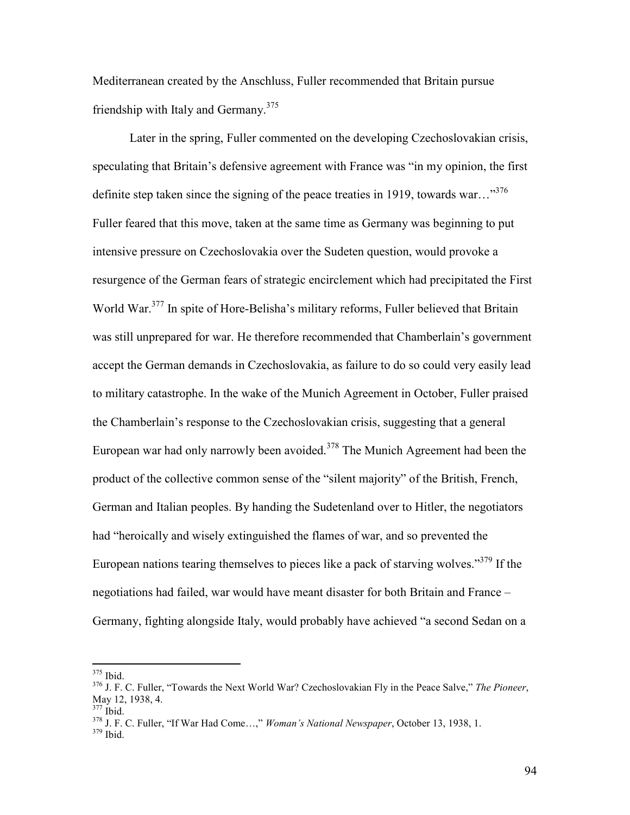Mediterranean created by the Anschluss, Fuller recommended that Britain pursue friendship with Italy and Germany.<sup>375</sup>

Later in the spring, Fuller commented on the developing Czechoslovakian crisis, speculating that Britain's defensive agreement with France was "in my opinion, the first definite step taken since the signing of the peace treaties in 1919, towards war..."<sup>376</sup> Fuller feared that this move, taken at the same time as Germany was beginning to put intensive pressure on Czechoslovakia over the Sudeten question, would provoke a resurgence of the German fears of strategic encirclement which had precipitated the First World War.<sup>377</sup> In spite of Hore-Belisha's military reforms, Fuller believed that Britain was still unprepared for war. He therefore recommended that Chamberlain's government accept the German demands in Czechoslovakia, as failure to do so could very easily lead to military catastrophe. In the wake of the Munich Agreement in October, Fuller praised the Chamberlain's response to the Czechoslovakian crisis, suggesting that a general European war had only narrowly been avoided.<sup>378</sup> The Munich Agreement had been the product of the collective common sense of the "silent majority" of the British, French, German and Italian peoples. By handing the Sudetenland over to Hitler, the negotiators had "heroically and wisely extinguished the flames of war, and so prevented the European nations tearing themselves to pieces like a pack of starving wolves.<sup>379</sup> If the negotiations had failed, war would have meant disaster for both Britain and France – Germany, fighting alongside Italy, would probably have achieved "a second Sedan on a

-

<sup>375</sup> Ibid.

<sup>376</sup> J. F. C. Fuller, "Towards the Next World War? Czechoslovakian Fly in the Peace Salve," *The Pioneer*, May 12, 1938, 4.

 $377$  Ibid.

<sup>378</sup> J. F. C. Fuller, "If War Had Come…," *Woman's National Newspaper*, October 13, 1938, 1.

 $379$  Ibid.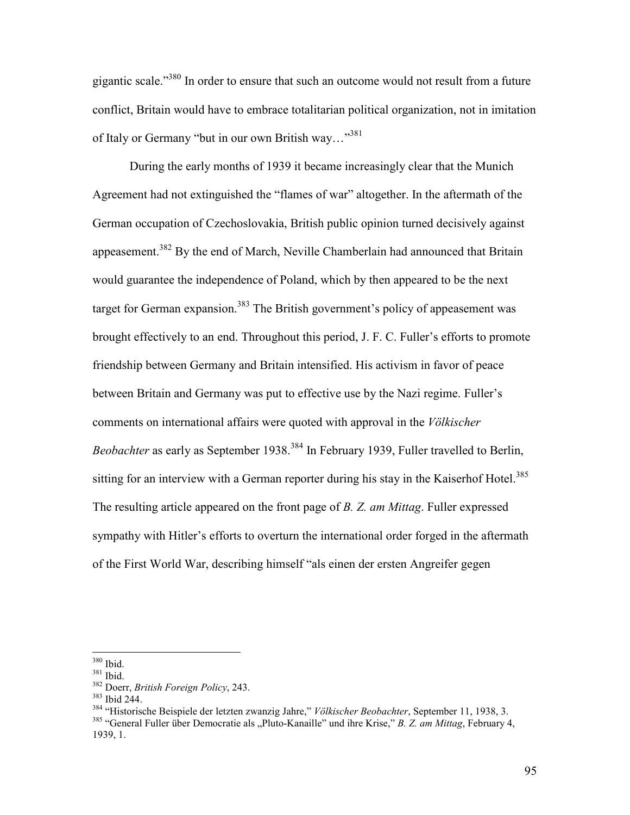gigantic scale."<sup>380</sup> In order to ensure that such an outcome would not result from a future conflict, Britain would have to embrace totalitarian political organization, not in imitation of Italy or Germany "but in our own British way..."<sup>381</sup>

During the early months of 1939 it became increasingly clear that the Munich Agreement had not extinguished the "flames of war" altogether. In the aftermath of the German occupation of Czechoslovakia, British public opinion turned decisively against appeasement.<sup>382</sup> By the end of March, Neville Chamberlain had announced that Britain would guarantee the independence of Poland, which by then appeared to be the next target for German expansion.<sup>383</sup> The British government's policy of appeasement was brought effectively to an end. Throughout this period, J. F. C. Fuller's efforts to promote friendship between Germany and Britain intensified. His activism in favor of peace between Britain and Germany was put to effective use by the Nazi regime. Fuller's comments on international affairs were quoted with approval in the *Völkischer Beobachter* as early as September 1938.<sup>384</sup> In February 1939, Fuller travelled to Berlin, sitting for an interview with a German reporter during his stay in the Kaiserhof Hotel.<sup>385</sup> The resulting article appeared on the front page of *B. Z. am Mittag*. Fuller expressed sympathy with Hitler's efforts to overturn the international order forged in the aftermath of the First World War, describing himself "als einen der ersten Angreifer gegen

 $\overline{a}$ <sup>380</sup> Ibid.

<sup>381</sup> Ibid.

<sup>382</sup> Doerr, *British Foreign Policy*, 243.

<sup>383</sup> Ibid 244.

<sup>384</sup> "Historische Beispiele der letzten zwanzig Jahre," *Völkischer Beobachter*, September 11, 1938, 3.

<sup>&</sup>lt;sup>385</sup> "General Fuller über Democratie als "Pluto-Kanaille" und ihre Krise," *B. Z. am Mittag*, February 4, 1939, 1.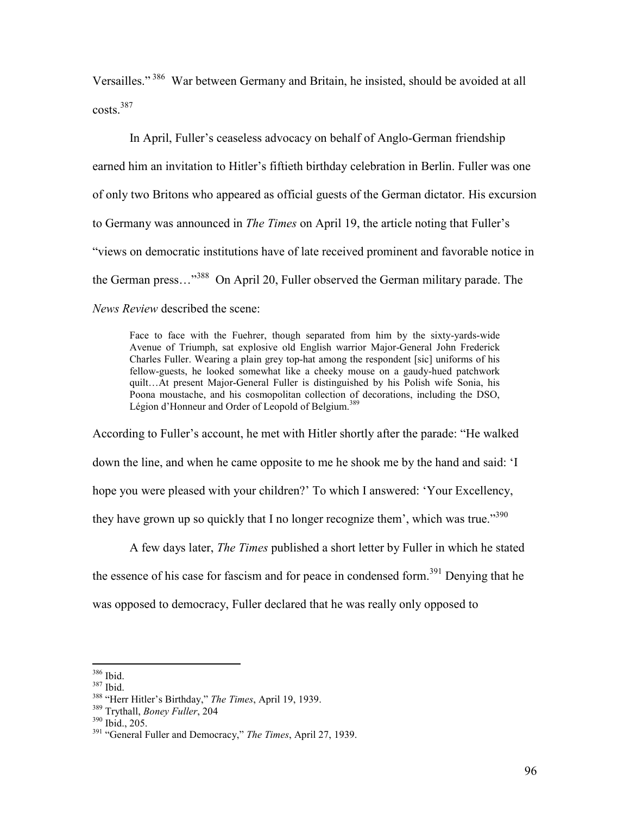Versailles."<sup>386</sup> War between Germany and Britain, he insisted, should be avoided at all  $costs.<sup>387</sup>$ 

In April, Fuller's ceaseless advocacy on behalf of Anglo-German friendship earned him an invitation to Hitler's fiftieth birthday celebration in Berlin. Fuller was one of only two Britons who appeared as official guests of the German dictator. His excursion to Germany was announced in *The Times* on April 19, the article noting that Fuller's "views on democratic institutions have of late received prominent and favorable notice in the German press…"<sup>388</sup> On April 20, Fuller observed the German military parade. The *News Review* described the scene:

Face to face with the Fuehrer, though separated from him by the sixty-yards-wide Avenue of Triumph, sat explosive old English warrior Major-General John Frederick Charles Fuller. Wearing a plain grey top-hat among the respondent [sic] uniforms of his fellow-guests, he looked somewhat like a cheeky mouse on a gaudy-hued patchwork quilt…At present Major-General Fuller is distinguished by his Polish wife Sonia, his Poona moustache, and his cosmopolitan collection of decorations, including the DSO, Légion d'Honneur and Order of Leopold of Belgium.<sup>389</sup>

According to Fuller's account, he met with Hitler shortly after the parade: "He walked down the line, and when he came opposite to me he shook me by the hand and said: 'I hope you were pleased with your children?' To which I answered: 'Your Excellency, they have grown up so quickly that I no longer recognize them', which was true."<sup>390</sup>

A few days later, *The Times* published a short letter by Fuller in which he stated the essence of his case for fascism and for peace in condensed form.<sup>391</sup> Denying that he was opposed to democracy, Fuller declared that he was really only opposed to

<sup>386</sup> Ibid.

<sup>387</sup> Ibid.

<sup>388</sup> "Herr Hitler's Birthday," *The Times*, April 19, 1939.

<sup>389</sup> Trythall, *Boney Fuller*, 204

 $390$  Ibid.,  $205$ .

<sup>391</sup> "General Fuller and Democracy," *The Times*, April 27, 1939.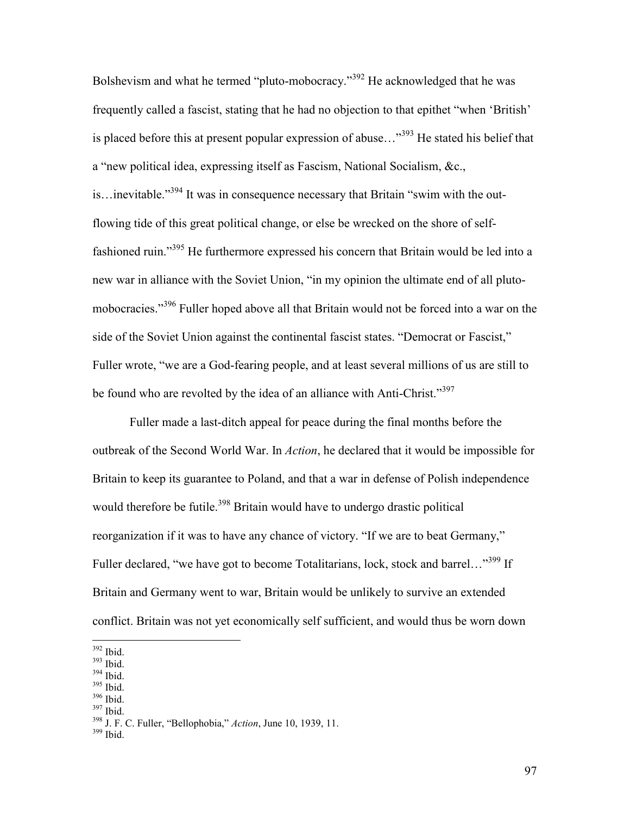Bolshevism and what he termed "pluto-mobocracy."<sup>392</sup> He acknowledged that he was frequently called a fascist, stating that he had no objection to that epithet "when 'British' is placed before this at present popular expression of abuse..." $393$  He stated his belief that a "new political idea, expressing itself as Fascism, National Socialism, &c., is…inevitable."<sup>394</sup> It was in consequence necessary that Britain "swim with the outflowing tide of this great political change, or else be wrecked on the shore of selffashioned ruin."<sup>395</sup> He furthermore expressed his concern that Britain would be led into a new war in alliance with the Soviet Union, "in my opinion the ultimate end of all plutomobocracies."<sup>396</sup> Fuller hoped above all that Britain would not be forced into a war on the side of the Soviet Union against the continental fascist states. "Democrat or Fascist," Fuller wrote, "we are a God-fearing people, and at least several millions of us are still to be found who are revolted by the idea of an alliance with Anti-Christ."<sup>397</sup>

 Fuller made a last-ditch appeal for peace during the final months before the outbreak of the Second World War. In *Action*, he declared that it would be impossible for Britain to keep its guarantee to Poland, and that a war in defense of Polish independence would therefore be futile.<sup>398</sup> Britain would have to undergo drastic political reorganization if it was to have any chance of victory. "If we are to beat Germany," Fuller declared, "we have got to become Totalitarians, lock, stock and barrel..."<sup>399</sup> If Britain and Germany went to war, Britain would be unlikely to survive an extended conflict. Britain was not yet economically self sufficient, and would thus be worn down

 $392$  Ibid.

 $\overline{a}$ 

<sup>393</sup> Ibid.

- <sup>394</sup> Ibid.
- <sup>395</sup> Ibid.
- $396$  Ibid.
- <sup>397</sup> Ibid.

<sup>398</sup> J. F. C. Fuller, "Bellophobia," *Action*, June 10, 1939, 11.

<sup>399</sup> Ibid.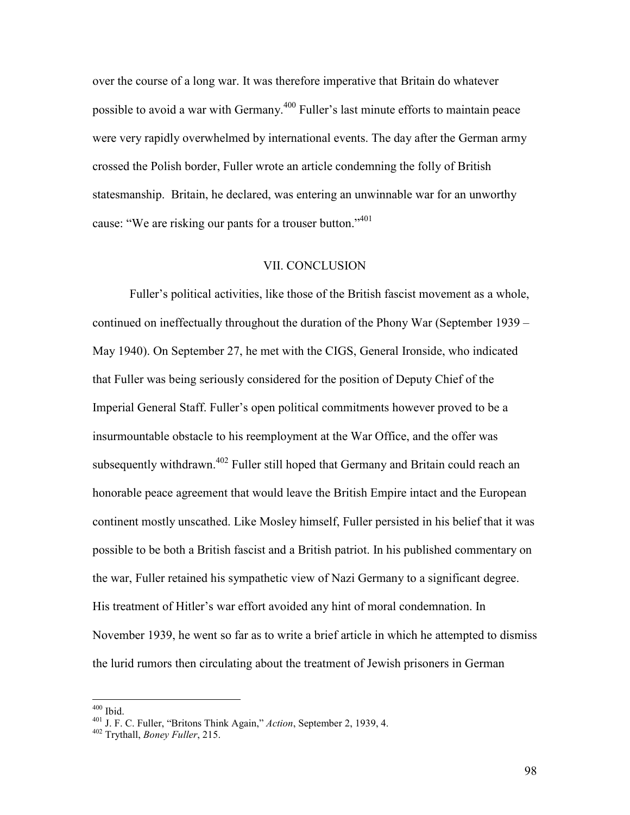over the course of a long war. It was therefore imperative that Britain do whatever possible to avoid a war with Germany.<sup>400</sup> Fuller's last minute efforts to maintain peace were very rapidly overwhelmed by international events. The day after the German army crossed the Polish border, Fuller wrote an article condemning the folly of British statesmanship. Britain, he declared, was entering an unwinnable war for an unworthy cause: "We are risking our pants for a trouser button."<sup>401</sup>

# VII. CONCLUSION

Fuller's political activities, like those of the British fascist movement as a whole, continued on ineffectually throughout the duration of the Phony War (September 1939 – May 1940). On September 27, he met with the CIGS, General Ironside, who indicated that Fuller was being seriously considered for the position of Deputy Chief of the Imperial General Staff. Fuller's open political commitments however proved to be a insurmountable obstacle to his reemployment at the War Office, and the offer was subsequently withdrawn.<sup>402</sup> Fuller still hoped that Germany and Britain could reach an honorable peace agreement that would leave the British Empire intact and the European continent mostly unscathed. Like Mosley himself, Fuller persisted in his belief that it was possible to be both a British fascist and a British patriot. In his published commentary on the war, Fuller retained his sympathetic view of Nazi Germany to a significant degree. His treatment of Hitler's war effort avoided any hint of moral condemnation. In November 1939, he went so far as to write a brief article in which he attempted to dismiss the lurid rumors then circulating about the treatment of Jewish prisoners in German

 $400$  Ibid.

<sup>401</sup> J. F. C. Fuller, "Britons Think Again," *Action*, September 2, 1939, 4.

<sup>402</sup> Trythall, *Boney Fuller*, 215.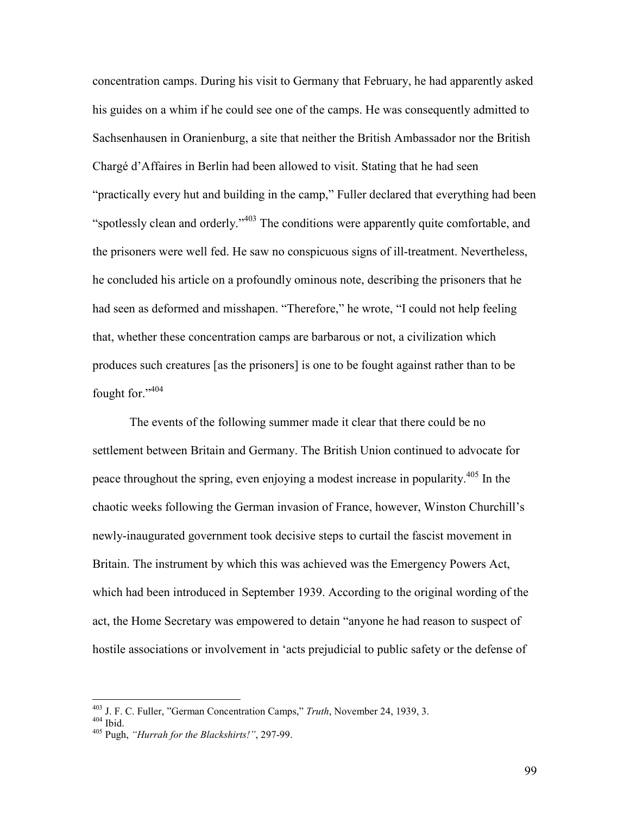concentration camps. During his visit to Germany that February, he had apparently asked his guides on a whim if he could see one of the camps. He was consequently admitted to Sachsenhausen in Oranienburg, a site that neither the British Ambassador nor the British Chargé d'Affaires in Berlin had been allowed to visit. Stating that he had seen "practically every hut and building in the camp," Fuller declared that everything had been "spotlessly clean and orderly."<sup>403</sup> The conditions were apparently quite comfortable, and the prisoners were well fed. He saw no conspicuous signs of ill-treatment. Nevertheless, he concluded his article on a profoundly ominous note, describing the prisoners that he had seen as deformed and misshapen. "Therefore," he wrote, "I could not help feeling that, whether these concentration camps are barbarous or not, a civilization which produces such creatures [as the prisoners] is one to be fought against rather than to be fought for."404

 The events of the following summer made it clear that there could be no settlement between Britain and Germany. The British Union continued to advocate for peace throughout the spring, even enjoying a modest increase in popularity.<sup>405</sup> In the chaotic weeks following the German invasion of France, however, Winston Churchill's newly-inaugurated government took decisive steps to curtail the fascist movement in Britain. The instrument by which this was achieved was the Emergency Powers Act, which had been introduced in September 1939. According to the original wording of the act, the Home Secretary was empowered to detain "anyone he had reason to suspect of hostile associations or involvement in 'acts prejudicial to public safety or the defense of

<sup>403</sup> J. F. C. Fuller, "German Concentration Camps," *Truth*, November 24, 1939, 3.

 $404$  Ibid.

<sup>405</sup> Pugh, *"Hurrah for the Blackshirts!"*, 297-99.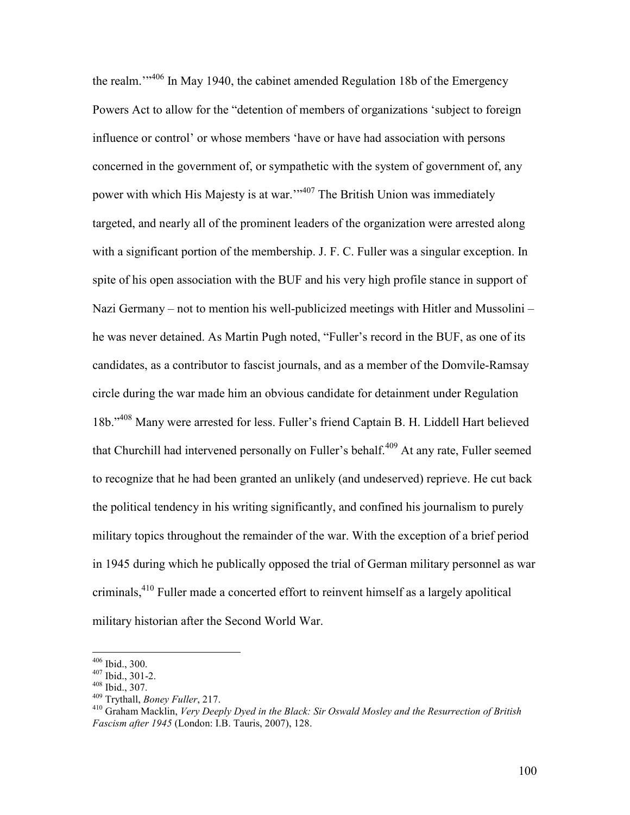the realm."<sup>406</sup> In May 1940, the cabinet amended Regulation 18b of the Emergency Powers Act to allow for the "detention of members of organizations 'subject to foreign influence or control' or whose members 'have or have had association with persons concerned in the government of, or sympathetic with the system of government of, any power with which His Majesty is at war."<sup>407</sup> The British Union was immediately targeted, and nearly all of the prominent leaders of the organization were arrested along with a significant portion of the membership. J. F. C. Fuller was a singular exception. In spite of his open association with the BUF and his very high profile stance in support of Nazi Germany – not to mention his well-publicized meetings with Hitler and Mussolini – he was never detained. As Martin Pugh noted, "Fuller's record in the BUF, as one of its candidates, as a contributor to fascist journals, and as a member of the Domvile-Ramsay circle during the war made him an obvious candidate for detainment under Regulation 18b."<sup>408</sup> Many were arrested for less. Fuller's friend Captain B. H. Liddell Hart believed that Churchill had intervened personally on Fuller's behalf.<sup>409</sup> At any rate, Fuller seemed to recognize that he had been granted an unlikely (and undeserved) reprieve. He cut back the political tendency in his writing significantly, and confined his journalism to purely military topics throughout the remainder of the war. With the exception of a brief period in 1945 during which he publically opposed the trial of German military personnel as war criminals,<sup>410</sup> Fuller made a concerted effort to reinvent himself as a largely apolitical military historian after the Second World War.

<sup>406</sup> Ibid., 300.

 $407$  Ibid., 301-2.

<sup>408</sup> Ibid., 307.

<sup>409</sup> Trythall, *Boney Fuller*, 217.

<sup>410</sup> Graham Macklin, *Very Deeply Dyed in the Black: Sir Oswald Mosley and the Resurrection of British Fascism after 1945* (London: I.B. Tauris, 2007), 128.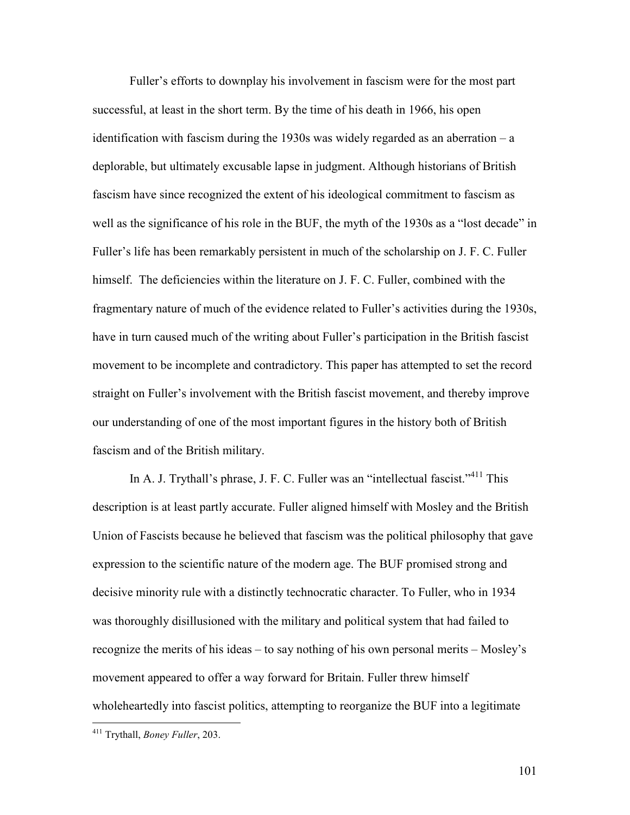Fuller's efforts to downplay his involvement in fascism were for the most part successful, at least in the short term. By the time of his death in 1966, his open identification with fascism during the 1930s was widely regarded as an aberration  $-a$ deplorable, but ultimately excusable lapse in judgment. Although historians of British fascism have since recognized the extent of his ideological commitment to fascism as well as the significance of his role in the BUF, the myth of the 1930s as a "lost decade" in Fuller's life has been remarkably persistent in much of the scholarship on J. F. C. Fuller himself. The deficiencies within the literature on J. F. C. Fuller, combined with the fragmentary nature of much of the evidence related to Fuller's activities during the 1930s, have in turn caused much of the writing about Fuller's participation in the British fascist movement to be incomplete and contradictory. This paper has attempted to set the record straight on Fuller's involvement with the British fascist movement, and thereby improve our understanding of one of the most important figures in the history both of British fascism and of the British military.

In A. J. Trythall's phrase, J. F. C. Fuller was an "intellectual fascist."<sup>411</sup> This description is at least partly accurate. Fuller aligned himself with Mosley and the British Union of Fascists because he believed that fascism was the political philosophy that gave expression to the scientific nature of the modern age. The BUF promised strong and decisive minority rule with a distinctly technocratic character. To Fuller, who in 1934 was thoroughly disillusioned with the military and political system that had failed to recognize the merits of his ideas – to say nothing of his own personal merits – Mosley's movement appeared to offer a way forward for Britain. Fuller threw himself wholeheartedly into fascist politics, attempting to reorganize the BUF into a legitimate

<u>.</u>

101

<sup>411</sup> Trythall, *Boney Fuller*, 203.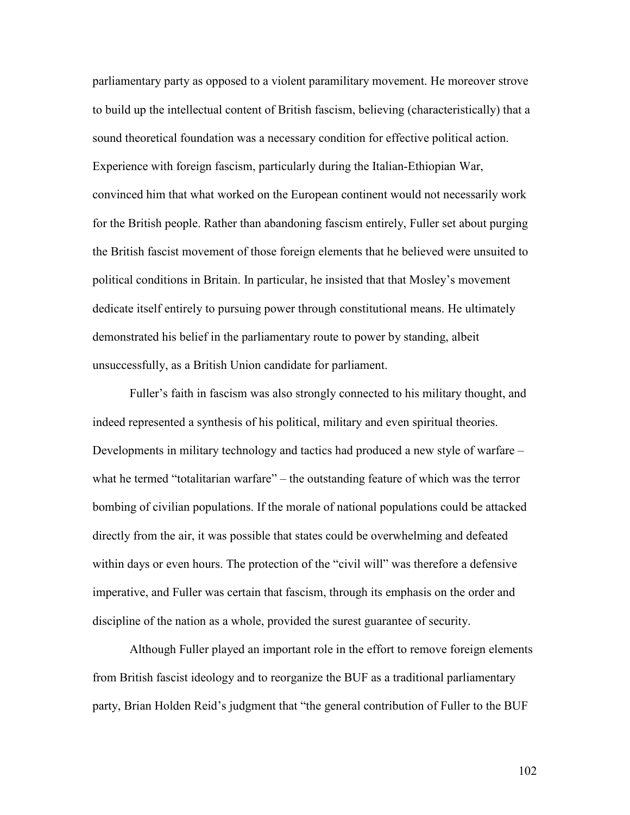parliamentary party as opposed to a violent paramilitary movement. He moreover strove to build up the intellectual content of British fascism, believing (characteristically) that a sound theoretical foundation was a necessary condition for effective political action. Experience with foreign fascism, particularly during the Italian-Ethiopian War, convinced him that what worked on the European continent would not necessarily work for the British people. Rather than abandoning fascism entirely, Fuller set about purging the British fascist movement of those foreign elements that he believed were unsuited to political conditions in Britain. In particular, he insisted that that Mosley's movement dedicate itself entirely to pursuing power through constitutional means. He ultimately demonstrated his belief in the parliamentary route to power by standing, albeit unsuccessfully, as a British Union candidate for parliament.

Fuller's faith in fascism was also strongly connected to his military thought, and indeed represented a synthesis of his political, military and even spiritual theories. Developments in military technology and tactics had produced a new style of warfare – what he termed "totalitarian warfare" – the outstanding feature of which was the terror bombing of civilian populations. If the morale of national populations could be attacked directly from the air, it was possible that states could be overwhelming and defeated within days or even hours. The protection of the "civil will" was therefore a defensive imperative, and Fuller was certain that fascism, through its emphasis on the order and discipline of the nation as a whole, provided the surest guarantee of security.

 Although Fuller played an important role in the effort to remove foreign elements from British fascist ideology and to reorganize the BUF as a traditional parliamentary party, Brian Holden Reid's judgment that "the general contribution of Fuller to the BUF

102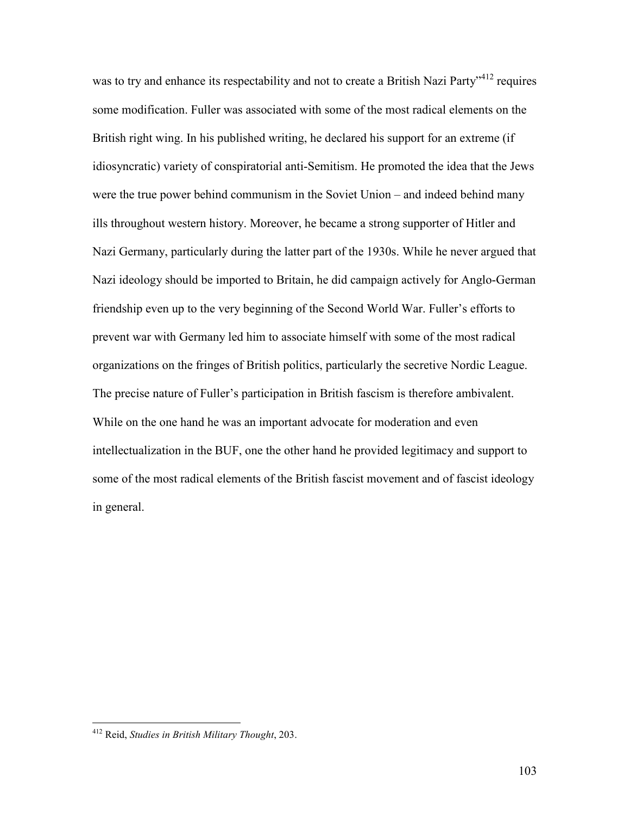was to try and enhance its respectability and not to create a British Nazi Party<sup>-412</sup> requires some modification. Fuller was associated with some of the most radical elements on the British right wing. In his published writing, he declared his support for an extreme (if idiosyncratic) variety of conspiratorial anti-Semitism. He promoted the idea that the Jews were the true power behind communism in the Soviet Union – and indeed behind many ills throughout western history. Moreover, he became a strong supporter of Hitler and Nazi Germany, particularly during the latter part of the 1930s. While he never argued that Nazi ideology should be imported to Britain, he did campaign actively for Anglo-German friendship even up to the very beginning of the Second World War. Fuller's efforts to prevent war with Germany led him to associate himself with some of the most radical organizations on the fringes of British politics, particularly the secretive Nordic League. The precise nature of Fuller's participation in British fascism is therefore ambivalent. While on the one hand he was an important advocate for moderation and even intellectualization in the BUF, one the other hand he provided legitimacy and support to some of the most radical elements of the British fascist movement and of fascist ideology in general.

<sup>412</sup> Reid, *Studies in British Military Thought*, 203.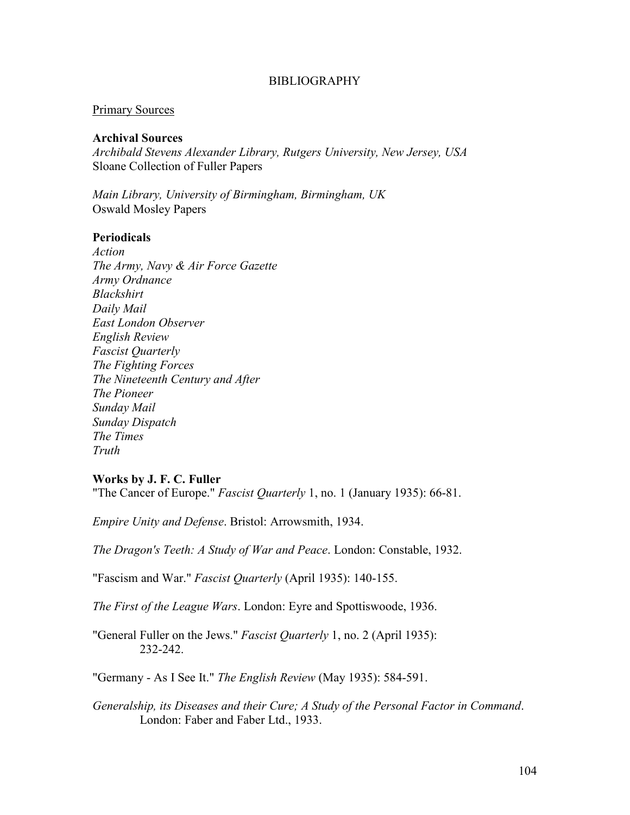### BIBLIOGRAPHY

#### Primary Sources

#### **Archival Sources**

*Archibald Stevens Alexander Library, Rutgers University, New Jersey, USA* Sloane Collection of Fuller Papers

*Main Library, University of Birmingham, Birmingham, UK* Oswald Mosley Papers

#### **Periodicals**

*Action The Army, Navy & Air Force Gazette Army Ordnance Blackshirt Daily Mail East London Observer English Review Fascist Quarterly The Fighting Forces The Nineteenth Century and After The Pioneer Sunday Mail Sunday Dispatch The Times Truth* 

#### **Works by J. F. C. Fuller**

"The Cancer of Europe." *Fascist Quarterly* 1, no. 1 (January 1935): 66-81.

*Empire Unity and Defense*. Bristol: Arrowsmith, 1934.

*The Dragon's Teeth: A Study of War and Peace*. London: Constable, 1932.

"Fascism and War." *Fascist Quarterly* (April 1935): 140-155.

*The First of the League Wars*. London: Eyre and Spottiswoode, 1936.

"General Fuller on the Jews." *Fascist Quarterly* 1, no. 2 (April 1935): 232-242.

"Germany - As I See It." *The English Review* (May 1935): 584-591.

*Generalship, its Diseases and their Cure; A Study of the Personal Factor in Command*. London: Faber and Faber Ltd., 1933.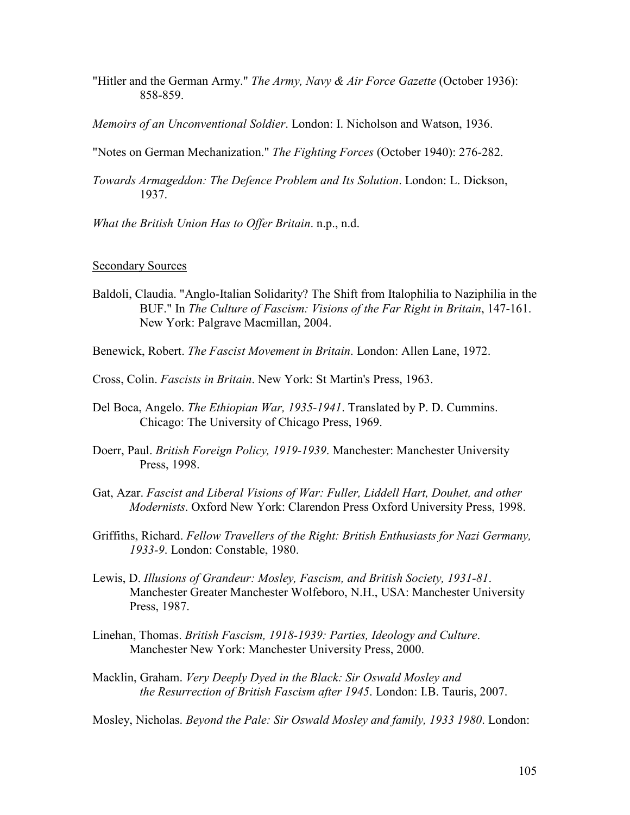- "Hitler and the German Army." *The Army, Navy & Air Force Gazette* (October 1936): 858-859.
- *Memoirs of an Unconventional Soldier*. London: I. Nicholson and Watson, 1936.

"Notes on German Mechanization." *The Fighting Forces* (October 1940): 276-282.

- *Towards Armageddon: The Defence Problem and Its Solution*. London: L. Dickson, 1937.
- *What the British Union Has to Offer Britain*. n.p., n.d.

## Secondary Sources

- Baldoli, Claudia. "Anglo-Italian Solidarity? The Shift from Italophilia to Naziphilia in the BUF." In *The Culture of Fascism: Visions of the Far Right in Britain*, 147-161. New York: Palgrave Macmillan, 2004.
- Benewick, Robert. *The Fascist Movement in Britain*. London: Allen Lane, 1972.
- Cross, Colin. *Fascists in Britain*. New York: St Martin's Press, 1963.
- Del Boca, Angelo. *The Ethiopian War, 1935-1941*. Translated by P. D. Cummins. Chicago: The University of Chicago Press, 1969.
- Doerr, Paul. *British Foreign Policy, 1919-1939*. Manchester: Manchester University Press, 1998.
- Gat, Azar. *Fascist and Liberal Visions of War: Fuller, Liddell Hart, Douhet, and other Modernists*. Oxford New York: Clarendon Press Oxford University Press, 1998.
- Griffiths, Richard. *Fellow Travellers of the Right: British Enthusiasts for Nazi Germany, 1933-9*. London: Constable, 1980.
- Lewis, D. *Illusions of Grandeur: Mosley, Fascism, and British Society, 1931-81*. Manchester Greater Manchester Wolfeboro, N.H., USA: Manchester University Press, 1987.
- Linehan, Thomas. *British Fascism, 1918-1939: Parties, Ideology and Culture*. Manchester New York: Manchester University Press, 2000.
- Macklin, Graham. *Very Deeply Dyed in the Black: Sir Oswald Mosley and the Resurrection of British Fascism after 1945*. London: I.B. Tauris, 2007.

Mosley, Nicholas. *Beyond the Pale: Sir Oswald Mosley and family, 1933 1980*. London: